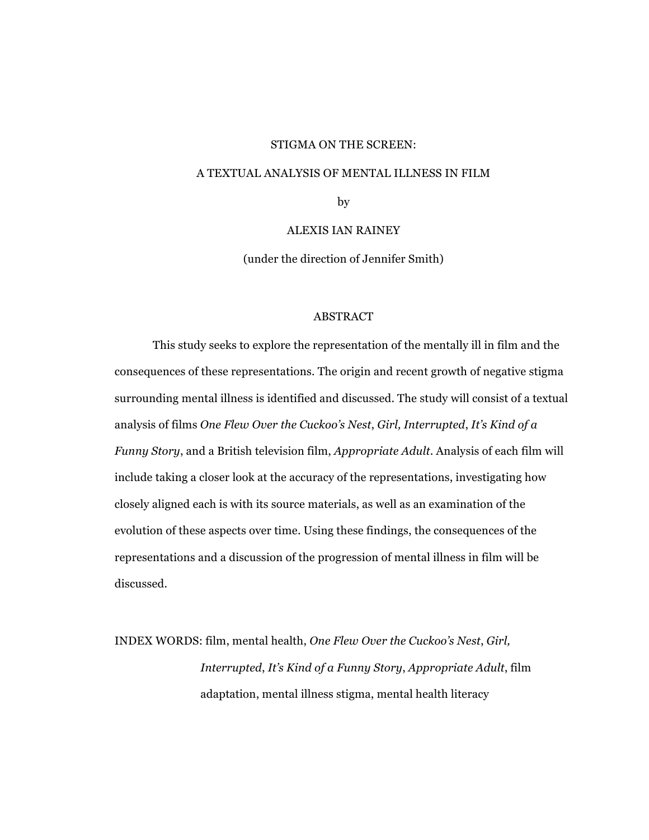#### STIGMA ON THE SCREEN:

#### A TEXTUAL ANALYSIS OF MENTAL ILLNESS IN FILM

by

# ALEXIS IAN RAINEY

(under the direction of Jennifer Smith)

#### ABSTRACT

This study seeks to explore the representation of the mentally ill in film and the consequences of these representations. The origin and recent growth of negative stigma surrounding mental illness is identified and discussed. The study will consist of a textual analysis of films *One Flew Over the Cuckoo's Nest*, *Girl, Interrupted*, *It's Kind of a Funny Story*, and a British television film, *Appropriate Adult*. Analysis of each film will include taking a closer look at the accuracy of the representations, investigating how closely aligned each is with its source materials, as well as an examination of the evolution of these aspects over time. Using these findings, the consequences of the representations and a discussion of the progression of mental illness in film will be discussed.

INDEX WORDS: film, mental health, *One Flew Over the Cuckoo's Nest*, *Girl, Interrupted*, *It's Kind of a Funny Story*, *Appropriate Adult*, film adaptation, mental illness stigma, mental health literacy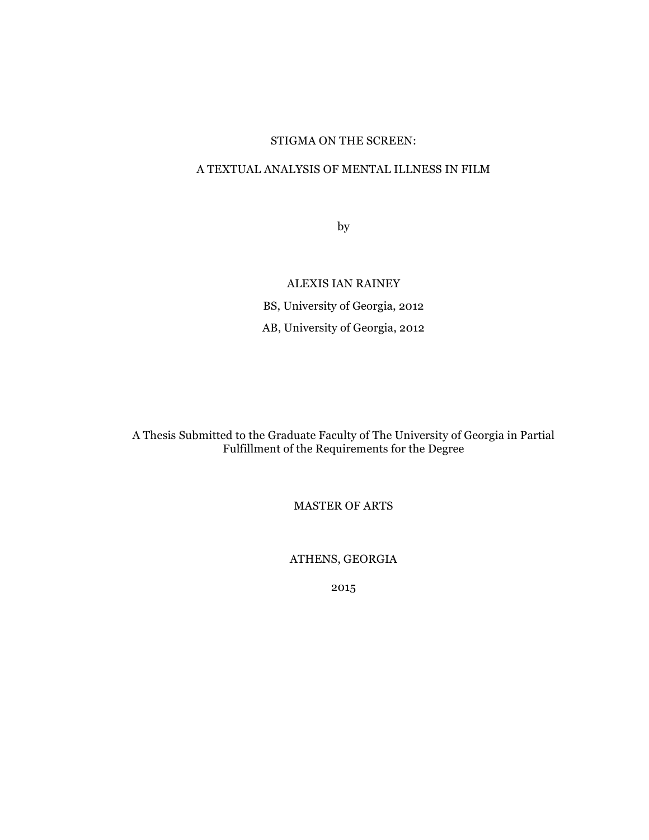# STIGMA ON THE SCREEN:

# A TEXTUAL ANALYSIS OF MENTAL ILLNESS IN FILM

by

ALEXIS IAN RAINEY BS, University of Georgia, 2012 AB, University of Georgia, 2012

A Thesis Submitted to the Graduate Faculty of The University of Georgia in Partial Fulfillment of the Requirements for the Degree

MASTER OF ARTS

ATHENS, GEORGIA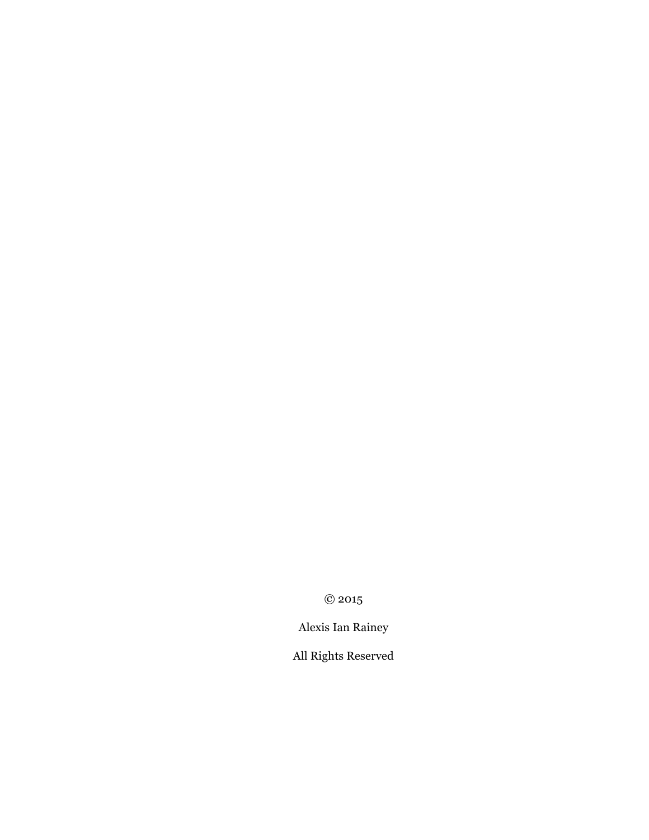© 2015

Alexis Ian Rainey

All Rights Reserved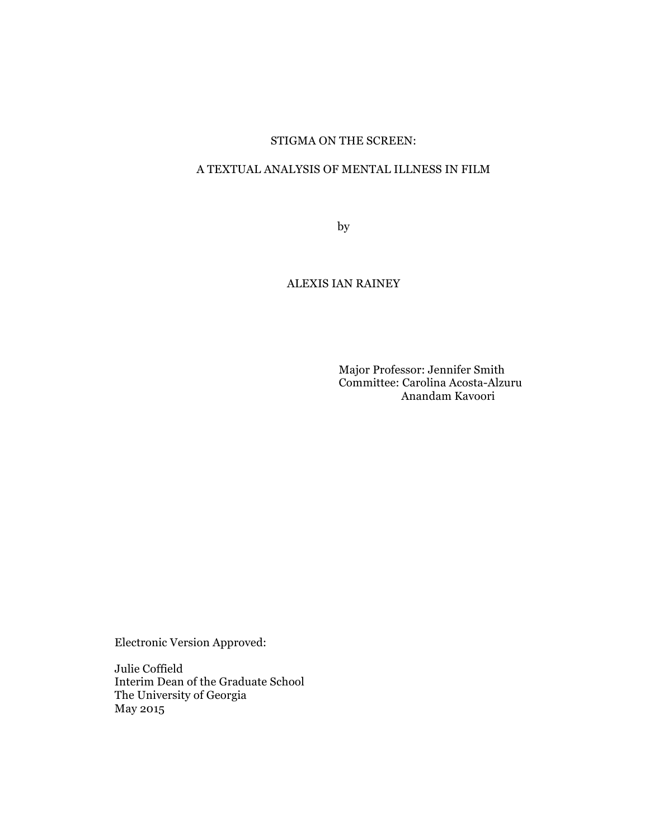# STIGMA ON THE SCREEN:

# A TEXTUAL ANALYSIS OF MENTAL ILLNESS IN FILM

by

# ALEXIS IAN RAINEY

Major Professor: Jennifer Smith Committee: Carolina Acosta-Alzuru Anandam Kavoori

Electronic Version Approved:

Julie Coffield Interim Dean of the Graduate School The University of Georgia May 2015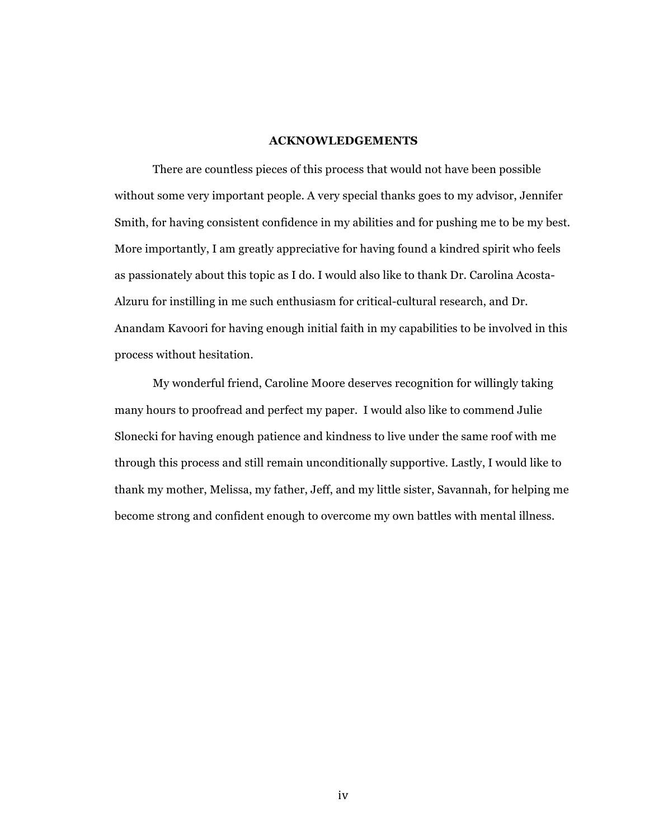## **ACKNOWLEDGEMENTS**

There are countless pieces of this process that would not have been possible without some very important people. A very special thanks goes to my advisor, Jennifer Smith, for having consistent confidence in my abilities and for pushing me to be my best. More importantly, I am greatly appreciative for having found a kindred spirit who feels as passionately about this topic as I do. I would also like to thank Dr. Carolina Acosta-Alzuru for instilling in me such enthusiasm for critical-cultural research, and Dr. Anandam Kavoori for having enough initial faith in my capabilities to be involved in this process without hesitation.

My wonderful friend, Caroline Moore deserves recognition for willingly taking many hours to proofread and perfect my paper. I would also like to commend Julie Slonecki for having enough patience and kindness to live under the same roof with me through this process and still remain unconditionally supportive. Lastly, I would like to thank my mother, Melissa, my father, Jeff, and my little sister, Savannah, for helping me become strong and confident enough to overcome my own battles with mental illness.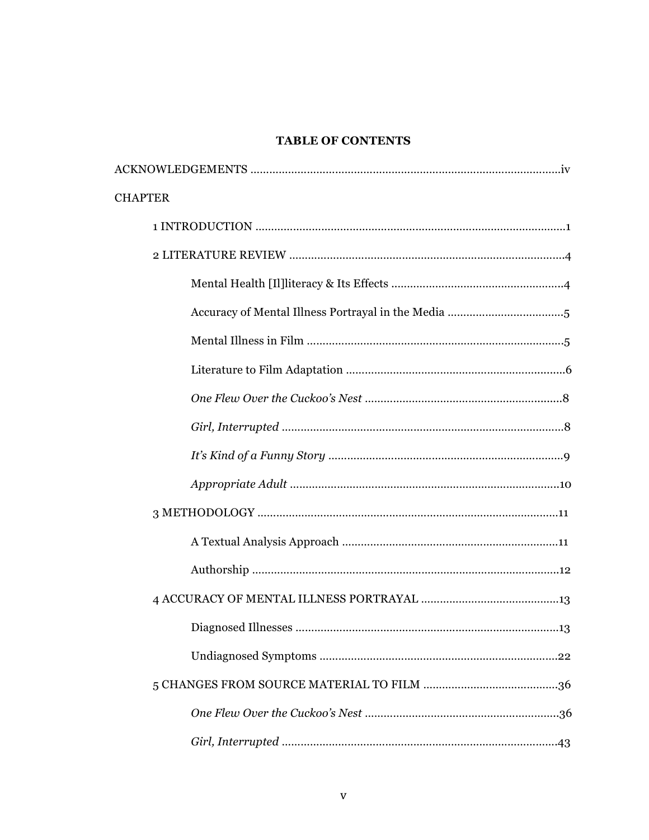# **TABLE OF CONTENTS**

| <b>CHAPTER</b> |
|----------------|
|                |
|                |
|                |
|                |
|                |
|                |
|                |
|                |
|                |
|                |
|                |
|                |
|                |
|                |
|                |
|                |
|                |
|                |
|                |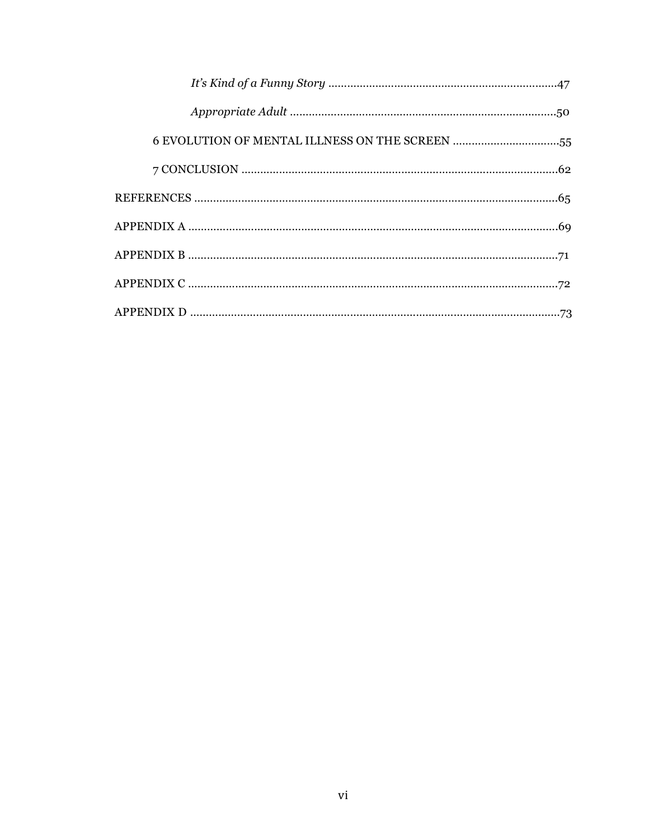| 6 EVOLUTION OF MENTAL ILLNESS ON THE SCREEN 55 |
|------------------------------------------------|
|                                                |
|                                                |
|                                                |
|                                                |
|                                                |
|                                                |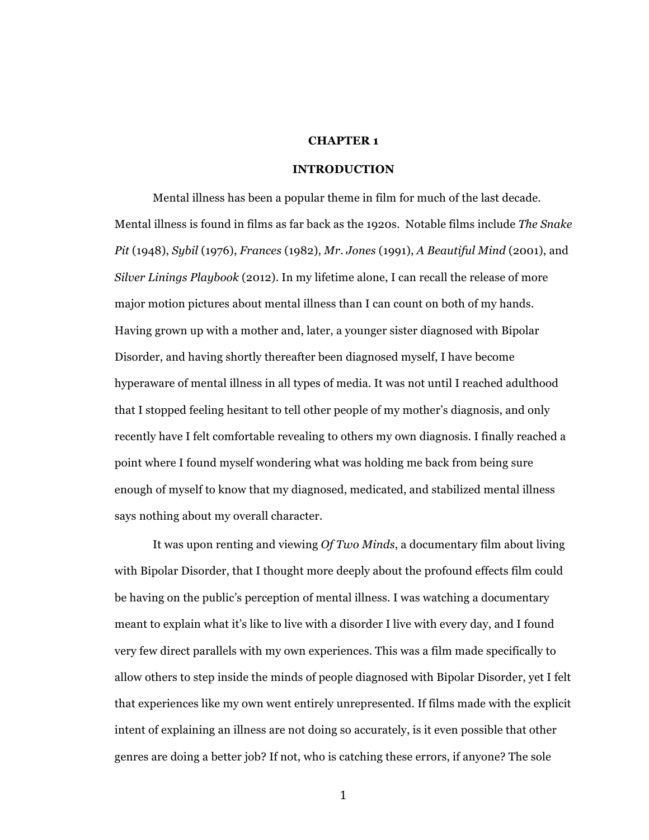# **CHAPTER 1**

## **INTRODUCTION**

Mental illness has been a popular theme in film for much of the last decade. Mental illness is found in films as far back as the 1920s. Notable films include *The Snake Pit* (1948), *Sybil* (1976), *Frances* (1982), *Mr. Jones* (1991), *A Beautiful Mind* (2001), and *Silver Linings Playbook* (2012). In my lifetime alone, I can recall the release of more major motion pictures about mental illness than I can count on both of my hands. Having grown up with a mother and, later, a younger sister diagnosed with Bipolar Disorder, and having shortly thereafter been diagnosed myself, I have become hyperaware of mental illness in all types of media. It was not until I reached adulthood that I stopped feeling hesitant to tell other people of my mother's diagnosis, and only recently have I felt comfortable revealing to others my own diagnosis. I finally reached a point where I found myself wondering what was holding me back from being sure enough of myself to know that my diagnosed, medicated, and stabilized mental illness says nothing about my overall character.

It was upon renting and viewing *Of Two Minds*, a documentary film about living with Bipolar Disorder, that I thought more deeply about the profound effects film could be having on the public's perception of mental illness. I was watching a documentary meant to explain what it's like to live with a disorder I live with every day, and I found very few direct parallels with my own experiences. This was a film made specifically to allow others to step inside the minds of people diagnosed with Bipolar Disorder, yet I felt that experiences like my own went entirely unrepresented. If films made with the explicit intent of explaining an illness are not doing so accurately, is it even possible that other genres are doing a better job? If not, who is catching these errors, if anyone? The sole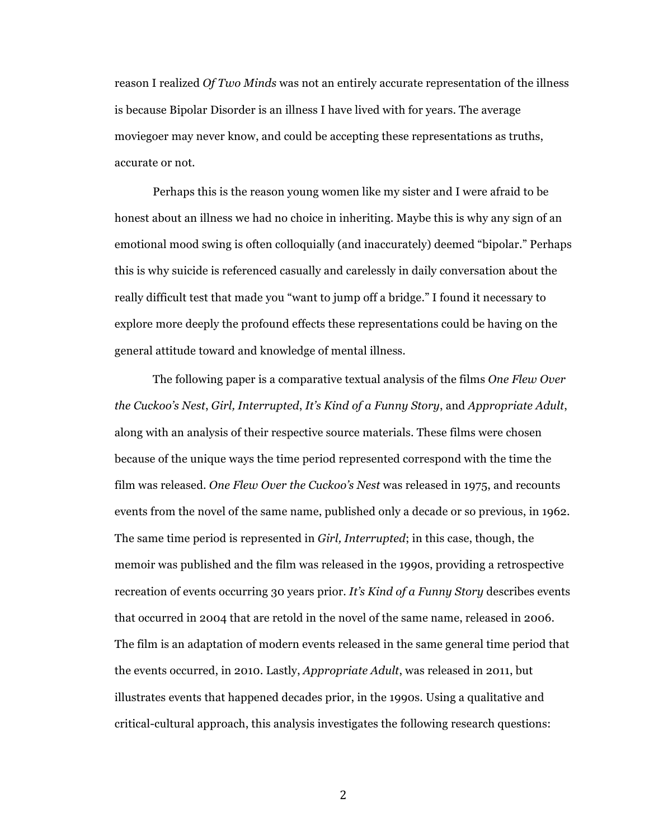reason I realized *Of Two Minds* was not an entirely accurate representation of the illness is because Bipolar Disorder is an illness I have lived with for years. The average moviegoer may never know, and could be accepting these representations as truths, accurate or not.

Perhaps this is the reason young women like my sister and I were afraid to be honest about an illness we had no choice in inheriting. Maybe this is why any sign of an emotional mood swing is often colloquially (and inaccurately) deemed "bipolar." Perhaps this is why suicide is referenced casually and carelessly in daily conversation about the really difficult test that made you "want to jump off a bridge." I found it necessary to explore more deeply the profound effects these representations could be having on the general attitude toward and knowledge of mental illness.

The following paper is a comparative textual analysis of the films *One Flew Over the Cuckoo's Nest*, *Girl, Interrupted*, *It's Kind of a Funny Story*, and *Appropriate Adult*, along with an analysis of their respective source materials. These films were chosen because of the unique ways the time period represented correspond with the time the film was released. *One Flew Over the Cuckoo's Nest* was released in 1975, and recounts events from the novel of the same name, published only a decade or so previous, in 1962. The same time period is represented in *Girl, Interrupted*; in this case, though, the memoir was published and the film was released in the 1990s, providing a retrospective recreation of events occurring 30 years prior. *It's Kind of a Funny Story* describes events that occurred in 2004 that are retold in the novel of the same name, released in 2006. The film is an adaptation of modern events released in the same general time period that the events occurred, in 2010. Lastly, *Appropriate Adult*, was released in 2011, but illustrates events that happened decades prior, in the 1990s. Using a qualitative and critical-cultural approach, this analysis investigates the following research questions: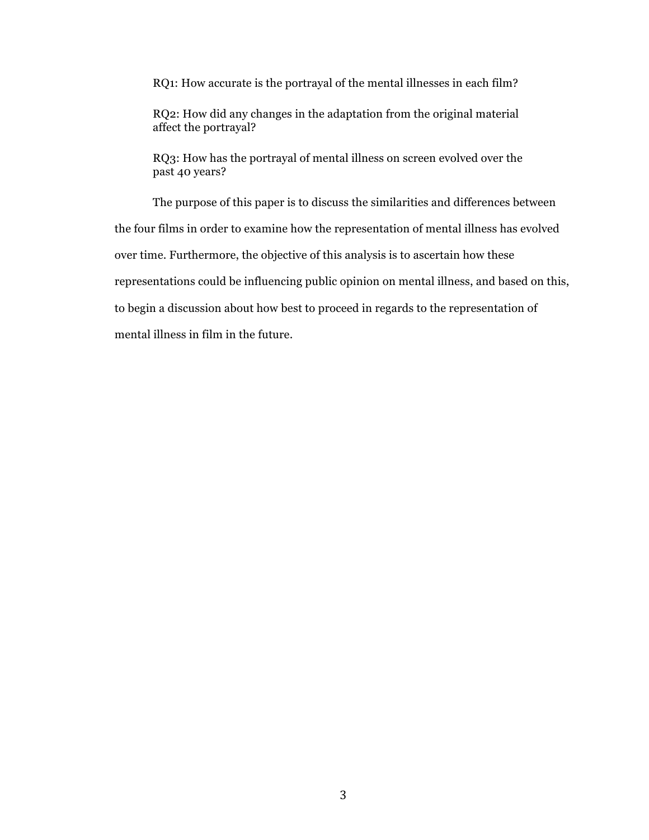RQ1: How accurate is the portrayal of the mental illnesses in each film?

RQ2: How did any changes in the adaptation from the original material affect the portrayal?

RQ3: How has the portrayal of mental illness on screen evolved over the past 40 years?

The purpose of this paper is to discuss the similarities and differences between the four films in order to examine how the representation of mental illness has evolved over time. Furthermore, the objective of this analysis is to ascertain how these representations could be influencing public opinion on mental illness, and based on this, to begin a discussion about how best to proceed in regards to the representation of mental illness in film in the future.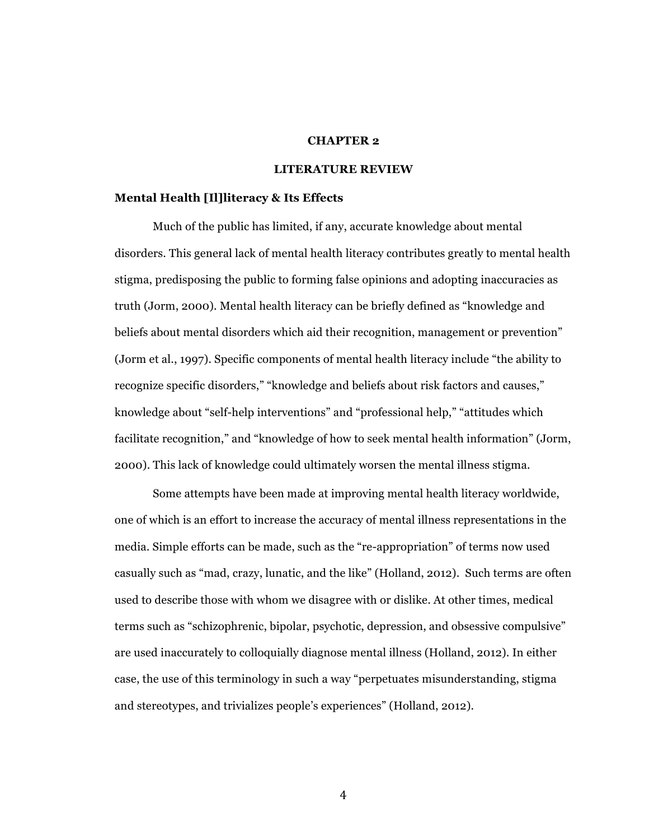# **CHAPTER 2**

## **LITERATURE REVIEW**

#### **Mental Health [Il]literacy & Its Effects**

Much of the public has limited, if any, accurate knowledge about mental disorders. This general lack of mental health literacy contributes greatly to mental health stigma, predisposing the public to forming false opinions and adopting inaccuracies as truth (Jorm, 2000). Mental health literacy can be briefly defined as "knowledge and beliefs about mental disorders which aid their recognition, management or prevention" (Jorm et al., 1997). Specific components of mental health literacy include "the ability to recognize specific disorders," "knowledge and beliefs about risk factors and causes," knowledge about "self-help interventions" and "professional help," "attitudes which facilitate recognition," and "knowledge of how to seek mental health information" (Jorm, 2000). This lack of knowledge could ultimately worsen the mental illness stigma.

Some attempts have been made at improving mental health literacy worldwide, one of which is an effort to increase the accuracy of mental illness representations in the media. Simple efforts can be made, such as the "re-appropriation" of terms now used casually such as "mad, crazy, lunatic, and the like" (Holland, 2012). Such terms are often used to describe those with whom we disagree with or dislike. At other times, medical terms such as "schizophrenic, bipolar, psychotic, depression, and obsessive compulsive" are used inaccurately to colloquially diagnose mental illness (Holland, 2012). In either case, the use of this terminology in such a way "perpetuates misunderstanding, stigma and stereotypes, and trivializes people's experiences" (Holland, 2012).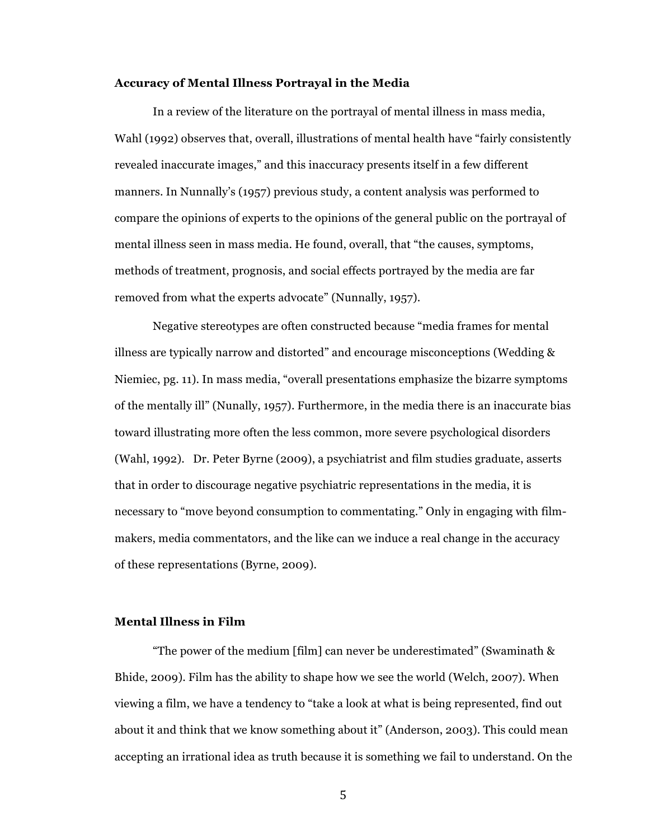#### **Accuracy of Mental Illness Portrayal in the Media**

In a review of the literature on the portrayal of mental illness in mass media, Wahl (1992) observes that, overall, illustrations of mental health have "fairly consistently revealed inaccurate images," and this inaccuracy presents itself in a few different manners. In Nunnally's (1957) previous study, a content analysis was performed to compare the opinions of experts to the opinions of the general public on the portrayal of mental illness seen in mass media. He found, overall, that "the causes, symptoms, methods of treatment, prognosis, and social effects portrayed by the media are far removed from what the experts advocate" (Nunnally, 1957).

Negative stereotypes are often constructed because "media frames for mental illness are typically narrow and distorted" and encourage misconceptions (Wedding & Niemiec, pg. 11). In mass media, "overall presentations emphasize the bizarre symptoms of the mentally ill" (Nunally, 1957). Furthermore, in the media there is an inaccurate bias toward illustrating more often the less common, more severe psychological disorders (Wahl, 1992). Dr. Peter Byrne (2009), a psychiatrist and film studies graduate, asserts that in order to discourage negative psychiatric representations in the media, it is necessary to "move beyond consumption to commentating." Only in engaging with filmmakers, media commentators, and the like can we induce a real change in the accuracy of these representations (Byrne, 2009).

## **Mental Illness in Film**

"The power of the medium [film] can never be underestimated" (Swaminath & Bhide, 2009). Film has the ability to shape how we see the world (Welch, 2007). When viewing a film, we have a tendency to "take a look at what is being represented, find out about it and think that we know something about it" (Anderson, 2003). This could mean accepting an irrational idea as truth because it is something we fail to understand. On the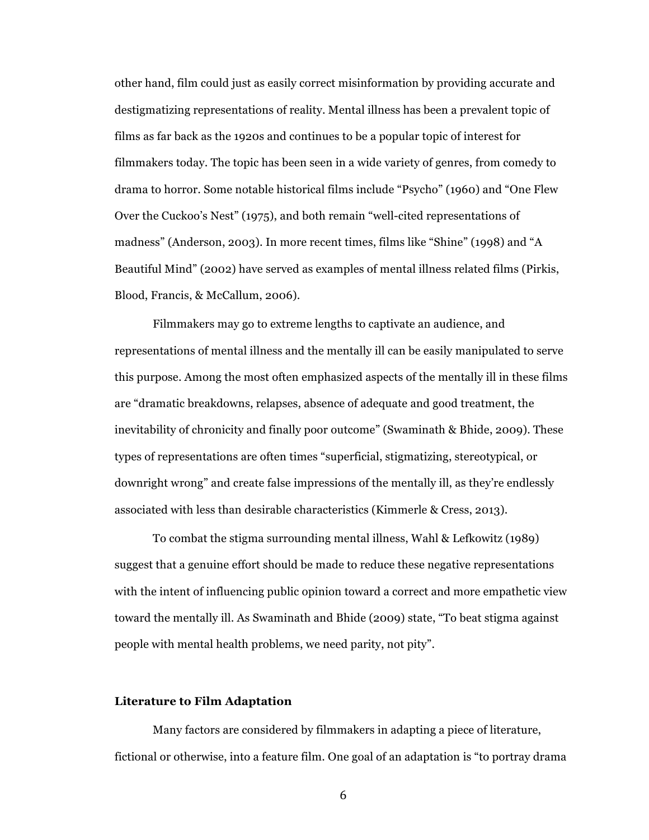other hand, film could just as easily correct misinformation by providing accurate and destigmatizing representations of reality. Mental illness has been a prevalent topic of films as far back as the 1920s and continues to be a popular topic of interest for filmmakers today. The topic has been seen in a wide variety of genres, from comedy to drama to horror. Some notable historical films include "Psycho" (1960) and "One Flew Over the Cuckoo's Nest" (1975), and both remain "well-cited representations of madness" (Anderson, 2003). In more recent times, films like "Shine" (1998) and "A Beautiful Mind" (2002) have served as examples of mental illness related films (Pirkis, Blood, Francis, & McCallum, 2006).

Filmmakers may go to extreme lengths to captivate an audience, and representations of mental illness and the mentally ill can be easily manipulated to serve this purpose. Among the most often emphasized aspects of the mentally ill in these films are "dramatic breakdowns, relapses, absence of adequate and good treatment, the inevitability of chronicity and finally poor outcome" (Swaminath & Bhide, 2009). These types of representations are often times "superficial, stigmatizing, stereotypical, or downright wrong" and create false impressions of the mentally ill, as they're endlessly associated with less than desirable characteristics (Kimmerle & Cress, 2013).

To combat the stigma surrounding mental illness, Wahl & Lefkowitz (1989) suggest that a genuine effort should be made to reduce these negative representations with the intent of influencing public opinion toward a correct and more empathetic view toward the mentally ill. As Swaminath and Bhide (2009) state, "To beat stigma against people with mental health problems, we need parity, not pity".

#### **Literature to Film Adaptation**

Many factors are considered by filmmakers in adapting a piece of literature, fictional or otherwise, into a feature film. One goal of an adaptation is "to portray drama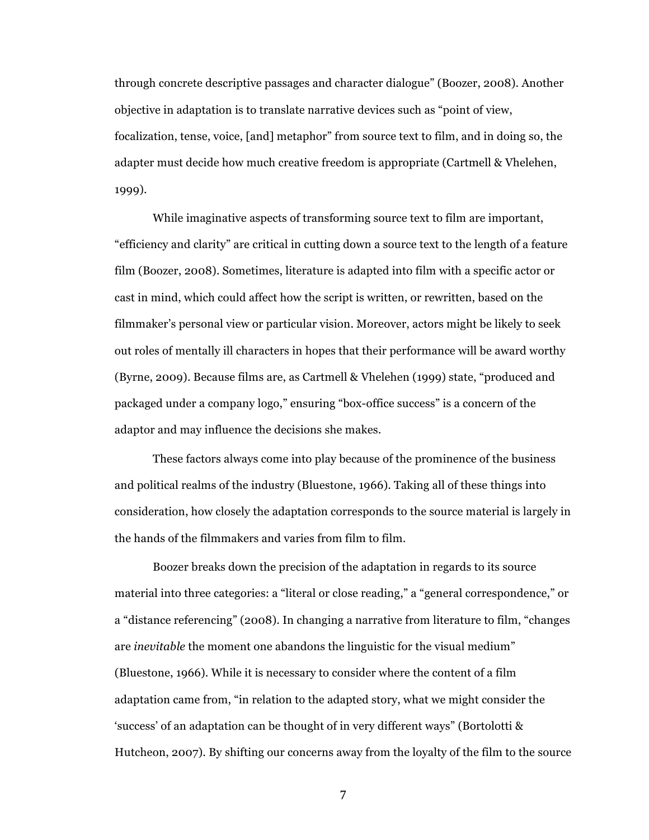through concrete descriptive passages and character dialogue" (Boozer, 2008). Another objective in adaptation is to translate narrative devices such as "point of view, focalization, tense, voice, [and] metaphor" from source text to film, and in doing so, the adapter must decide how much creative freedom is appropriate (Cartmell & Vhelehen, 1999).

While imaginative aspects of transforming source text to film are important, "efficiency and clarity" are critical in cutting down a source text to the length of a feature film (Boozer, 2008). Sometimes, literature is adapted into film with a specific actor or cast in mind, which could affect how the script is written, or rewritten, based on the filmmaker's personal view or particular vision. Moreover, actors might be likely to seek out roles of mentally ill characters in hopes that their performance will be award worthy (Byrne, 2009). Because films are, as Cartmell & Vhelehen (1999) state, "produced and packaged under a company logo," ensuring "box-office success" is a concern of the adaptor and may influence the decisions she makes.

These factors always come into play because of the prominence of the business and political realms of the industry (Bluestone, 1966). Taking all of these things into consideration, how closely the adaptation corresponds to the source material is largely in the hands of the filmmakers and varies from film to film.

Boozer breaks down the precision of the adaptation in regards to its source material into three categories: a "literal or close reading," a "general correspondence," or a "distance referencing" (2008). In changing a narrative from literature to film, "changes are *inevitable* the moment one abandons the linguistic for the visual medium" (Bluestone, 1966). While it is necessary to consider where the content of a film adaptation came from, "in relation to the adapted story, what we might consider the 'success' of an adaptation can be thought of in very different ways" (Bortolotti & Hutcheon, 2007). By shifting our concerns away from the loyalty of the film to the source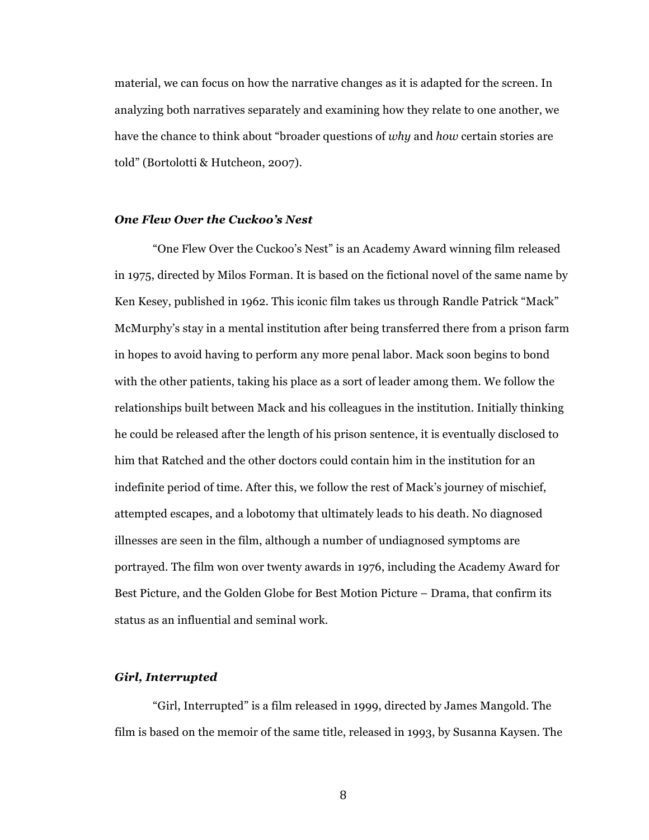material, we can focus on how the narrative changes as it is adapted for the screen. In analyzing both narratives separately and examining how they relate to one another, we have the chance to think about "broader questions of *why* and *how* certain stories are told" (Bortolotti & Hutcheon, 2007).

#### *One Flew Over the Cuckoo's Nest*

"One Flew Over the Cuckoo's Nest" is an Academy Award winning film released in 1975, directed by Milos Forman. It is based on the fictional novel of the same name by Ken Kesey, published in 1962. This iconic film takes us through Randle Patrick "Mack" McMurphy's stay in a mental institution after being transferred there from a prison farm in hopes to avoid having to perform any more penal labor. Mack soon begins to bond with the other patients, taking his place as a sort of leader among them. We follow the relationships built between Mack and his colleagues in the institution. Initially thinking he could be released after the length of his prison sentence, it is eventually disclosed to him that Ratched and the other doctors could contain him in the institution for an indefinite period of time. After this, we follow the rest of Mack's journey of mischief, attempted escapes, and a lobotomy that ultimately leads to his death. No diagnosed illnesses are seen in the film, although a number of undiagnosed symptoms are portrayed. The film won over twenty awards in 1976, including the Academy Award for Best Picture, and the Golden Globe for Best Motion Picture – Drama, that confirm its status as an influential and seminal work.

## *Girl, Interrupted*

"Girl, Interrupted" is a film released in 1999, directed by James Mangold. The film is based on the memoir of the same title, released in 1993, by Susanna Kaysen. The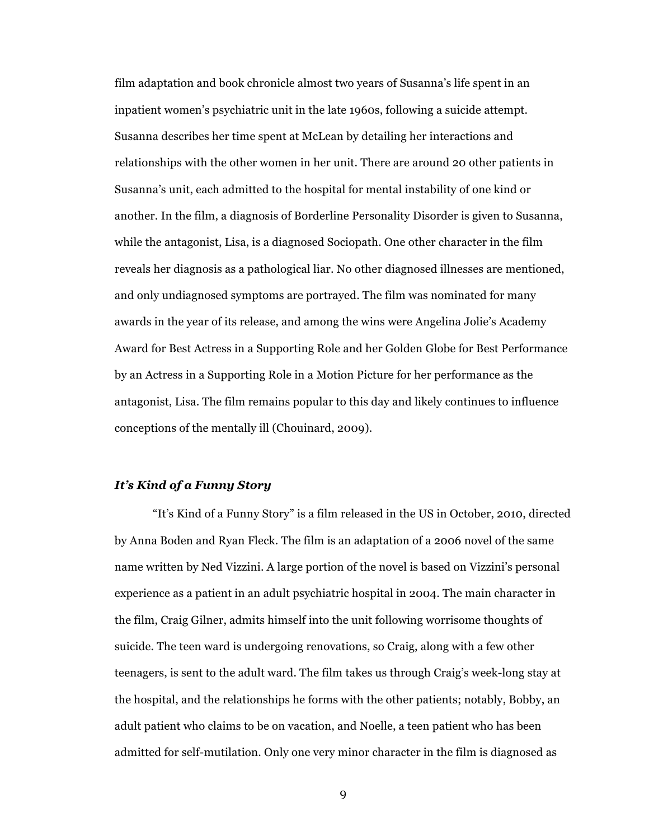film adaptation and book chronicle almost two years of Susanna's life spent in an inpatient women's psychiatric unit in the late 1960s, following a suicide attempt. Susanna describes her time spent at McLean by detailing her interactions and relationships with the other women in her unit. There are around 20 other patients in Susanna's unit, each admitted to the hospital for mental instability of one kind or another. In the film, a diagnosis of Borderline Personality Disorder is given to Susanna, while the antagonist, Lisa, is a diagnosed Sociopath. One other character in the film reveals her diagnosis as a pathological liar. No other diagnosed illnesses are mentioned, and only undiagnosed symptoms are portrayed. The film was nominated for many awards in the year of its release, and among the wins were Angelina Jolie's Academy Award for Best Actress in a Supporting Role and her Golden Globe for Best Performance by an Actress in a Supporting Role in a Motion Picture for her performance as the antagonist, Lisa. The film remains popular to this day and likely continues to influence conceptions of the mentally ill (Chouinard, 2009).

# *It's Kind of a Funny Story*

"It's Kind of a Funny Story" is a film released in the US in October, 2010, directed by Anna Boden and Ryan Fleck. The film is an adaptation of a 2006 novel of the same name written by Ned Vizzini. A large portion of the novel is based on Vizzini's personal experience as a patient in an adult psychiatric hospital in 2004. The main character in the film, Craig Gilner, admits himself into the unit following worrisome thoughts of suicide. The teen ward is undergoing renovations, so Craig, along with a few other teenagers, is sent to the adult ward. The film takes us through Craig's week-long stay at the hospital, and the relationships he forms with the other patients; notably, Bobby, an adult patient who claims to be on vacation, and Noelle, a teen patient who has been admitted for self-mutilation. Only one very minor character in the film is diagnosed as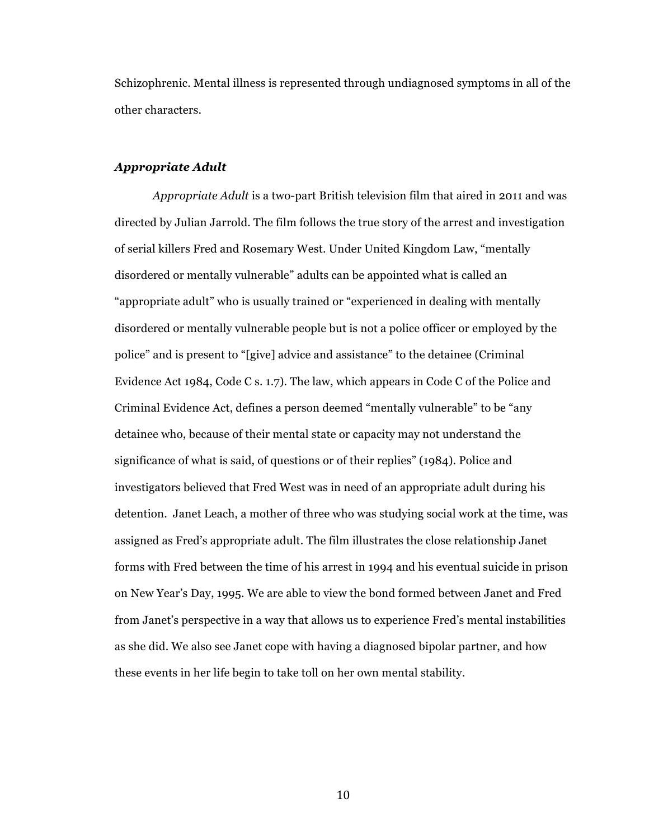Schizophrenic. Mental illness is represented through undiagnosed symptoms in all of the other characters.

#### *Appropriate Adult*

*Appropriate Adult* is a two-part British television film that aired in 2011 and was directed by Julian Jarrold. The film follows the true story of the arrest and investigation of serial killers Fred and Rosemary West. Under United Kingdom Law, "mentally disordered or mentally vulnerable" adults can be appointed what is called an "appropriate adult" who is usually trained or "experienced in dealing with mentally disordered or mentally vulnerable people but is not a police officer or employed by the police" and is present to "[give] advice and assistance" to the detainee (Criminal Evidence Act 1984, Code C s. 1.7). The law, which appears in Code C of the Police and Criminal Evidence Act, defines a person deemed "mentally vulnerable" to be "any detainee who, because of their mental state or capacity may not understand the significance of what is said, of questions or of their replies" (1984). Police and investigators believed that Fred West was in need of an appropriate adult during his detention. Janet Leach, a mother of three who was studying social work at the time, was assigned as Fred's appropriate adult. The film illustrates the close relationship Janet forms with Fred between the time of his arrest in 1994 and his eventual suicide in prison on New Year's Day, 1995. We are able to view the bond formed between Janet and Fred from Janet's perspective in a way that allows us to experience Fred's mental instabilities as she did. We also see Janet cope with having a diagnosed bipolar partner, and how these events in her life begin to take toll on her own mental stability.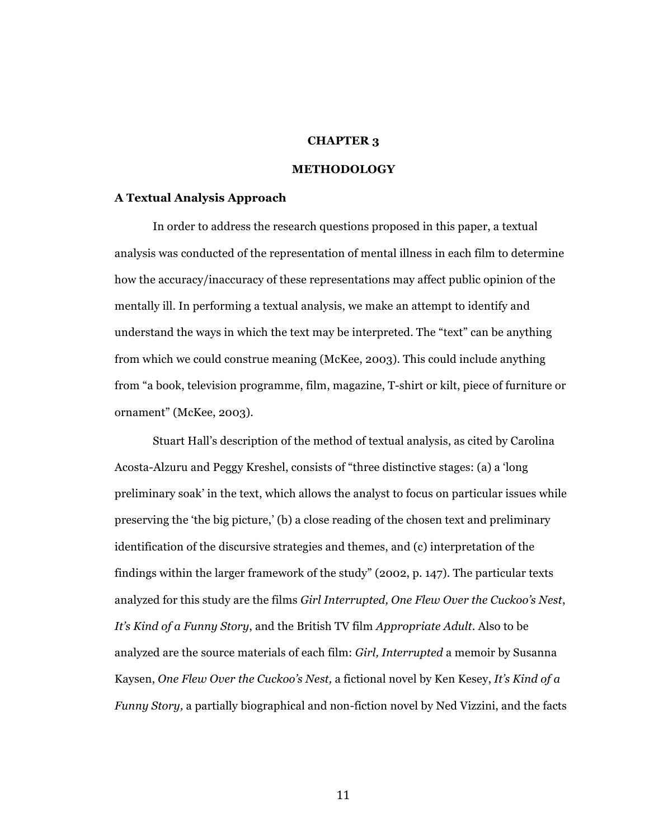## **CHAPTER 3**

## **METHODOLOGY**

#### **A Textual Analysis Approach**

In order to address the research questions proposed in this paper, a textual analysis was conducted of the representation of mental illness in each film to determine how the accuracy/inaccuracy of these representations may affect public opinion of the mentally ill. In performing a textual analysis, we make an attempt to identify and understand the ways in which the text may be interpreted. The "text" can be anything from which we could construe meaning (McKee, 2003). This could include anything from "a book, television programme, film, magazine, T-shirt or kilt, piece of furniture or ornament" (McKee, 2003).

Stuart Hall's description of the method of textual analysis, as cited by Carolina Acosta-Alzuru and Peggy Kreshel, consists of "three distinctive stages: (a) a 'long preliminary soak' in the text, which allows the analyst to focus on particular issues while preserving the 'the big picture,' (b) a close reading of the chosen text and preliminary identification of the discursive strategies and themes, and (c) interpretation of the findings within the larger framework of the study" (2002, p. 147). The particular texts analyzed for this study are the films *Girl Interrupted, One Flew Over the Cuckoo's Nest*, *It's Kind of a Funny Story*, and the British TV film *Appropriate Adult*. Also to be analyzed are the source materials of each film: *Girl, Interrupted* a memoir by Susanna Kaysen, *One Flew Over the Cuckoo's Nest,* a fictional novel by Ken Kesey, *It's Kind of a Funny Story,* a partially biographical and non-fiction novel by Ned Vizzini, and the facts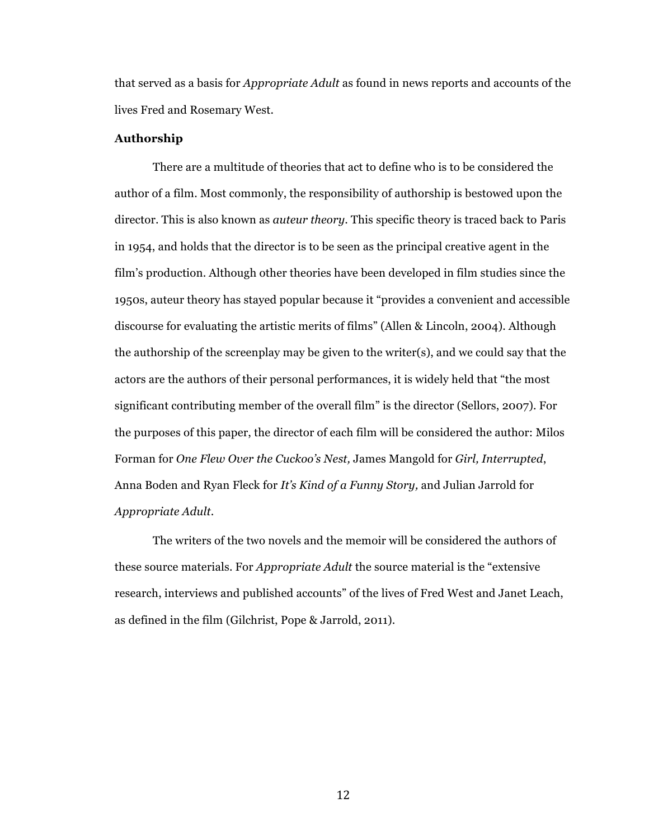that served as a basis for *Appropriate Adult* as found in news reports and accounts of the lives Fred and Rosemary West.

#### **Authorship**

There are a multitude of theories that act to define who is to be considered the author of a film. Most commonly, the responsibility of authorship is bestowed upon the director. This is also known as *auteur theory*. This specific theory is traced back to Paris in 1954, and holds that the director is to be seen as the principal creative agent in the film's production. Although other theories have been developed in film studies since the 1950s, auteur theory has stayed popular because it "provides a convenient and accessible discourse for evaluating the artistic merits of films" (Allen & Lincoln, 2004). Although the authorship of the screenplay may be given to the writer(s), and we could say that the actors are the authors of their personal performances, it is widely held that "the most significant contributing member of the overall film" is the director (Sellors, 2007). For the purposes of this paper, the director of each film will be considered the author: Milos Forman for *One Flew Over the Cuckoo's Nest,* James Mangold for *Girl, Interrupted*, Anna Boden and Ryan Fleck for *It's Kind of a Funny Story,* and Julian Jarrold for *Appropriate Adult*.

The writers of the two novels and the memoir will be considered the authors of these source materials. For *Appropriate Adult* the source material is the "extensive research, interviews and published accounts" of the lives of Fred West and Janet Leach, as defined in the film (Gilchrist, Pope & Jarrold, 2011).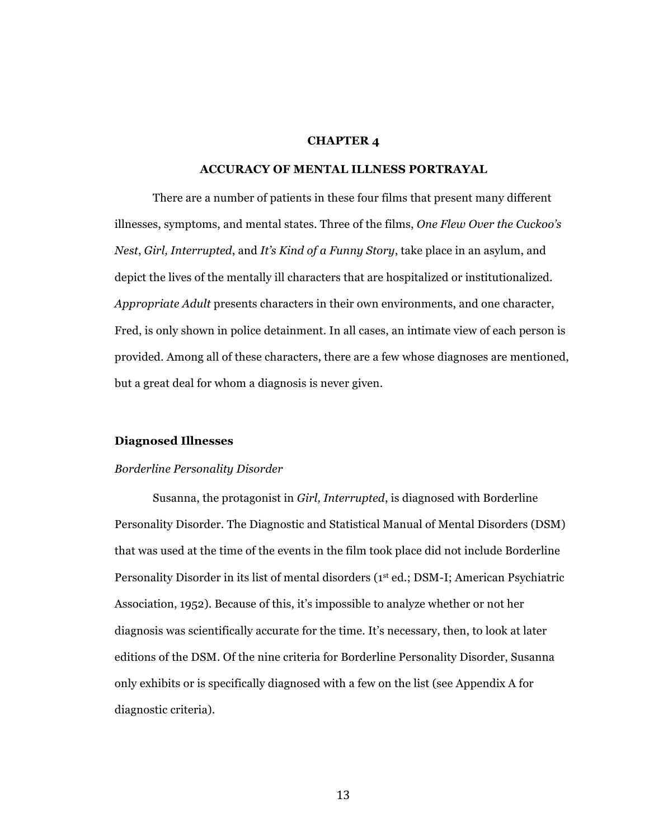#### **CHAPTER 4**

## **ACCURACY OF MENTAL ILLNESS PORTRAYAL**

There are a number of patients in these four films that present many different illnesses, symptoms, and mental states. Three of the films, *One Flew Over the Cuckoo's Nest*, *Girl, Interrupted*, and *It's Kind of a Funny Story*, take place in an asylum, and depict the lives of the mentally ill characters that are hospitalized or institutionalized. *Appropriate Adult* presents characters in their own environments, and one character, Fred, is only shown in police detainment. In all cases, an intimate view of each person is provided. Among all of these characters, there are a few whose diagnoses are mentioned, but a great deal for whom a diagnosis is never given.

#### **Diagnosed Illnesses**

#### *Borderline Personality Disorder*

Susanna, the protagonist in *Girl, Interrupted*, is diagnosed with Borderline Personality Disorder. The Diagnostic and Statistical Manual of Mental Disorders (DSM) that was used at the time of the events in the film took place did not include Borderline Personality Disorder in its list of mental disorders (1<sup>st</sup> ed.; DSM-I; American Psychiatric Association, 1952). Because of this, it's impossible to analyze whether or not her diagnosis was scientifically accurate for the time. It's necessary, then, to look at later editions of the DSM. Of the nine criteria for Borderline Personality Disorder, Susanna only exhibits or is specifically diagnosed with a few on the list (see Appendix A for diagnostic criteria).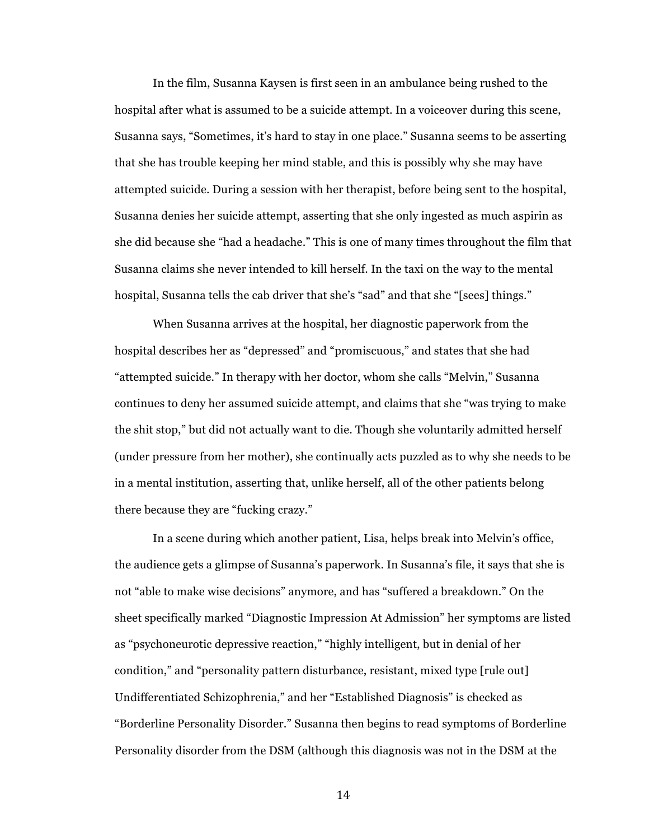In the film, Susanna Kaysen is first seen in an ambulance being rushed to the hospital after what is assumed to be a suicide attempt. In a voiceover during this scene, Susanna says, "Sometimes, it's hard to stay in one place." Susanna seems to be asserting that she has trouble keeping her mind stable, and this is possibly why she may have attempted suicide. During a session with her therapist, before being sent to the hospital, Susanna denies her suicide attempt, asserting that she only ingested as much aspirin as she did because she "had a headache." This is one of many times throughout the film that Susanna claims she never intended to kill herself. In the taxi on the way to the mental hospital, Susanna tells the cab driver that she's "sad" and that she "[sees] things."

When Susanna arrives at the hospital, her diagnostic paperwork from the hospital describes her as "depressed" and "promiscuous," and states that she had "attempted suicide." In therapy with her doctor, whom she calls "Melvin," Susanna continues to deny her assumed suicide attempt, and claims that she "was trying to make the shit stop," but did n0t actually want to die. Though she voluntarily admitted herself (under pressure from her mother), she continually acts puzzled as to why she needs to be in a mental institution, asserting that, unlike herself, all of the other patients belong there because they are "fucking crazy."

In a scene during which another patient, Lisa, helps break into Melvin's office, the audience gets a glimpse of Susanna's paperwork. In Susanna's file, it says that she is not "able to make wise decisions" anymore, and has "suffered a breakdown." On the sheet specifically marked "Diagnostic Impression At Admission" her symptoms are listed as "psychoneurotic depressive reaction," "highly intelligent, but in denial of her condition," and "personality pattern disturbance, resistant, mixed type [rule out] Undifferentiated Schizophrenia," and her "Established Diagnosis" is checked as "Borderline Personality Disorder." Susanna then begins to read symptoms of Borderline Personality disorder from the DSM (although this diagnosis was not in the DSM at the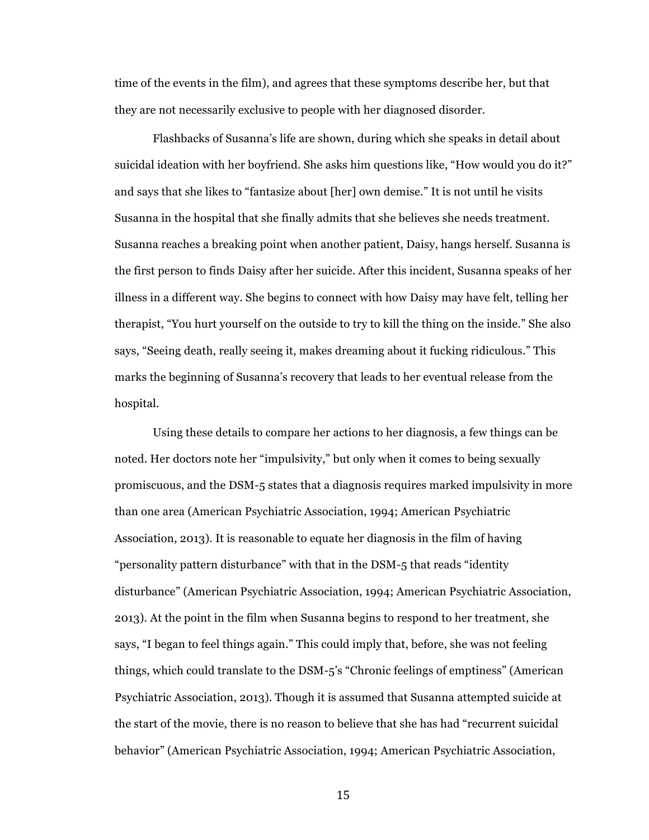time of the events in the film), and agrees that these symptoms describe her, but that they are not necessarily exclusive to people with her diagnosed disorder.

Flashbacks of Susanna's life are shown, during which she speaks in detail about suicidal ideation with her boyfriend. She asks him questions like, "How would you do it?" and says that she likes to "fantasize about [her] own demise." It is not until he visits Susanna in the hospital that she finally admits that she believes she needs treatment. Susanna reaches a breaking point when another patient, Daisy, hangs herself. Susanna is the first person to finds Daisy after her suicide. After this incident, Susanna speaks of her illness in a different way. She begins to connect with how Daisy may have felt, telling her therapist, "You hurt yourself on the outside to try to kill the thing on the inside." She also says, "Seeing death, really seeing it, makes dreaming about it fucking ridiculous." This marks the beginning of Susanna's recovery that leads to her eventual release from the hospital.

Using these details to compare her actions to her diagnosis, a few things can be noted. Her doctors note her "impulsivity," but only when it comes to being sexually promiscuous, and the DSM-5 states that a diagnosis requires marked impulsivity in more than one area (American Psychiatric Association, 1994; American Psychiatric Association, 2013). It is reasonable to equate her diagnosis in the film of having "personality pattern disturbance" with that in the DSM-5 that reads "identity disturbance" (American Psychiatric Association, 1994; American Psychiatric Association, 2013). At the point in the film when Susanna begins to respond to her treatment, she says, "I began to feel things again." This could imply that, before, she was not feeling things, which could translate to the DSM-5's "Chronic feelings of emptiness" (American Psychiatric Association, 2013). Though it is assumed that Susanna attempted suicide at the start of the movie, there is no reason to believe that she has had "recurrent suicidal behavior" (American Psychiatric Association, 1994; American Psychiatric Association,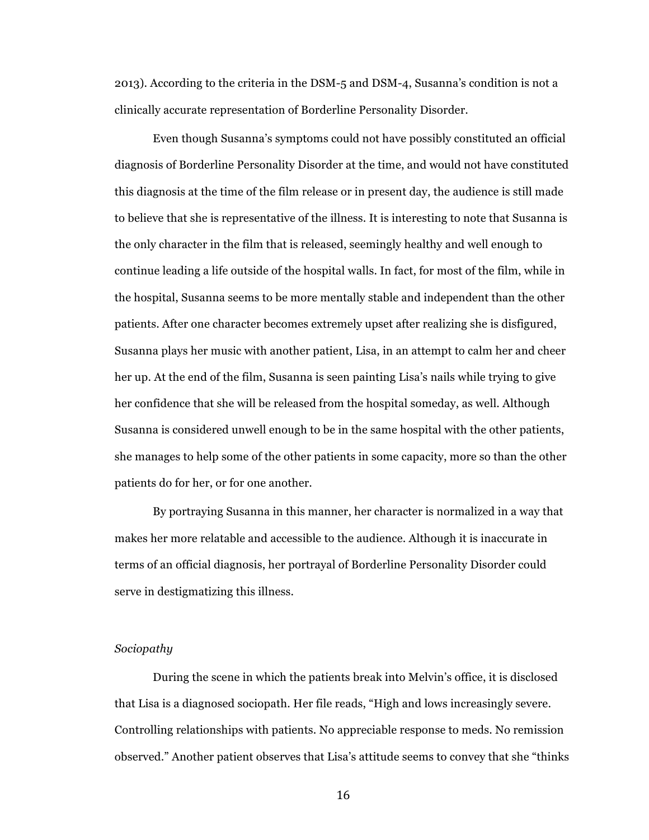2013). According to the criteria in the DSM-5 and DSM-4, Susanna's condition is not a clinically accurate representation of Borderline Personality Disorder.

Even though Susanna's symptoms could not have possibly constituted an official diagnosis of Borderline Personality Disorder at the time, and would not have constituted this diagnosis at the time of the film release or in present day, the audience is still made to believe that she is representative of the illness. It is interesting to note that Susanna is the only character in the film that is released, seemingly healthy and well enough to continue leading a life outside of the hospital walls. In fact, for most of the film, while in the hospital, Susanna seems to be more mentally stable and independent than the other patients. After one character becomes extremely upset after realizing she is disfigured, Susanna plays her music with another patient, Lisa, in an attempt to calm her and cheer her up. At the end of the film, Susanna is seen painting Lisa's nails while trying to give her confidence that she will be released from the hospital someday, as well. Although Susanna is considered unwell enough to be in the same hospital with the other patients, she manages to help some of the other patients in some capacity, more so than the other patients do for her, or for one another.

By portraying Susanna in this manner, her character is normalized in a way that makes her more relatable and accessible to the audience. Although it is inaccurate in terms of an official diagnosis, her portrayal of Borderline Personality Disorder could serve in destigmatizing this illness.

# *Sociopathy*

During the scene in which the patients break into Melvin's office, it is disclosed that Lisa is a diagnosed sociopath. Her file reads, "High and lows increasingly severe. Controlling relationships with patients. No appreciable response to meds. No remission observed." Another patient observes that Lisa's attitude seems to convey that she "thinks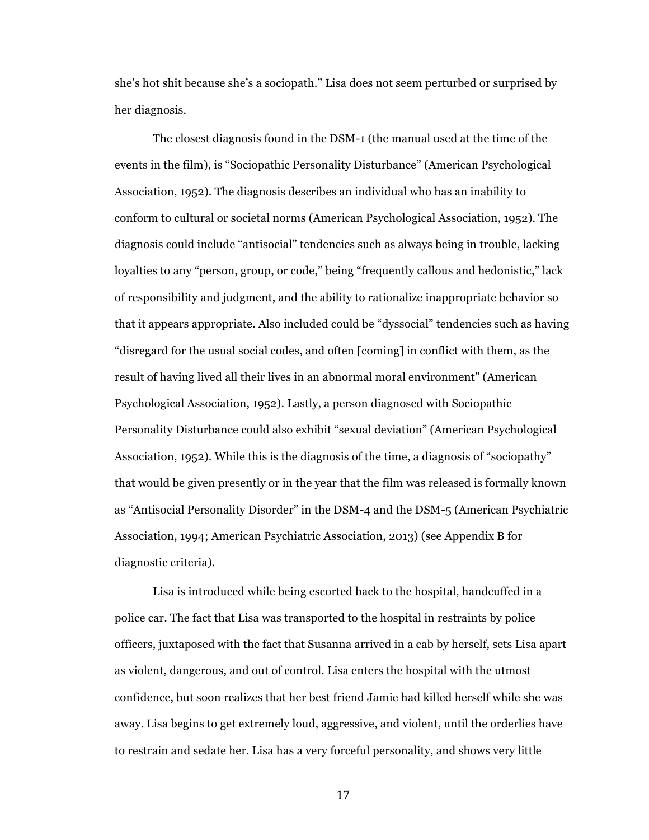she's hot shit because she's a sociopath." Lisa does not seem perturbed or surprised by her diagnosis.

The closest diagnosis found in the DSM-1 (the manual used at the time of the events in the film), is "Sociopathic Personality Disturbance" (American Psychological Association, 1952). The diagnosis describes an individual who has an inability to conform to cultural or societal norms (American Psychological Association, 1952). The diagnosis could include "antisocial" tendencies such as always being in trouble, lacking loyalties to any "person, group, or code," being "frequently callous and hedonistic," lack of responsibility and judgment, and the ability to rationalize inappropriate behavior so that it appears appropriate. Also included could be "dyssocial" tendencies such as having "disregard for the usual social codes, and often [coming] in conflict with them, as the result of having lived all their lives in an abnormal moral environment" (American Psychological Association, 1952). Lastly, a person diagnosed with Sociopathic Personality Disturbance could also exhibit "sexual deviation" (American Psychological Association, 1952). While this is the diagnosis of the time, a diagnosis of "sociopathy" that would be given presently or in the year that the film was released is formally known as "Antisocial Personality Disorder" in the DSM-4 and the DSM-5 (American Psychiatric Association, 1994; American Psychiatric Association, 2013) (see Appendix B for diagnostic criteria).

Lisa is introduced while being escorted back to the hospital, handcuffed in a police car. The fact that Lisa was transported to the hospital in restraints by police officers, juxtaposed with the fact that Susanna arrived in a cab by herself, sets Lisa apart as violent, dangerous, and out of control. Lisa enters the hospital with the utmost confidence, but soon realizes that her best friend Jamie had killed herself while she was away. Lisa begins to get extremely loud, aggressive, and violent, until the orderlies have to restrain and sedate her. Lisa has a very forceful personality, and shows very little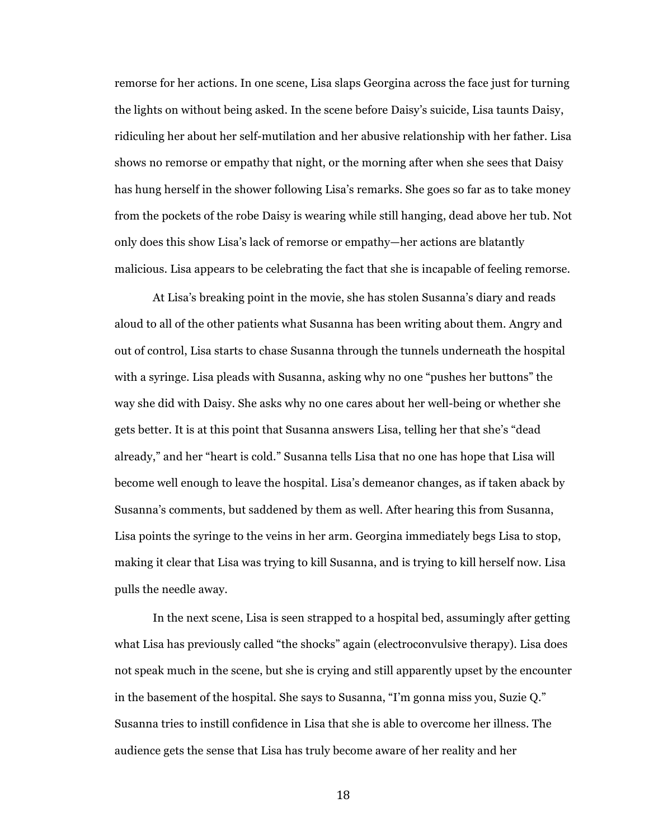remorse for her actions. In one scene, Lisa slaps Georgina across the face just for turning the lights on without being asked. In the scene before Daisy's suicide, Lisa taunts Daisy, ridiculing her about her self-mutilation and her abusive relationship with her father. Lisa shows no remorse or empathy that night, or the morning after when she sees that Daisy has hung herself in the shower following Lisa's remarks. She goes so far as to take money from the pockets of the robe Daisy is wearing while still hanging, dead above her tub. Not only does this show Lisa's lack of remorse or empathy—her actions are blatantly malicious. Lisa appears to be celebrating the fact that she is incapable of feeling remorse.

At Lisa's breaking point in the movie, she has stolen Susanna's diary and reads aloud to all of the other patients what Susanna has been writing about them. Angry and out of control, Lisa starts to chase Susanna through the tunnels underneath the hospital with a syringe. Lisa pleads with Susanna, asking why no one "pushes her buttons" the way she did with Daisy. She asks why no one cares about her well-being or whether she gets better. It is at this point that Susanna answers Lisa, telling her that she's "dead already," and her "heart is cold." Susanna tells Lisa that no one has hope that Lisa will become well enough to leave the hospital. Lisa's demeanor changes, as if taken aback by Susanna's comments, but saddened by them as well. After hearing this from Susanna, Lisa points the syringe to the veins in her arm. Georgina immediately begs Lisa to stop, making it clear that Lisa was trying to kill Susanna, and is trying to kill herself now. Lisa pulls the needle away.

In the next scene, Lisa is seen strapped to a hospital bed, assumingly after getting what Lisa has previously called "the shocks" again (electroconvulsive therapy). Lisa does not speak much in the scene, but she is crying and still apparently upset by the encounter in the basement of the hospital. She says to Susanna, "I'm gonna miss you, Suzie Q." Susanna tries to instill confidence in Lisa that she is able to overcome her illness. The audience gets the sense that Lisa has truly become aware of her reality and her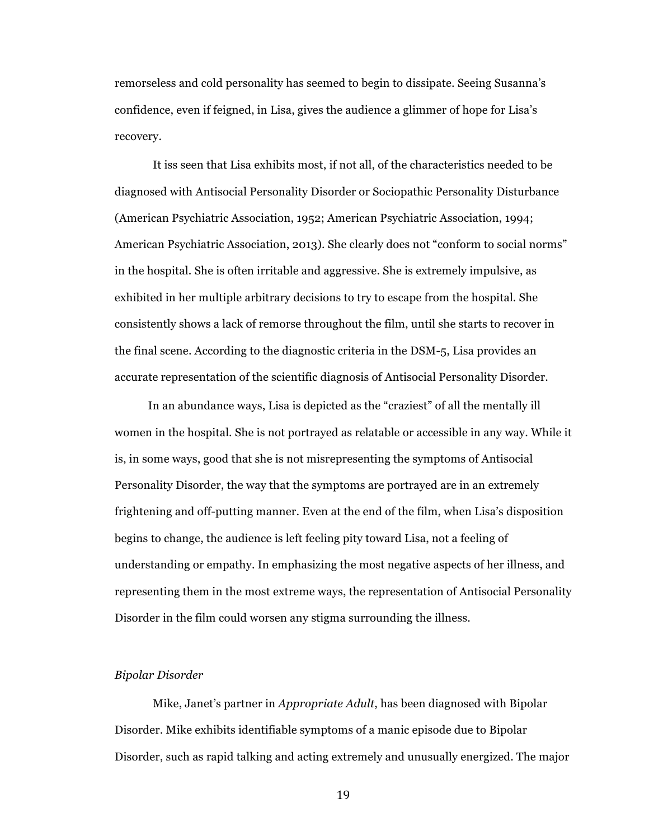remorseless and cold personality has seemed to begin to dissipate. Seeing Susanna's confidence, even if feigned, in Lisa, gives the audience a glimmer of hope for Lisa's recovery.

It iss seen that Lisa exhibits most, if not all, of the characteristics needed to be diagnosed with Antisocial Personality Disorder or Sociopathic Personality Disturbance (American Psychiatric Association, 1952; American Psychiatric Association, 1994; American Psychiatric Association, 2013). She clearly does not "conform to social norms" in the hospital. She is often irritable and aggressive. She is extremely impulsive, as exhibited in her multiple arbitrary decisions to try to escape from the hospital. She consistently shows a lack of remorse throughout the film, until she starts to recover in the final scene. According to the diagnostic criteria in the DSM-5, Lisa provides an accurate representation of the scientific diagnosis of Antisocial Personality Disorder.

In an abundance ways, Lisa is depicted as the "craziest" of all the mentally ill women in the hospital. She is not portrayed as relatable or accessible in any way. While it is, in some ways, good that she is not misrepresenting the symptoms of Antisocial Personality Disorder, the way that the symptoms are portrayed are in an extremely frightening and off-putting manner. Even at the end of the film, when Lisa's disposition begins to change, the audience is left feeling pity toward Lisa, not a feeling of understanding or empathy. In emphasizing the most negative aspects of her illness, and representing them in the most extreme ways, the representation of Antisocial Personality Disorder in the film could worsen any stigma surrounding the illness.

## *Bipolar Disorder*

Mike, Janet's partner in *Appropriate Adult*, has been diagnosed with Bipolar Disorder. Mike exhibits identifiable symptoms of a manic episode due to Bipolar Disorder, such as rapid talking and acting extremely and unusually energized. The major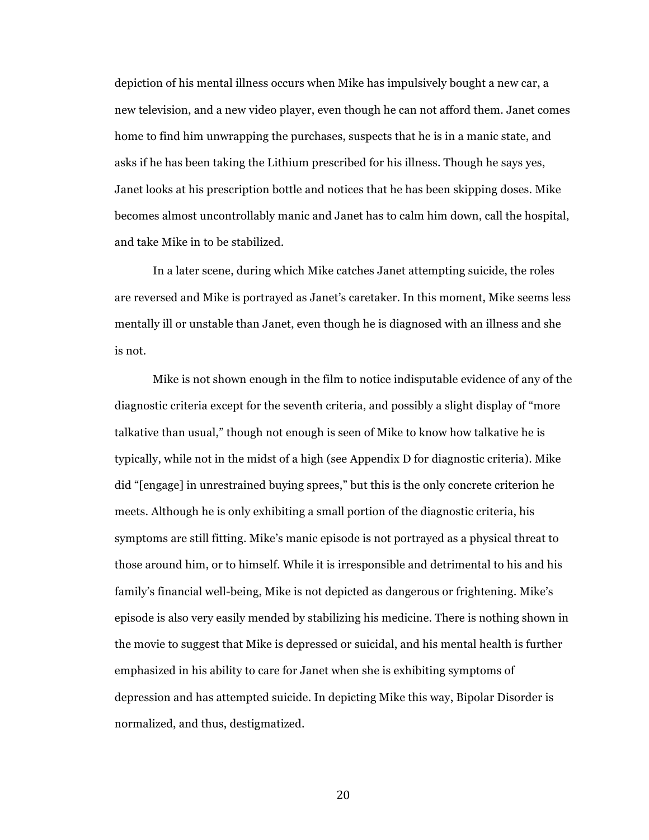depiction of his mental illness occurs when Mike has impulsively bought a new car, a new television, and a new video player, even though he can not afford them. Janet comes home to find him unwrapping the purchases, suspects that he is in a manic state, and asks if he has been taking the Lithium prescribed for his illness. Though he says yes, Janet looks at his prescription bottle and notices that he has been skipping doses. Mike becomes almost uncontrollably manic and Janet has to calm him down, call the hospital, and take Mike in to be stabilized.

In a later scene, during which Mike catches Janet attempting suicide, the roles are reversed and Mike is portrayed as Janet's caretaker. In this moment, Mike seems less mentally ill or unstable than Janet, even though he is diagnosed with an illness and she is not.

Mike is not shown enough in the film to notice indisputable evidence of any of the diagnostic criteria except for the seventh criteria, and possibly a slight display of "more talkative than usual," though not enough is seen of Mike to know how talkative he is typically, while not in the midst of a high (see Appendix D for diagnostic criteria). Mike did "[engage] in unrestrained buying sprees," but this is the only concrete criterion he meets. Although he is only exhibiting a small portion of the diagnostic criteria, his symptoms are still fitting. Mike's manic episode is not portrayed as a physical threat to those around him, or to himself. While it is irresponsible and detrimental to his and his family's financial well-being, Mike is not depicted as dangerous or frightening. Mike's episode is also very easily mended by stabilizing his medicine. There is nothing shown in the movie to suggest that Mike is depressed or suicidal, and his mental health is further emphasized in his ability to care for Janet when she is exhibiting symptoms of depression and has attempted suicide. In depicting Mike this way, Bipolar Disorder is normalized, and thus, destigmatized.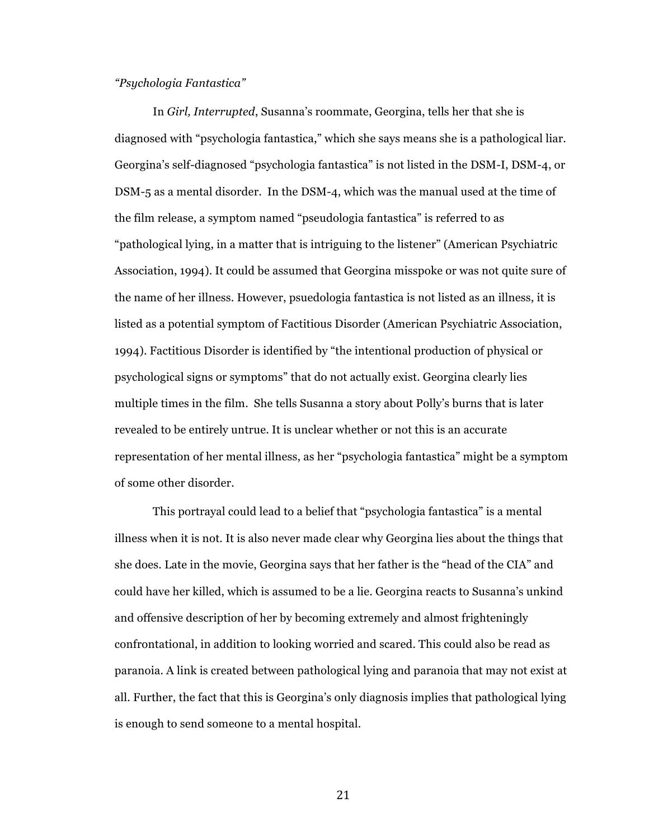# *"Psychologia Fantastica"*

In *Girl, Interrupted*, Susanna's roommate, Georgina, tells her that she is diagnosed with "psychologia fantastica," which she says means she is a pathological liar. Georgina's self-diagnosed "psychologia fantastica" is not listed in the DSM-I, DSM-4, or DSM-5 as a mental disorder. In the DSM-4, which was the manual used at the time of the film release, a symptom named "pseudologia fantastica" is referred to as "pathological lying, in a matter that is intriguing to the listener" (American Psychiatric Association, 1994). It could be assumed that Georgina misspoke or was not quite sure of the name of her illness. However, psuedologia fantastica is not listed as an illness, it is listed as a potential symptom of Factitious Disorder (American Psychiatric Association, 1994). Factitious Disorder is identified by "the intentional production of physical or psychological signs or symptoms" that do not actually exist. Georgina clearly lies multiple times in the film. She tells Susanna a story about Polly's burns that is later revealed to be entirely untrue. It is unclear whether or not this is an accurate representation of her mental illness, as her "psychologia fantastica" might be a symptom of some other disorder.

This portrayal could lead to a belief that "psychologia fantastica" is a mental illness when it is not. It is also never made clear why Georgina lies about the things that she does. Late in the movie, Georgina says that her father is the "head of the CIA" and could have her killed, which is assumed to be a lie. Georgina reacts to Susanna's unkind and offensive description of her by becoming extremely and almost frighteningly confrontational, in addition to looking worried and scared. This could also be read as paranoia. A link is created between pathological lying and paranoia that may not exist at all. Further, the fact that this is Georgina's only diagnosis implies that pathological lying is enough to send someone to a mental hospital.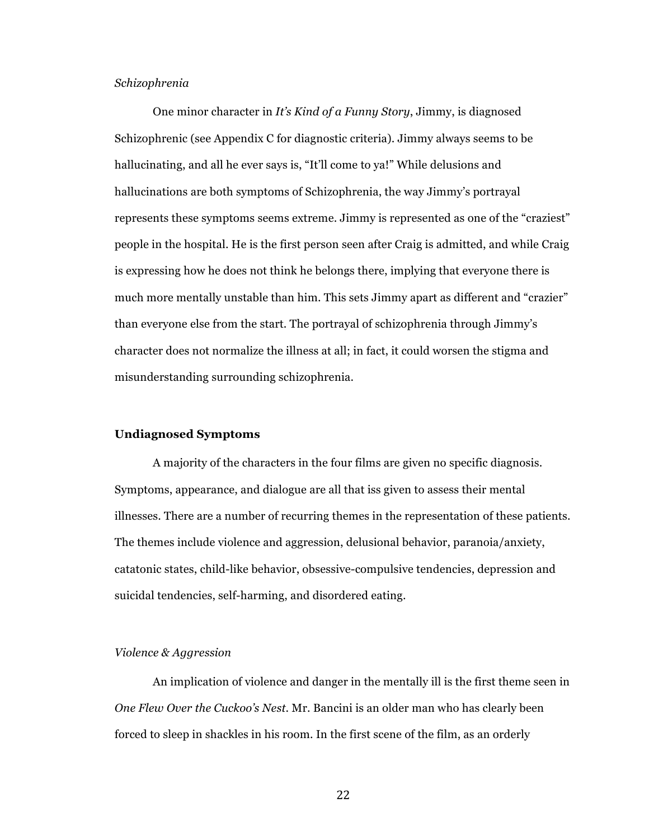## *Schizophrenia*

One minor character in *It's Kind of a Funny Story*, Jimmy, is diagnosed Schizophrenic (see Appendix C for diagnostic criteria). Jimmy always seems to be hallucinating, and all he ever says is, "It'll come to ya!" While delusions and hallucinations are both symptoms of Schizophrenia, the way Jimmy's portrayal represents these symptoms seems extreme. Jimmy is represented as one of the "craziest" people in the hospital. He is the first person seen after Craig is admitted, and while Craig is expressing how he does not think he belongs there, implying that everyone there is much more mentally unstable than him. This sets Jimmy apart as different and "crazier" than everyone else from the start. The portrayal of schizophrenia through Jimmy's character does not normalize the illness at all; in fact, it could worsen the stigma and misunderstanding surrounding schizophrenia.

### **Undiagnosed Symptoms**

A majority of the characters in the four films are given no specific diagnosis. Symptoms, appearance, and dialogue are all that iss given to assess their mental illnesses. There are a number of recurring themes in the representation of these patients. The themes include violence and aggression, delusional behavior, paranoia/anxiety, catatonic states, child-like behavior, obsessive-compulsive tendencies, depression and suicidal tendencies, self-harming, and disordered eating.

## *Violence & Aggression*

An implication of violence and danger in the mentally ill is the first theme seen in *One Flew Over the Cuckoo's Nest*. Mr. Bancini is an older man who has clearly been forced to sleep in shackles in his room. In the first scene of the film, as an orderly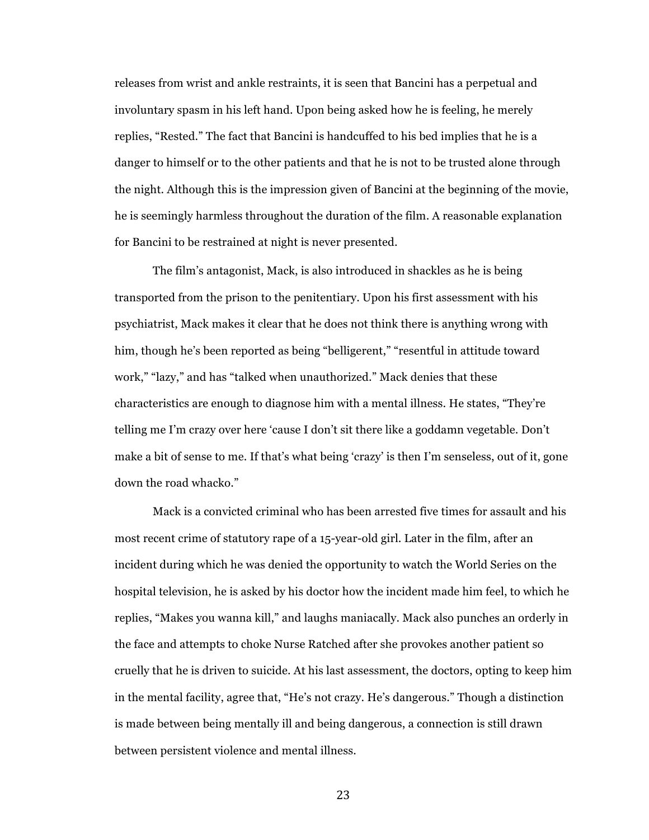releases from wrist and ankle restraints, it is seen that Bancini has a perpetual and involuntary spasm in his left hand. Upon being asked how he is feeling, he merely replies, "Rested." The fact that Bancini is handcuffed to his bed implies that he is a danger to himself or to the other patients and that he is not to be trusted alone through the night. Although this is the impression given of Bancini at the beginning of the movie, he is seemingly harmless throughout the duration of the film. A reasonable explanation for Bancini to be restrained at night is never presented.

The film's antagonist, Mack, is also introduced in shackles as he is being transported from the prison to the penitentiary. Upon his first assessment with his psychiatrist, Mack makes it clear that he does not think there is anything wrong with him, though he's been reported as being "belligerent," "resentful in attitude toward work," "lazy," and has "talked when unauthorized." Mack denies that these characteristics are enough to diagnose him with a mental illness. He states, "They're telling me I'm crazy over here 'cause I don't sit there like a goddamn vegetable. Don't make a bit of sense to me. If that's what being 'crazy' is then I'm senseless, out of it, gone down the road whacko."

Mack is a convicted criminal who has been arrested five times for assault and his most recent crime of statutory rape of a 15-year-old girl. Later in the film, after an incident during which he was denied the opportunity to watch the World Series on the hospital television, he is asked by his doctor how the incident made him feel, to which he replies, "Makes you wanna kill," and laughs maniacally. Mack also punches an orderly in the face and attempts to choke Nurse Ratched after she provokes another patient so cruelly that he is driven to suicide. At his last assessment, the doctors, opting to keep him in the mental facility, agree that, "He's not crazy. He's dangerous." Though a distinction is made between being mentally ill and being dangerous, a connection is still drawn between persistent violence and mental illness.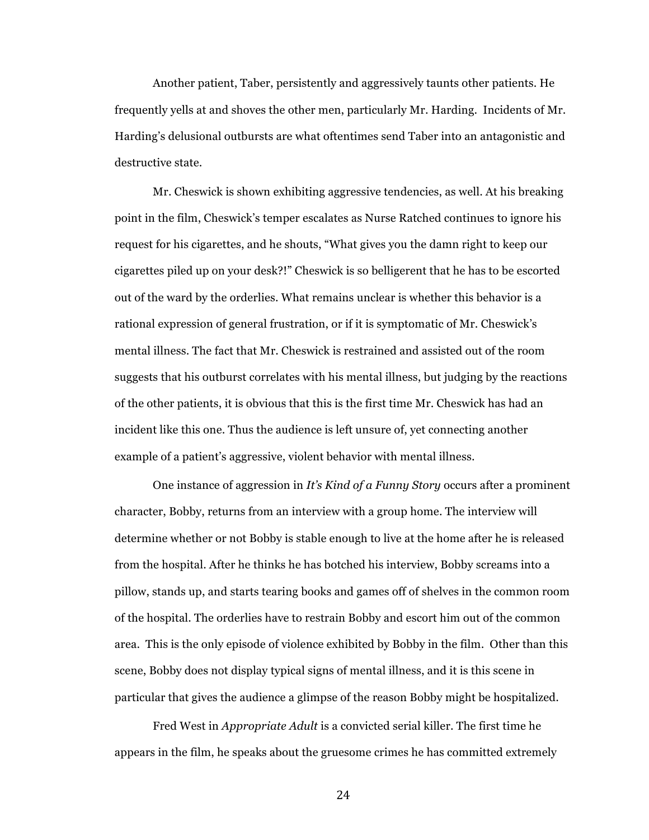Another patient, Taber, persistently and aggressively taunts other patients. He frequently yells at and shoves the other men, particularly Mr. Harding. Incidents of Mr. Harding's delusional outbursts are what oftentimes send Taber into an antagonistic and destructive state.

Mr. Cheswick is shown exhibiting aggressive tendencies, as well. At his breaking point in the film, Cheswick's temper escalates as Nurse Ratched continues to ignore his request for his cigarettes, and he shouts, "What gives you the damn right to keep our cigarettes piled up on your desk?!" Cheswick is so belligerent that he has to be escorted out of the ward by the orderlies. What remains unclear is whether this behavior is a rational expression of general frustration, or if it is symptomatic of Mr. Cheswick's mental illness. The fact that Mr. Cheswick is restrained and assisted out of the room suggests that his outburst correlates with his mental illness, but judging by the reactions of the other patients, it is obvious that this is the first time Mr. Cheswick has had an incident like this one. Thus the audience is left unsure of, yet connecting another example of a patient's aggressive, violent behavior with mental illness.

One instance of aggression in *It's Kind of a Funny Story* occurs after a prominent character, Bobby, returns from an interview with a group home. The interview will determine whether or not Bobby is stable enough to live at the home after he is released from the hospital. After he thinks he has botched his interview, Bobby screams into a pillow, stands up, and starts tearing books and games off of shelves in the common room of the hospital. The orderlies have to restrain Bobby and escort him out of the common area. This is the only episode of violence exhibited by Bobby in the film. Other than this scene, Bobby does not display typical signs of mental illness, and it is this scene in particular that gives the audience a glimpse of the reason Bobby might be hospitalized.

Fred West in *Appropriate Adult* is a convicted serial killer. The first time he appears in the film, he speaks about the gruesome crimes he has committed extremely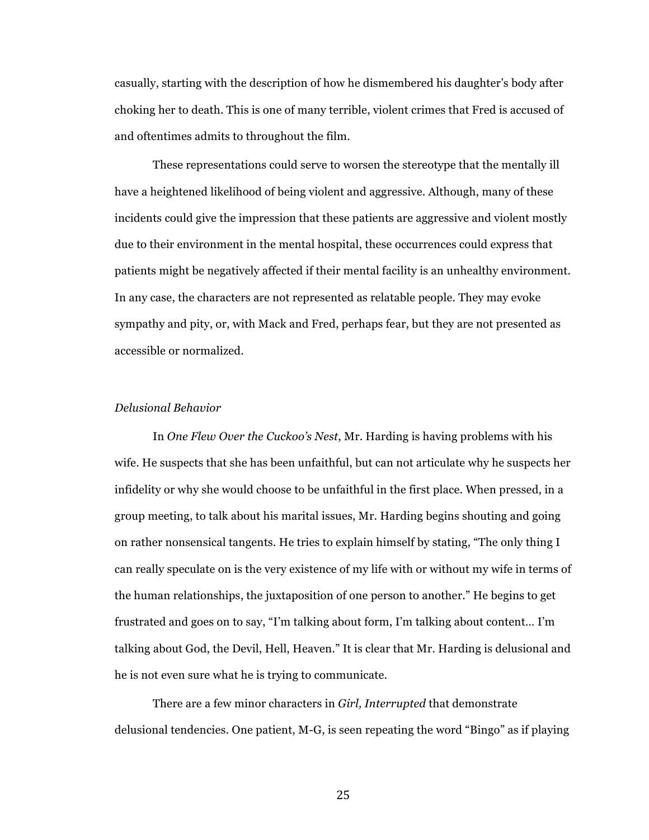casually, starting with the description of how he dismembered his daughter's body after choking her to death. This is one of many terrible, violent crimes that Fred is accused of and oftentimes admits to throughout the film.

These representations could serve to worsen the stereotype that the mentally ill have a heightened likelihood of being violent and aggressive. Although, many of these incidents could give the impression that these patients are aggressive and violent mostly due to their environment in the mental hospital, these occurrences could express that patients might be negatively affected if their mental facility is an unhealthy environment. In any case, the characters are not represented as relatable people. They may evoke sympathy and pity, or, with Mack and Fred, perhaps fear, but they are not presented as accessible or normalized.

# *Delusional Behavior*

In *One Flew Over the Cuckoo's Nest*, Mr. Harding is having problems with his wife. He suspects that she has been unfaithful, but can not articulate why he suspects her infidelity or why she would choose to be unfaithful in the first place. When pressed, in a group meeting, to talk about his marital issues, Mr. Harding begins shouting and going on rather nonsensical tangents. He tries to explain himself by stating, "The only thing I can really speculate on is the very existence of my life with or without my wife in terms of the human relationships, the juxtaposition of one person to another." He begins to get frustrated and goes on to say, "I'm talking about form, I'm talking about content… I'm talking about God, the Devil, Hell, Heaven." It is clear that Mr. Harding is delusional and he is not even sure what he is trying to communicate.

There are a few minor characters in *Girl, Interrupted* that demonstrate delusional tendencies. One patient, M-G, is seen repeating the word "Bingo" as if playing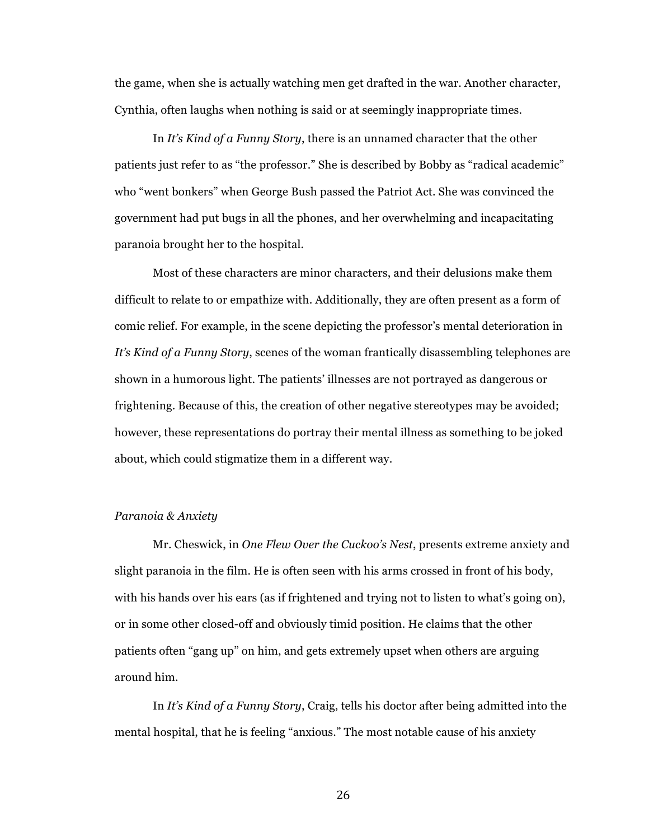the game, when she is actually watching men get drafted in the war. Another character, Cynthia, often laughs when nothing is said or at seemingly inappropriate times.

In *It's Kind of a Funny Story*, there is an unnamed character that the other patients just refer to as "the professor." She is described by Bobby as "radical academic" who "went bonkers" when George Bush passed the Patriot Act. She was convinced the government had put bugs in all the phones, and her overwhelming and incapacitating paranoia brought her to the hospital.

Most of these characters are minor characters, and their delusions make them difficult to relate to or empathize with. Additionally, they are often present as a form of comic relief. For example, in the scene depicting the professor's mental deterioration in *It's Kind of a Funny Story*, scenes of the woman frantically disassembling telephones are shown in a humorous light. The patients' illnesses are not portrayed as dangerous or frightening. Because of this, the creation of other negative stereotypes may be avoided; however, these representations do portray their mental illness as something to be joked about, which could stigmatize them in a different way.

## *Paranoia & Anxiety*

Mr. Cheswick, in *One Flew Over the Cuckoo's Nest*, presents extreme anxiety and slight paranoia in the film. He is often seen with his arms crossed in front of his body, with his hands over his ears (as if frightened and trying not to listen to what's going on), or in some other closed-off and obviously timid position. He claims that the other patients often "gang up" on him, and gets extremely upset when others are arguing around him.

In *It's Kind of a Funny Story*, Craig, tells his doctor after being admitted into the mental hospital, that he is feeling "anxious." The most notable cause of his anxiety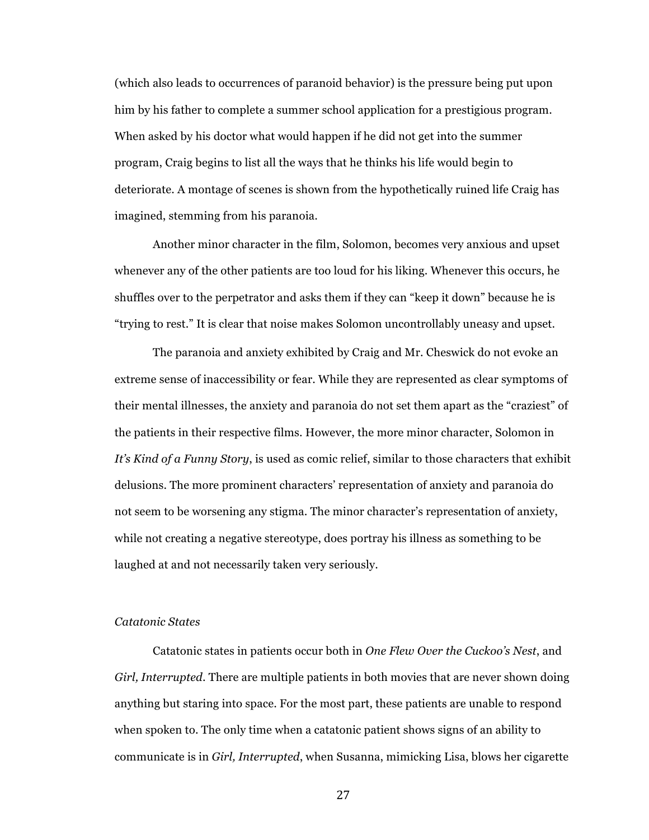(which also leads to occurrences of paranoid behavior) is the pressure being put upon him by his father to complete a summer school application for a prestigious program. When asked by his doctor what would happen if he did not get into the summer program, Craig begins to list all the ways that he thinks his life would begin to deteriorate. A montage of scenes is shown from the hypothetically ruined life Craig has imagined, stemming from his paranoia.

Another minor character in the film, Solomon, becomes very anxious and upset whenever any of the other patients are too loud for his liking. Whenever this occurs, he shuffles over to the perpetrator and asks them if they can "keep it down" because he is "trying to rest." It is clear that noise makes Solomon uncontrollably uneasy and upset.

The paranoia and anxiety exhibited by Craig and Mr. Cheswick do not evoke an extreme sense of inaccessibility or fear. While they are represented as clear symptoms of their mental illnesses, the anxiety and paranoia do not set them apart as the "craziest" of the patients in their respective films. However, the more minor character, Solomon in *It's Kind of a Funny Story*, is used as comic relief, similar to those characters that exhibit delusions. The more prominent characters' representation of anxiety and paranoia do not seem to be worsening any stigma. The minor character's representation of anxiety, while not creating a negative stereotype, does portray his illness as something to be laughed at and not necessarily taken very seriously.

## *Catatonic States*

Catatonic states in patients occur both in *One Flew Over the Cuckoo's Nest*, and *Girl, Interrupted*. There are multiple patients in both movies that are never shown doing anything but staring into space. For the most part, these patients are unable to respond when spoken to. The only time when a catatonic patient shows signs of an ability to communicate is in *Girl, Interrupted*, when Susanna, mimicking Lisa, blows her cigarette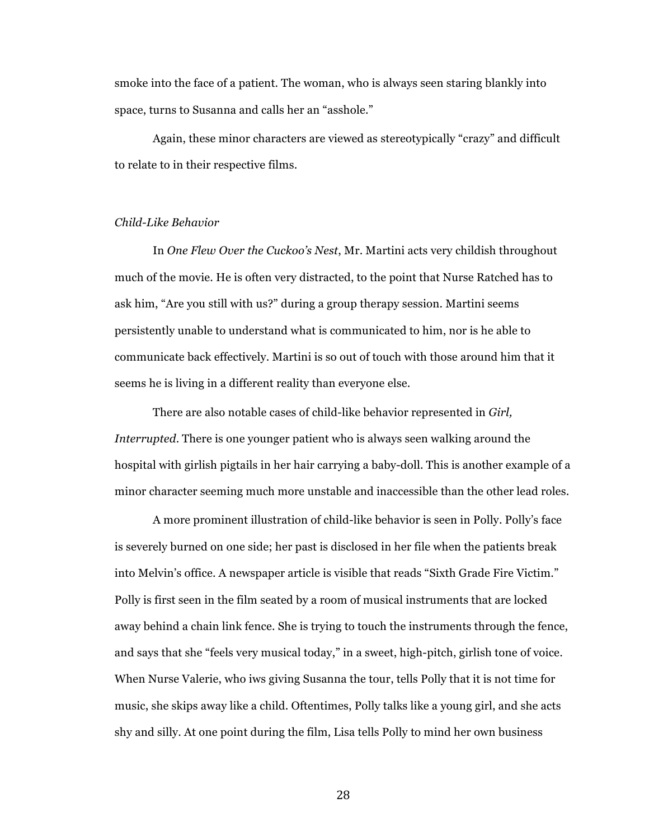smoke into the face of a patient. The woman, who is always seen staring blankly into space, turns to Susanna and calls her an "asshole."

Again, these minor characters are viewed as stereotypically "crazy" and difficult to relate to in their respective films.

# *Child-Like Behavior*

In *One Flew Over the Cuckoo's Nest*, Mr. Martini acts very childish throughout much of the movie. He is often very distracted, to the point that Nurse Ratched has to ask him, "Are you still with us?" during a group therapy session. Martini seems persistently unable to understand what is communicated to him, nor is he able to communicate back effectively. Martini is so out of touch with those around him that it seems he is living in a different reality than everyone else.

There are also notable cases of child-like behavior represented in *Girl, Interrupted*. There is one younger patient who is always seen walking around the hospital with girlish pigtails in her hair carrying a baby-doll. This is another example of a minor character seeming much more unstable and inaccessible than the other lead roles.

A more prominent illustration of child-like behavior is seen in Polly. Polly's face is severely burned on one side; her past is disclosed in her file when the patients break into Melvin's office. A newspaper article is visible that reads "Sixth Grade Fire Victim." Polly is first seen in the film seated by a room of musical instruments that are locked away behind a chain link fence. She is trying to touch the instruments through the fence, and says that she "feels very musical today," in a sweet, high-pitch, girlish tone of voice. When Nurse Valerie, who iws giving Susanna the tour, tells Polly that it is not time for music, she skips away like a child. Oftentimes, Polly talks like a young girl, and she acts shy and silly. At one point during the film, Lisa tells Polly to mind her own business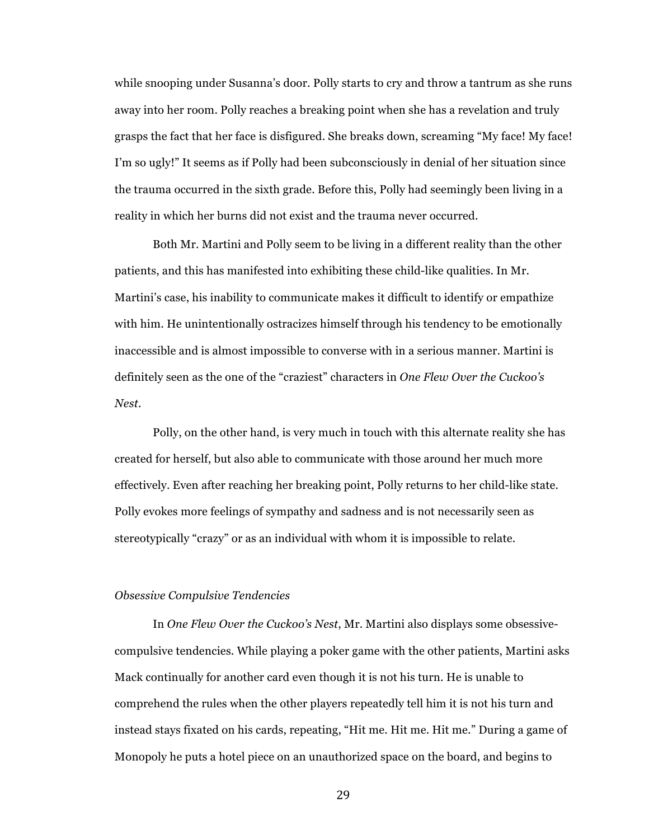while snooping under Susanna's door. Polly starts to cry and throw a tantrum as she runs away into her room. Polly reaches a breaking point when she has a revelation and truly grasps the fact that her face is disfigured. She breaks down, screaming "My face! My face! I'm so ugly!" It seems as if Polly had been subconsciously in denial of her situation since the trauma occurred in the sixth grade. Before this, Polly had seemingly been living in a reality in which her burns did not exist and the trauma never occurred.

Both Mr. Martini and Polly seem to be living in a different reality than the other patients, and this has manifested into exhibiting these child-like qualities. In Mr. Martini's case, his inability to communicate makes it difficult to identify or empathize with him. He unintentionally ostracizes himself through his tendency to be emotionally inaccessible and is almost impossible to converse with in a serious manner. Martini is definitely seen as the one of the "craziest" characters in *One Flew Over the Cuckoo's Nest*.

Polly, on the other hand, is very much in touch with this alternate reality she has created for herself, but also able to communicate with those around her much more effectively. Even after reaching her breaking point, Polly returns to her child-like state. Polly evokes more feelings of sympathy and sadness and is not necessarily seen as stereotypically "crazy" or as an individual with whom it is impossible to relate.

## *Obsessive Compulsive Tendencies*

In *One Flew Over the Cuckoo's Nest*, Mr. Martini also displays some obsessivecompulsive tendencies. While playing a poker game with the other patients, Martini asks Mack continually for another card even though it is not his turn. He is unable to comprehend the rules when the other players repeatedly tell him it is not his turn and instead stays fixated on his cards, repeating, "Hit me. Hit me. Hit me." During a game of Monopoly he puts a hotel piece on an unauthorized space on the board, and begins to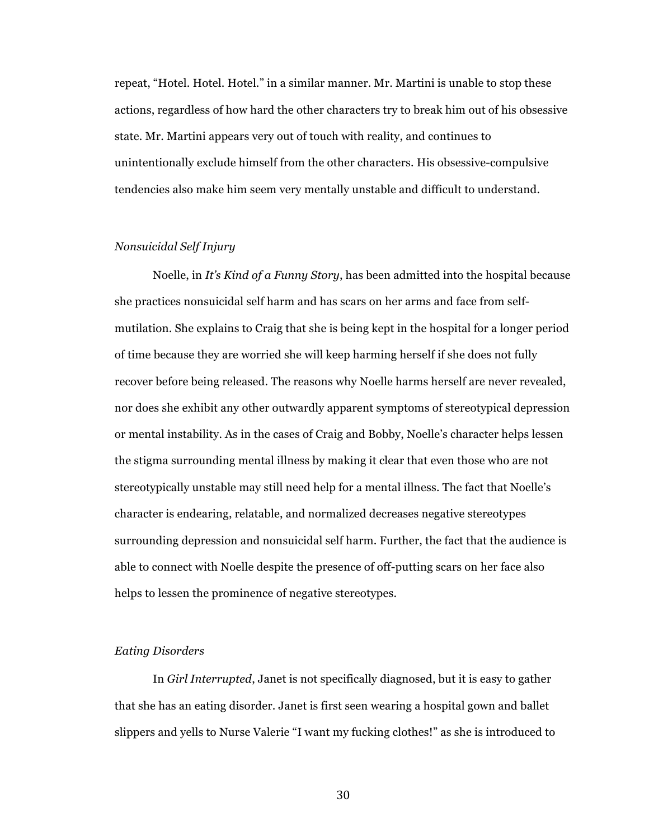repeat, "Hotel. Hotel. Hotel." in a similar manner. Mr. Martini is unable to stop these actions, regardless of how hard the other characters try to break him out of his obsessive state. Mr. Martini appears very out of touch with reality, and continues to unintentionally exclude himself from the other characters. His obsessive-compulsive tendencies also make him seem very mentally unstable and difficult to understand.

### *Nonsuicidal Self Injury*

Noelle, in *It's Kind of a Funny Story*, has been admitted into the hospital because she practices nonsuicidal self harm and has scars on her arms and face from selfmutilation. She explains to Craig that she is being kept in the hospital for a longer period of time because they are worried she will keep harming herself if she does not fully recover before being released. The reasons why Noelle harms herself are never revealed, nor does she exhibit any other outwardly apparent symptoms of stereotypical depression or mental instability. As in the cases of Craig and Bobby, Noelle's character helps lessen the stigma surrounding mental illness by making it clear that even those who are not stereotypically unstable may still need help for a mental illness. The fact that Noelle's character is endearing, relatable, and normalized decreases negative stereotypes surrounding depression and nonsuicidal self harm. Further, the fact that the audience is able to connect with Noelle despite the presence of off-putting scars on her face also helps to lessen the prominence of negative stereotypes.

# *Eating Disorders*

In *Girl Interrupted*, Janet is not specifically diagnosed, but it is easy to gather that she has an eating disorder. Janet is first seen wearing a hospital gown and ballet slippers and yells to Nurse Valerie "I want my fucking clothes!" as she is introduced to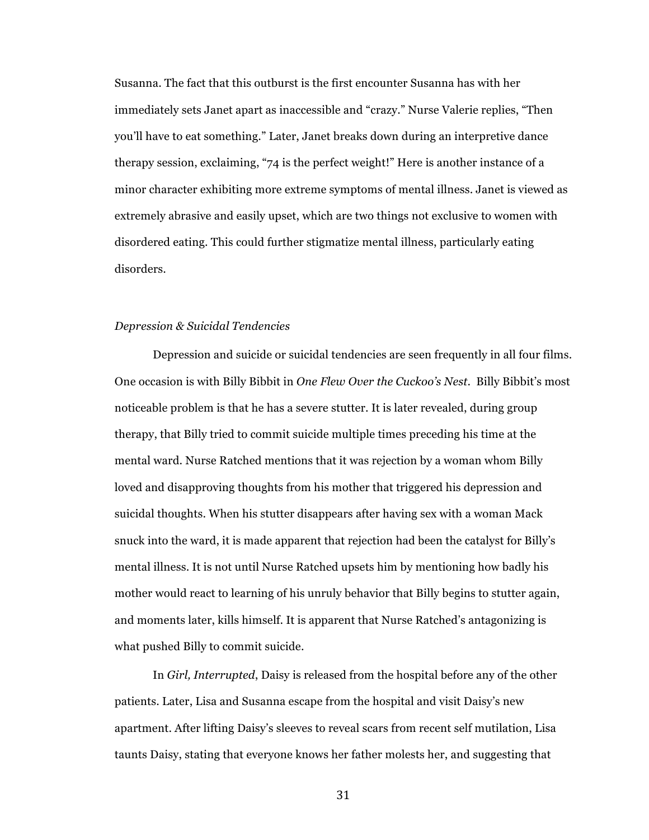Susanna. The fact that this outburst is the first encounter Susanna has with her immediately sets Janet apart as inaccessible and "crazy." Nurse Valerie replies, "Then you'll have to eat something." Later, Janet breaks down during an interpretive dance therapy session, exclaiming, "74 is the perfect weight!" Here is another instance of a minor character exhibiting more extreme symptoms of mental illness. Janet is viewed as extremely abrasive and easily upset, which are two things not exclusive to women with disordered eating. This could further stigmatize mental illness, particularly eating disorders.

### *Depression & Suicidal Tendencies*

Depression and suicide or suicidal tendencies are seen frequently in all four films. One occasion is with Billy Bibbit in *One Flew Over the Cuckoo's Nest*. Billy Bibbit's most noticeable problem is that he has a severe stutter. It is later revealed, during group therapy, that Billy tried to commit suicide multiple times preceding his time at the mental ward. Nurse Ratched mentions that it was rejection by a woman whom Billy loved and disapproving thoughts from his mother that triggered his depression and suicidal thoughts. When his stutter disappears after having sex with a woman Mack snuck into the ward, it is made apparent that rejection had been the catalyst for Billy's mental illness. It is not until Nurse Ratched upsets him by mentioning how badly his mother would react to learning of his unruly behavior that Billy begins to stutter again, and moments later, kills himself. It is apparent that Nurse Ratched's antagonizing is what pushed Billy to commit suicide.

In *Girl, Interrupted*, Daisy is released from the hospital before any of the other patients. Later, Lisa and Susanna escape from the hospital and visit Daisy's new apartment. After lifting Daisy's sleeves to reveal scars from recent self mutilation, Lisa taunts Daisy, stating that everyone knows her father molests her, and suggesting that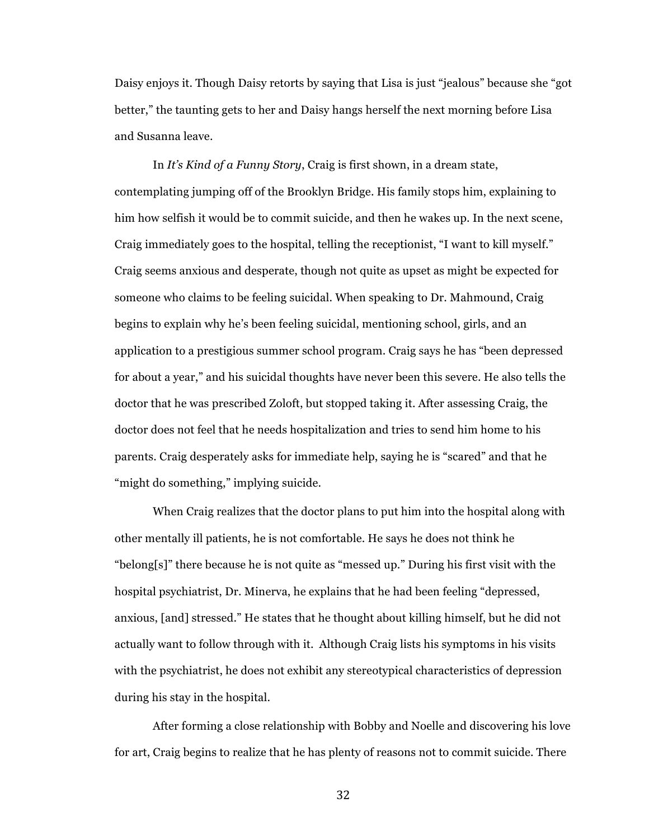Daisy enjoys it. Though Daisy retorts by saying that Lisa is just "jealous" because she "got better," the taunting gets to her and Daisy hangs herself the next morning before Lisa and Susanna leave.

In *It's Kind of a Funny Story*, Craig is first shown, in a dream state, contemplating jumping off of the Brooklyn Bridge. His family stops him, explaining to him how selfish it would be to commit suicide, and then he wakes up. In the next scene, Craig immediately goes to the hospital, telling the receptionist, "I want to kill myself." Craig seems anxious and desperate, though not quite as upset as might be expected for someone who claims to be feeling suicidal. When speaking to Dr. Mahmound, Craig begins to explain why he's been feeling suicidal, mentioning school, girls, and an application to a prestigious summer school program. Craig says he has "been depressed for about a year," and his suicidal thoughts have never been this severe. He also tells the doctor that he was prescribed Zoloft, but stopped taking it. After assessing Craig, the doctor does not feel that he needs hospitalization and tries to send him home to his parents. Craig desperately asks for immediate help, saying he is "scared" and that he "might do something," implying suicide.

When Craig realizes that the doctor plans to put him into the hospital along with other mentally ill patients, he is not comfortable. He says he does not think he "belong[s]" there because he is not quite as "messed up." During his first visit with the hospital psychiatrist, Dr. Minerva, he explains that he had been feeling "depressed, anxious, [and] stressed." He states that he thought about killing himself, but he did not actually want to follow through with it. Although Craig lists his symptoms in his visits with the psychiatrist, he does not exhibit any stereotypical characteristics of depression during his stay in the hospital.

After forming a close relationship with Bobby and Noelle and discovering his love for art, Craig begins to realize that he has plenty of reasons not to commit suicide. There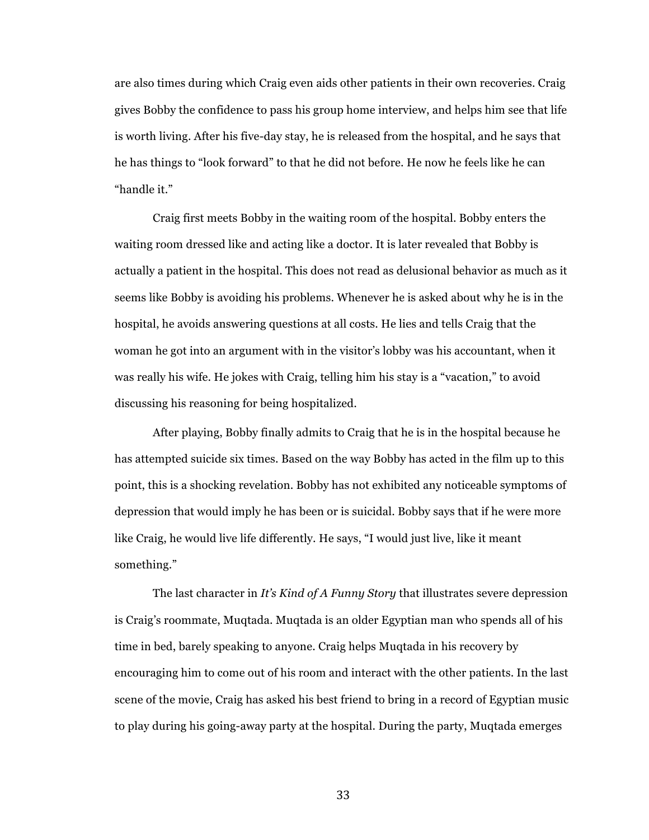are also times during which Craig even aids other patients in their own recoveries. Craig gives Bobby the confidence to pass his group home interview, and helps him see that life is worth living. After his five-day stay, he is released from the hospital, and he says that he has things to "look forward" to that he did not before. He now he feels like he can "handle it."

Craig first meets Bobby in the waiting room of the hospital. Bobby enters the waiting room dressed like and acting like a doctor. It is later revealed that Bobby is actually a patient in the hospital. This does not read as delusional behavior as much as it seems like Bobby is avoiding his problems. Whenever he is asked about why he is in the hospital, he avoids answering questions at all costs. He lies and tells Craig that the woman he got into an argument with in the visitor's lobby was his accountant, when it was really his wife. He jokes with Craig, telling him his stay is a "vacation," to avoid discussing his reasoning for being hospitalized.

After playing, Bobby finally admits to Craig that he is in the hospital because he has attempted suicide six times. Based on the way Bobby has acted in the film up to this point, this is a shocking revelation. Bobby has not exhibited any noticeable symptoms of depression that would imply he has been or is suicidal. Bobby says that if he were more like Craig, he would live life differently. He says, "I would just live, like it meant something."

The last character in *It's Kind of A Funny Story* that illustrates severe depression is Craig's roommate, Muqtada. Muqtada is an older Egyptian man who spends all of his time in bed, barely speaking to anyone. Craig helps Muqtada in his recovery by encouraging him to come out of his room and interact with the other patients. In the last scene of the movie, Craig has asked his best friend to bring in a record of Egyptian music to play during his going-away party at the hospital. During the party, Muqtada emerges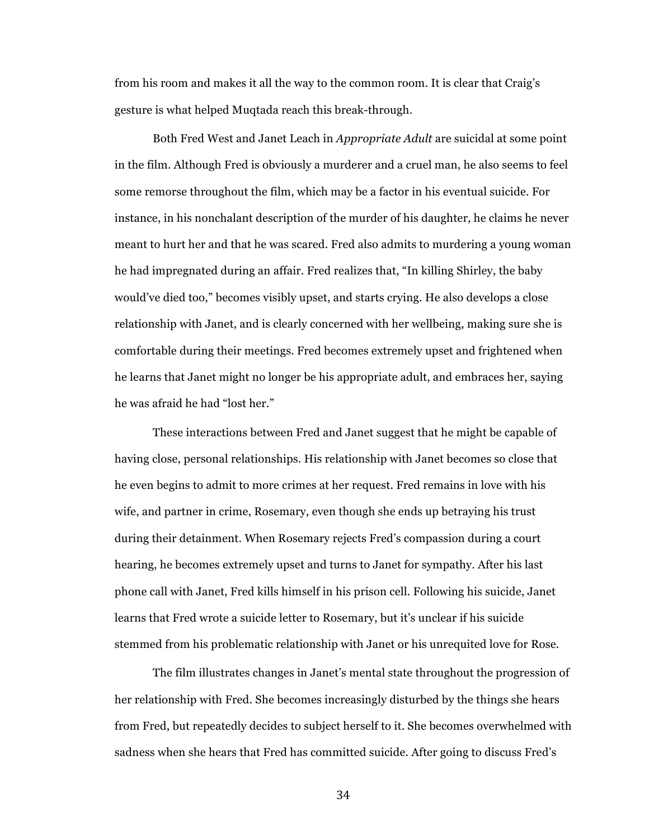from his room and makes it all the way to the common room. It is clear that Craig's gesture is what helped Muqtada reach this break-through.

Both Fred West and Janet Leach in *Appropriate Adult* are suicidal at some point in the film. Although Fred is obviously a murderer and a cruel man, he also seems to feel some remorse throughout the film, which may be a factor in his eventual suicide. For instance, in his nonchalant description of the murder of his daughter, he claims he never meant to hurt her and that he was scared. Fred also admits to murdering a young woman he had impregnated during an affair. Fred realizes that, "In killing Shirley, the baby would've died too," becomes visibly upset, and starts crying. He also develops a close relationship with Janet, and is clearly concerned with her wellbeing, making sure she is comfortable during their meetings. Fred becomes extremely upset and frightened when he learns that Janet might no longer be his appropriate adult, and embraces her, saying he was afraid he had "lost her."

These interactions between Fred and Janet suggest that he might be capable of having close, personal relationships. His relationship with Janet becomes so close that he even begins to admit to more crimes at her request. Fred remains in love with his wife, and partner in crime, Rosemary, even though she ends up betraying his trust during their detainment. When Rosemary rejects Fred's compassion during a court hearing, he becomes extremely upset and turns to Janet for sympathy. After his last phone call with Janet, Fred kills himself in his prison cell. Following his suicide, Janet learns that Fred wrote a suicide letter to Rosemary, but it's unclear if his suicide stemmed from his problematic relationship with Janet or his unrequited love for Rose.

The film illustrates changes in Janet's mental state throughout the progression of her relationship with Fred. She becomes increasingly disturbed by the things she hears from Fred, but repeatedly decides to subject herself to it. She becomes overwhelmed with sadness when she hears that Fred has committed suicide. After going to discuss Fred's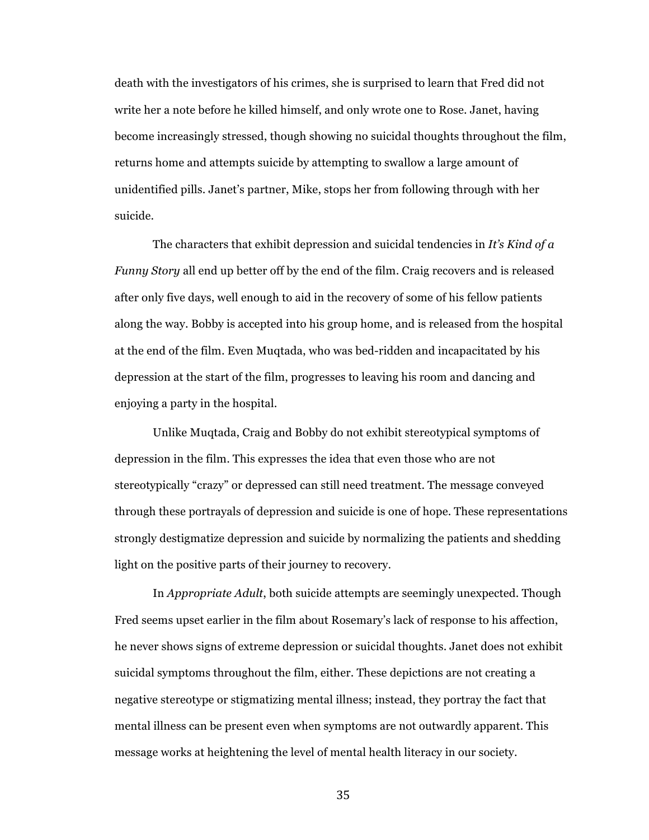death with the investigators of his crimes, she is surprised to learn that Fred did not write her a note before he killed himself, and only wrote one to Rose. Janet, having become increasingly stressed, though showing no suicidal thoughts throughout the film, returns home and attempts suicide by attempting to swallow a large amount of unidentified pills. Janet's partner, Mike, stops her from following through with her suicide.

The characters that exhibit depression and suicidal tendencies in *It's Kind of a Funny Story* all end up better off by the end of the film. Craig recovers and is released after only five days, well enough to aid in the recovery of some of his fellow patients along the way. Bobby is accepted into his group home, and is released from the hospital at the end of the film. Even Muqtada, who was bed-ridden and incapacitated by his depression at the start of the film, progresses to leaving his room and dancing and enjoying a party in the hospital.

Unlike Muqtada, Craig and Bobby do not exhibit stereotypical symptoms of depression in the film. This expresses the idea that even those who are not stereotypically "crazy" or depressed can still need treatment. The message conveyed through these portrayals of depression and suicide is one of hope. These representations strongly destigmatize depression and suicide by normalizing the patients and shedding light on the positive parts of their journey to recovery.

In *Appropriate Adult*, both suicide attempts are seemingly unexpected. Though Fred seems upset earlier in the film about Rosemary's lack of response to his affection, he never shows signs of extreme depression or suicidal thoughts. Janet does not exhibit suicidal symptoms throughout the film, either. These depictions are not creating a negative stereotype or stigmatizing mental illness; instead, they portray the fact that mental illness can be present even when symptoms are not outwardly apparent. This message works at heightening the level of mental health literacy in our society.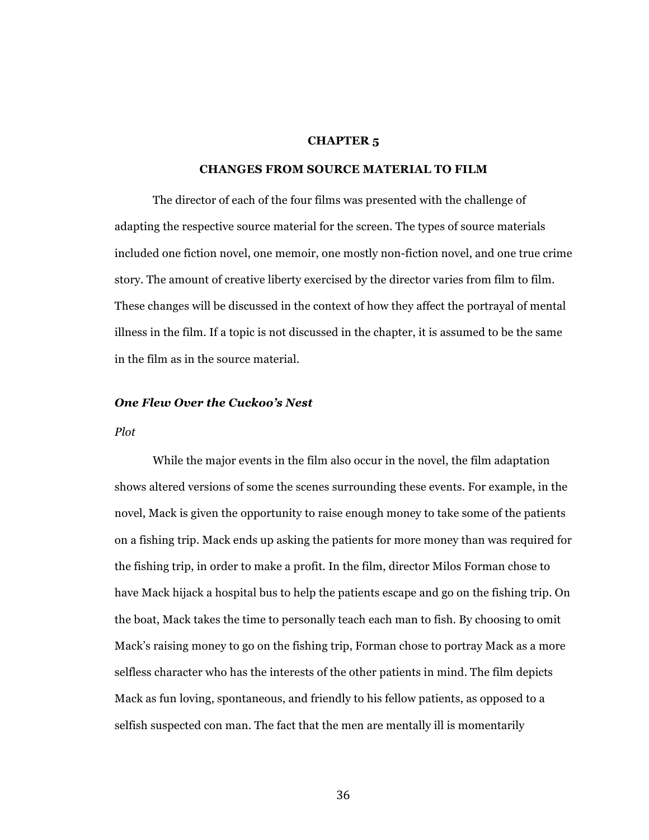### **CHAPTER 5**

# **CHANGES FROM SOURCE MATERIAL TO FILM**

The director of each of the four films was presented with the challenge of adapting the respective source material for the screen. The types of source materials included one fiction novel, one memoir, one mostly non-fiction novel, and one true crime story. The amount of creative liberty exercised by the director varies from film to film. These changes will be discussed in the context of how they affect the portrayal of mental illness in the film. If a topic is not discussed in the chapter, it is assumed to be the same in the film as in the source material.

# *One Flew Over the Cuckoo's Nest*

### *Plot*

While the major events in the film also occur in the novel, the film adaptation shows altered versions of some the scenes surrounding these events. For example, in the novel, Mack is given the opportunity to raise enough money to take some of the patients on a fishing trip. Mack ends up asking the patients for more money than was required for the fishing trip, in order to make a profit. In the film, director Milos Forman chose to have Mack hijack a hospital bus to help the patients escape and go on the fishing trip. On the boat, Mack takes the time to personally teach each man to fish. By choosing to omit Mack's raising money to go on the fishing trip, Forman chose to portray Mack as a more selfless character who has the interests of the other patients in mind. The film depicts Mack as fun loving, spontaneous, and friendly to his fellow patients, as opposed to a selfish suspected con man. The fact that the men are mentally ill is momentarily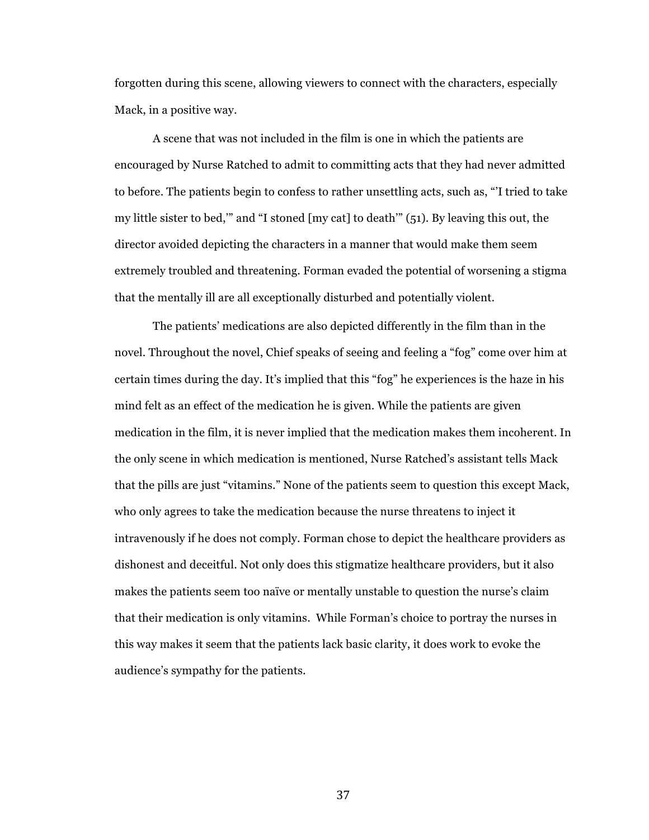forgotten during this scene, allowing viewers to connect with the characters, especially Mack, in a positive way.

A scene that was not included in the film is one in which the patients are encouraged by Nurse Ratched to admit to committing acts that they had never admitted to before. The patients begin to confess to rather unsettling acts, such as, "'I tried to take my little sister to bed,'" and "I stoned [my cat] to death'" (51). By leaving this out, the director avoided depicting the characters in a manner that would make them seem extremely troubled and threatening. Forman evaded the potential of worsening a stigma that the mentally ill are all exceptionally disturbed and potentially violent.

The patients' medications are also depicted differently in the film than in the novel. Throughout the novel, Chief speaks of seeing and feeling a "fog" come over him at certain times during the day. It's implied that this "fog" he experiences is the haze in his mind felt as an effect of the medication he is given. While the patients are given medication in the film, it is never implied that the medication makes them incoherent. In the only scene in which medication is mentioned, Nurse Ratched's assistant tells Mack that the pills are just "vitamins." None of the patients seem to question this except Mack, who only agrees to take the medication because the nurse threatens to inject it intravenously if he does not comply. Forman chose to depict the healthcare providers as dishonest and deceitful. Not only does this stigmatize healthcare providers, but it also makes the patients seem too naïve or mentally unstable to question the nurse's claim that their medication is only vitamins. While Forman's choice to portray the nurses in this way makes it seem that the patients lack basic clarity, it does work to evoke the audience's sympathy for the patients.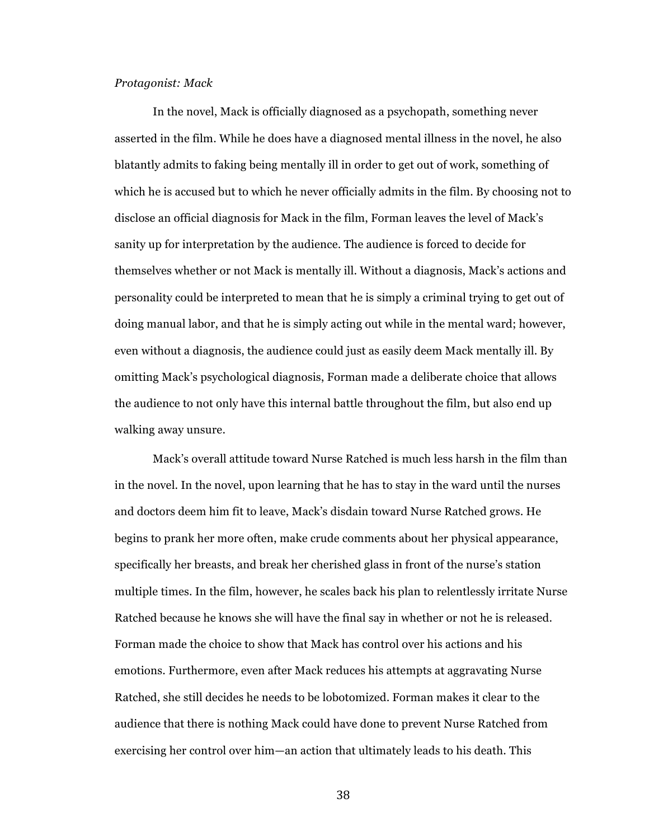### *Protagonist: Mack*

In the novel, Mack is officially diagnosed as a psychopath, something never asserted in the film. While he does have a diagnosed mental illness in the novel, he also blatantly admits to faking being mentally ill in order to get out of work, something of which he is accused but to which he never officially admits in the film. By choosing not to disclose an official diagnosis for Mack in the film, Forman leaves the level of Mack's sanity up for interpretation by the audience. The audience is forced to decide for themselves whether or not Mack is mentally ill. Without a diagnosis, Mack's actions and personality could be interpreted to mean that he is simply a criminal trying to get out of doing manual labor, and that he is simply acting out while in the mental ward; however, even without a diagnosis, the audience could just as easily deem Mack mentally ill. By omitting Mack's psychological diagnosis, Forman made a deliberate choice that allows the audience to not only have this internal battle throughout the film, but also end up walking away unsure.

Mack's overall attitude toward Nurse Ratched is much less harsh in the film than in the novel. In the novel, upon learning that he has to stay in the ward until the nurses and doctors deem him fit to leave, Mack's disdain toward Nurse Ratched grows. He begins to prank her more often, make crude comments about her physical appearance, specifically her breasts, and break her cherished glass in front of the nurse's station multiple times. In the film, however, he scales back his plan to relentlessly irritate Nurse Ratched because he knows she will have the final say in whether or not he is released. Forman made the choice to show that Mack has control over his actions and his emotions. Furthermore, even after Mack reduces his attempts at aggravating Nurse Ratched, she still decides he needs to be lobotomized. Forman makes it clear to the audience that there is nothing Mack could have done to prevent Nurse Ratched from exercising her control over him—an action that ultimately leads to his death. This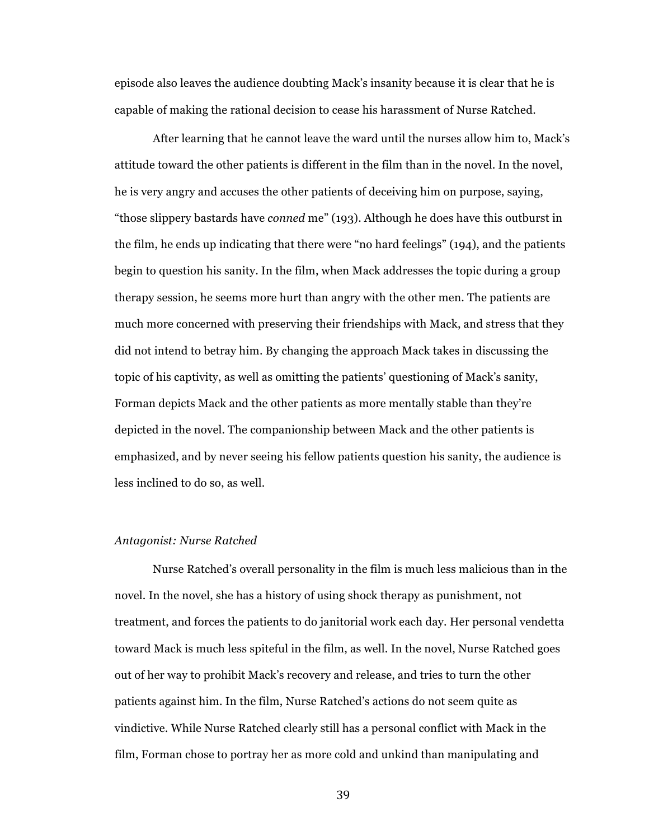episode also leaves the audience doubting Mack's insanity because it is clear that he is capable of making the rational decision to cease his harassment of Nurse Ratched.

After learning that he cannot leave the ward until the nurses allow him to, Mack's attitude toward the other patients is different in the film than in the novel. In the novel, he is very angry and accuses the other patients of deceiving him on purpose, saying, "those slippery bastards have *conned* me" (193). Although he does have this outburst in the film, he ends up indicating that there were "no hard feelings" (194), and the patients begin to question his sanity. In the film, when Mack addresses the topic during a group therapy session, he seems more hurt than angry with the other men. The patients are much more concerned with preserving their friendships with Mack, and stress that they did not intend to betray him. By changing the approach Mack takes in discussing the topic of his captivity, as well as omitting the patients' questioning of Mack's sanity, Forman depicts Mack and the other patients as more mentally stable than they're depicted in the novel. The companionship between Mack and the other patients is emphasized, and by never seeing his fellow patients question his sanity, the audience is less inclined to do so, as well.

#### *Antagonist: Nurse Ratched*

Nurse Ratched's overall personality in the film is much less malicious than in the novel. In the novel, she has a history of using shock therapy as punishment, not treatment, and forces the patients to do janitorial work each day. Her personal vendetta toward Mack is much less spiteful in the film, as well. In the novel, Nurse Ratched goes out of her way to prohibit Mack's recovery and release, and tries to turn the other patients against him. In the film, Nurse Ratched's actions do not seem quite as vindictive. While Nurse Ratched clearly still has a personal conflict with Mack in the film, Forman chose to portray her as more cold and unkind than manipulating and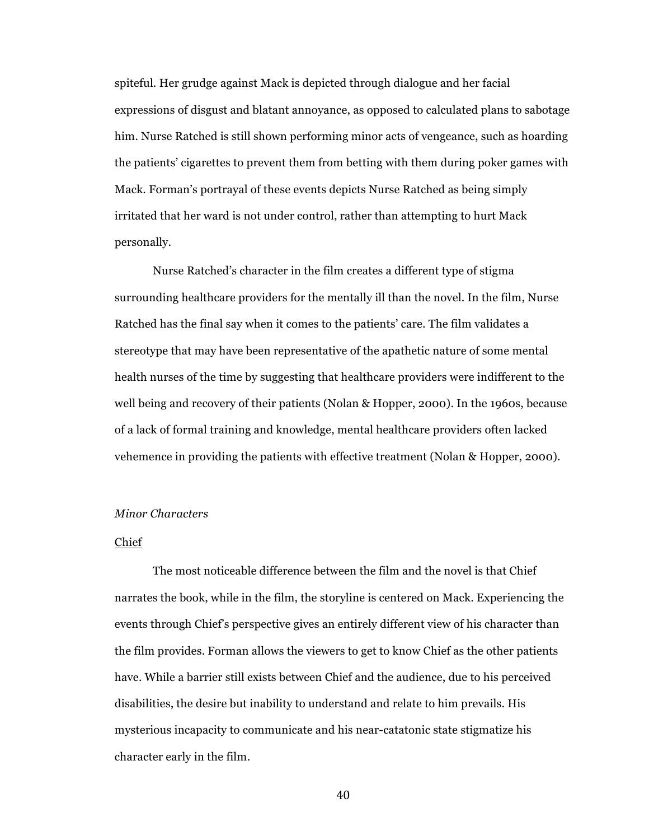spiteful. Her grudge against Mack is depicted through dialogue and her facial expressions of disgust and blatant annoyance, as opposed to calculated plans to sabotage him. Nurse Ratched is still shown performing minor acts of vengeance, such as hoarding the patients' cigarettes to prevent them from betting with them during poker games with Mack. Forman's portrayal of these events depicts Nurse Ratched as being simply irritated that her ward is not under control, rather than attempting to hurt Mack personally.

Nurse Ratched's character in the film creates a different type of stigma surrounding healthcare providers for the mentally ill than the novel. In the film, Nurse Ratched has the final say when it comes to the patients' care. The film validates a stereotype that may have been representative of the apathetic nature of some mental health nurses of the time by suggesting that healthcare providers were indifferent to the well being and recovery of their patients (Nolan & Hopper, 2000). In the 1960s, because of a lack of formal training and knowledge, mental healthcare providers often lacked vehemence in providing the patients with effective treatment (Nolan & Hopper, 2000).

# *Minor Characters*

# Chief

The most noticeable difference between the film and the novel is that Chief narrates the book, while in the film, the storyline is centered on Mack. Experiencing the events through Chief's perspective gives an entirely different view of his character than the film provides. Forman allows the viewers to get to know Chief as the other patients have. While a barrier still exists between Chief and the audience, due to his perceived disabilities, the desire but inability to understand and relate to him prevails. His mysterious incapacity to communicate and his near-catatonic state stigmatize his character early in the film.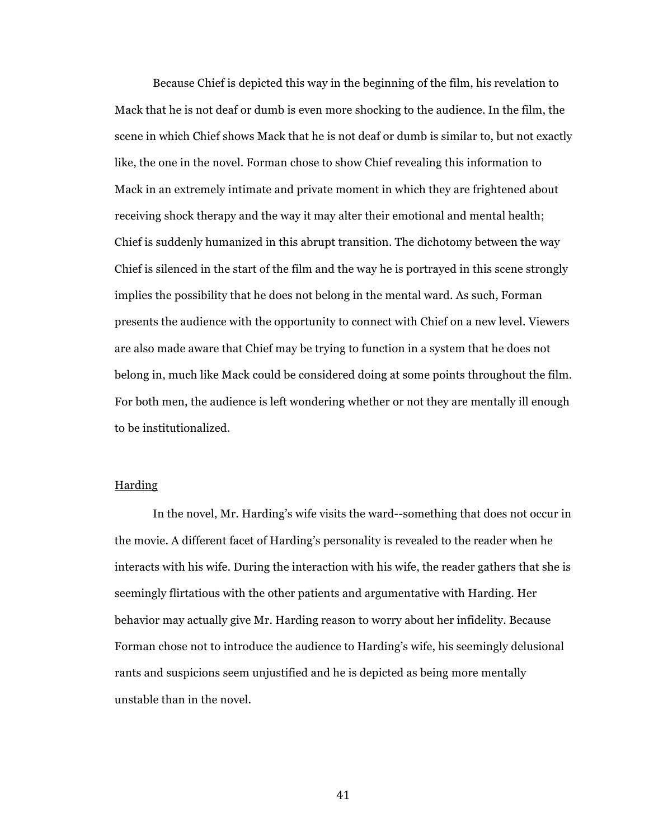Because Chief is depicted this way in the beginning of the film, his revelation to Mack that he is not deaf or dumb is even more shocking to the audience. In the film, the scene in which Chief shows Mack that he is not deaf or dumb is similar to, but not exactly like, the one in the novel. Forman chose to show Chief revealing this information to Mack in an extremely intimate and private moment in which they are frightened about receiving shock therapy and the way it may alter their emotional and mental health; Chief is suddenly humanized in this abrupt transition. The dichotomy between the way Chief is silenced in the start of the film and the way he is portrayed in this scene strongly implies the possibility that he does not belong in the mental ward. As such, Forman presents the audience with the opportunity to connect with Chief on a new level. Viewers are also made aware that Chief may be trying to function in a system that he does not belong in, much like Mack could be considered doing at some points throughout the film. For both men, the audience is left wondering whether or not they are mentally ill enough to be institutionalized.

### Harding

In the novel, Mr. Harding's wife visits the ward--something that does not occur in the movie. A different facet of Harding's personality is revealed to the reader when he interacts with his wife. During the interaction with his wife, the reader gathers that she is seemingly flirtatious with the other patients and argumentative with Harding. Her behavior may actually give Mr. Harding reason to worry about her infidelity. Because Forman chose not to introduce the audience to Harding's wife, his seemingly delusional rants and suspicions seem unjustified and he is depicted as being more mentally unstable than in the novel.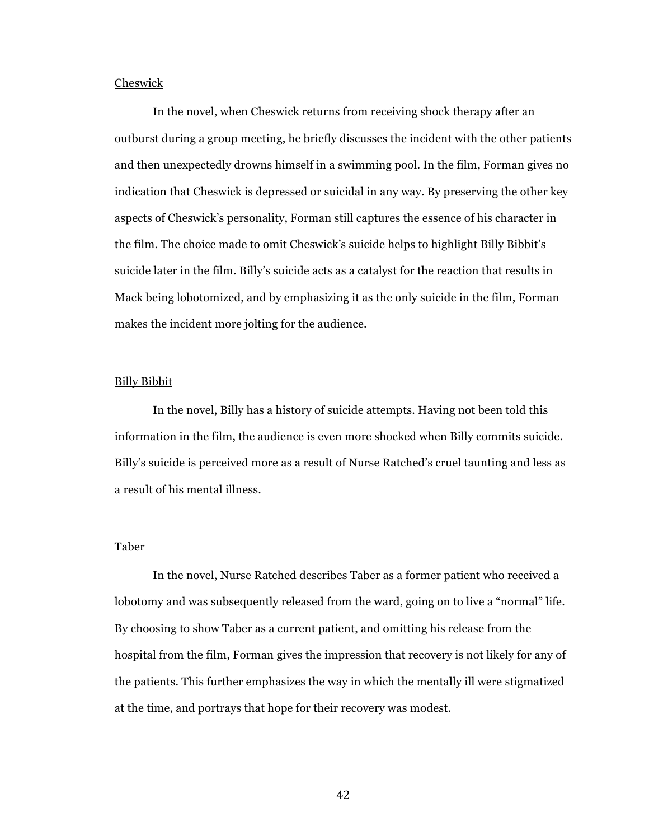# Cheswick

In the novel, when Cheswick returns from receiving shock therapy after an outburst during a group meeting, he briefly discusses the incident with the other patients and then unexpectedly drowns himself in a swimming pool. In the film, Forman gives no indication that Cheswick is depressed or suicidal in any way. By preserving the other key aspects of Cheswick's personality, Forman still captures the essence of his character in the film. The choice made to omit Cheswick's suicide helps to highlight Billy Bibbit's suicide later in the film. Billy's suicide acts as a catalyst for the reaction that results in Mack being lobotomized, and by emphasizing it as the only suicide in the film, Forman makes the incident more jolting for the audience.

#### Billy Bibbit

In the novel, Billy has a history of suicide attempts. Having not been told this information in the film, the audience is even more shocked when Billy commits suicide. Billy's suicide is perceived more as a result of Nurse Ratched's cruel taunting and less as a result of his mental illness.

### **Taber**

In the novel, Nurse Ratched describes Taber as a former patient who received a lobotomy and was subsequently released from the ward, going on to live a "normal" life. By choosing to show Taber as a current patient, and omitting his release from the hospital from the film, Forman gives the impression that recovery is not likely for any of the patients. This further emphasizes the way in which the mentally ill were stigmatized at the time, and portrays that hope for their recovery was modest.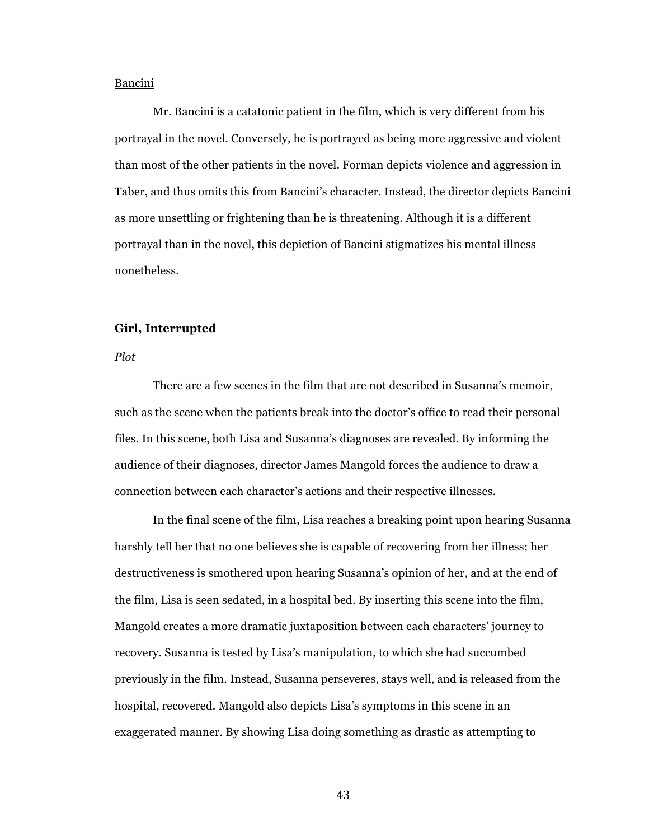### Bancini

Mr. Bancini is a catatonic patient in the film, which is very different from his portrayal in the novel. Conversely, he is portrayed as being more aggressive and violent than most of the other patients in the novel. Forman depicts violence and aggression in Taber, and thus omits this from Bancini's character. Instead, the director depicts Bancini as more unsettling or frightening than he is threatening. Although it is a different portrayal than in the novel, this depiction of Bancini stigmatizes his mental illness nonetheless.

# **Girl, Interrupted**

*Plot*

There are a few scenes in the film that are not described in Susanna's memoir, such as the scene when the patients break into the doctor's office to read their personal files. In this scene, both Lisa and Susanna's diagnoses are revealed. By informing the audience of their diagnoses, director James Mangold forces the audience to draw a connection between each character's actions and their respective illnesses.

In the final scene of the film, Lisa reaches a breaking point upon hearing Susanna harshly tell her that no one believes she is capable of recovering from her illness; her destructiveness is smothered upon hearing Susanna's opinion of her, and at the end of the film, Lisa is seen sedated, in a hospital bed. By inserting this scene into the film, Mangold creates a more dramatic juxtaposition between each characters' journey to recovery. Susanna is tested by Lisa's manipulation, to which she had succumbed previously in the film. Instead, Susanna perseveres, stays well, and is released from the hospital, recovered. Mangold also depicts Lisa's symptoms in this scene in an exaggerated manner. By showing Lisa doing something as drastic as attempting to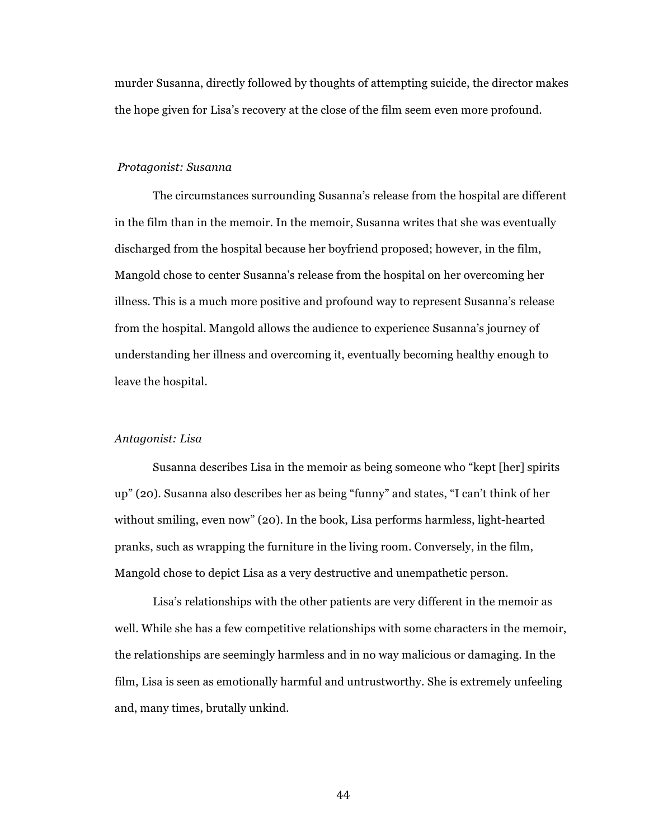murder Susanna, directly followed by thoughts of attempting suicide, the director makes the hope given for Lisa's recovery at the close of the film seem even more profound.

#### *Protagonist: Susanna*

The circumstances surrounding Susanna's release from the hospital are different in the film than in the memoir. In the memoir, Susanna writes that she was eventually discharged from the hospital because her boyfriend proposed; however, in the film, Mangold chose to center Susanna's release from the hospital on her overcoming her illness. This is a much more positive and profound way to represent Susanna's release from the hospital. Mangold allows the audience to experience Susanna's journey of understanding her illness and overcoming it, eventually becoming healthy enough to leave the hospital.

### *Antagonist: Lisa*

Susanna describes Lisa in the memoir as being someone who "kept [her] spirits up" (20). Susanna also describes her as being "funny" and states, "I can't think of her without smiling, even now" (20). In the book, Lisa performs harmless, light-hearted pranks, such as wrapping the furniture in the living room. Conversely, in the film, Mangold chose to depict Lisa as a very destructive and unempathetic person.

Lisa's relationships with the other patients are very different in the memoir as well. While she has a few competitive relationships with some characters in the memoir, the relationships are seemingly harmless and in no way malicious or damaging. In the film, Lisa is seen as emotionally harmful and untrustworthy. She is extremely unfeeling and, many times, brutally unkind.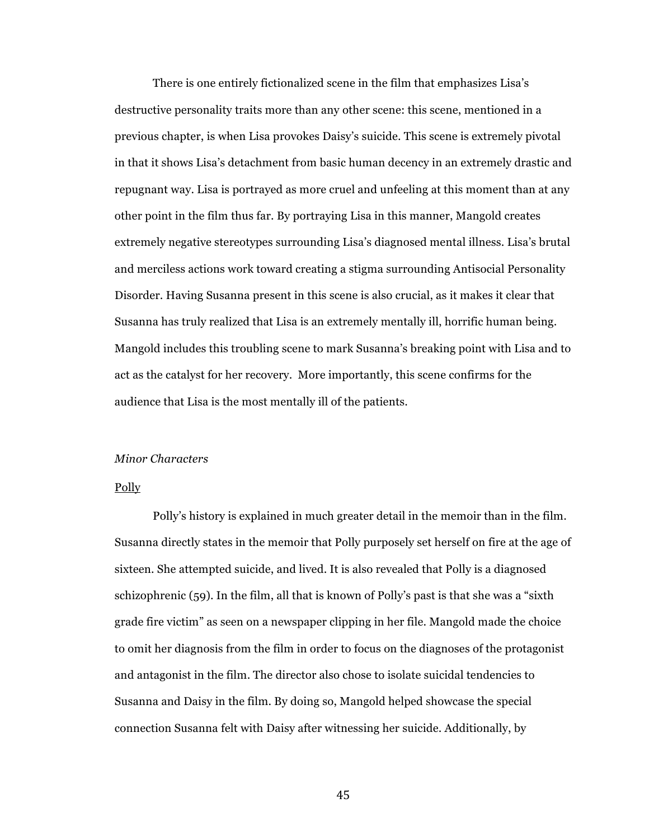There is one entirely fictionalized scene in the film that emphasizes Lisa's destructive personality traits more than any other scene: this scene, mentioned in a previous chapter, is when Lisa provokes Daisy's suicide. This scene is extremely pivotal in that it shows Lisa's detachment from basic human decency in an extremely drastic and repugnant way. Lisa is portrayed as more cruel and unfeeling at this moment than at any other point in the film thus far. By portraying Lisa in this manner, Mangold creates extremely negative stereotypes surrounding Lisa's diagnosed mental illness. Lisa's brutal and merciless actions work toward creating a stigma surrounding Antisocial Personality Disorder. Having Susanna present in this scene is also crucial, as it makes it clear that Susanna has truly realized that Lisa is an extremely mentally ill, horrific human being. Mangold includes this troubling scene to mark Susanna's breaking point with Lisa and to act as the catalyst for her recovery. More importantly, this scene confirms for the audience that Lisa is the most mentally ill of the patients.

### *Minor Characters*

#### **Polly**

Polly's history is explained in much greater detail in the memoir than in the film. Susanna directly states in the memoir that Polly purposely set herself on fire at the age of sixteen. She attempted suicide, and lived. It is also revealed that Polly is a diagnosed schizophrenic (59). In the film, all that is known of Polly's past is that she was a "sixth grade fire victim" as seen on a newspaper clipping in her file. Mangold made the choice to omit her diagnosis from the film in order to focus on the diagnoses of the protagonist and antagonist in the film. The director also chose to isolate suicidal tendencies to Susanna and Daisy in the film. By doing so, Mangold helped showcase the special connection Susanna felt with Daisy after witnessing her suicide. Additionally, by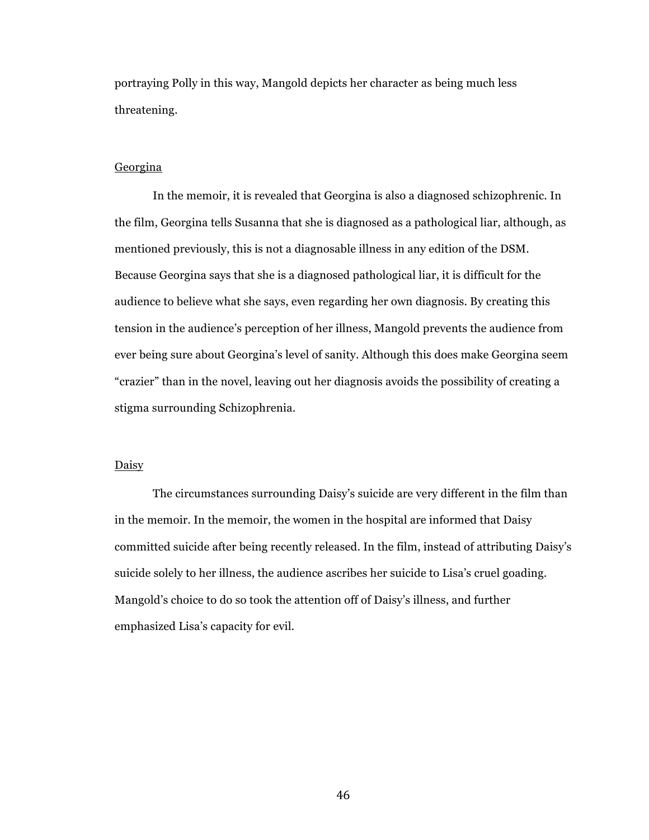portraying Polly in this way, Mangold depicts her character as being much less threatening.

# Georgina

In the memoir, it is revealed that Georgina is also a diagnosed schizophrenic. In the film, Georgina tells Susanna that she is diagnosed as a pathological liar, although, as mentioned previously, this is not a diagnosable illness in any edition of the DSM. Because Georgina says that she is a diagnosed pathological liar, it is difficult for the audience to believe what she says, even regarding her own diagnosis. By creating this tension in the audience's perception of her illness, Mangold prevents the audience from ever being sure about Georgina's level of sanity. Although this does make Georgina seem "crazier" than in the novel, leaving out her diagnosis avoids the possibility of creating a stigma surrounding Schizophrenia.

# **Daisy**

The circumstances surrounding Daisy's suicide are very different in the film than in the memoir. In the memoir, the women in the hospital are informed that Daisy committed suicide after being recently released. In the film, instead of attributing Daisy's suicide solely to her illness, the audience ascribes her suicide to Lisa's cruel goading. Mangold's choice to do so took the attention off of Daisy's illness, and further emphasized Lisa's capacity for evil.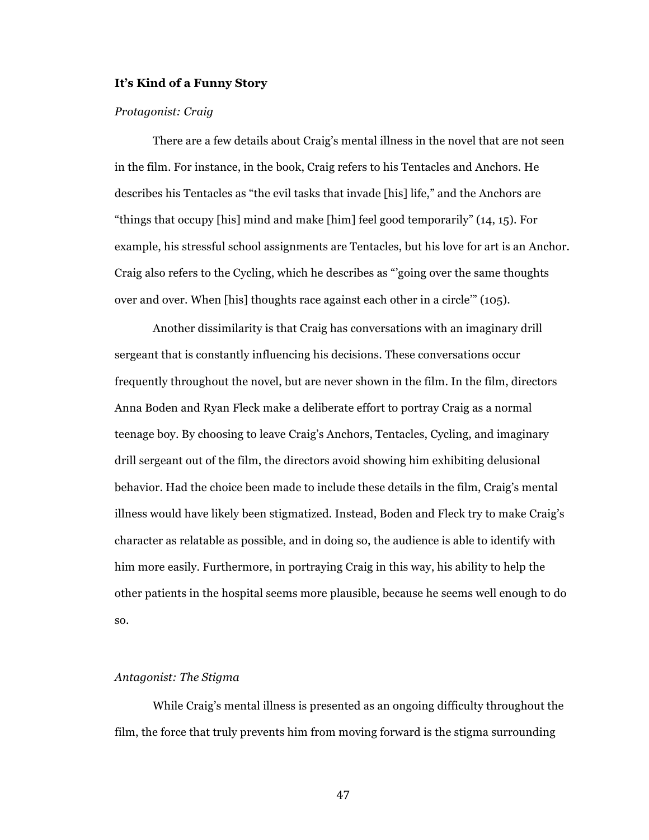### **It's Kind of a Funny Story**

### *Protagonist: Craig*

There are a few details about Craig's mental illness in the novel that are not seen in the film. For instance, in the book, Craig refers to his Tentacles and Anchors. He describes his Tentacles as "the evil tasks that invade [his] life," and the Anchors are "things that occupy [his] mind and make [him] feel good temporarily" (14, 15). For example, his stressful school assignments are Tentacles, but his love for art is an Anchor. Craig also refers to the Cycling, which he describes as "'going over the same thoughts over and over. When [his] thoughts race against each other in a circle'" (105).

Another dissimilarity is that Craig has conversations with an imaginary drill sergeant that is constantly influencing his decisions. These conversations occur frequently throughout the novel, but are never shown in the film. In the film, directors Anna Boden and Ryan Fleck make a deliberate effort to portray Craig as a normal teenage boy. By choosing to leave Craig's Anchors, Tentacles, Cycling, and imaginary drill sergeant out of the film, the directors avoid showing him exhibiting delusional behavior. Had the choice been made to include these details in the film, Craig's mental illness would have likely been stigmatized. Instead, Boden and Fleck try to make Craig's character as relatable as possible, and in doing so, the audience is able to identify with him more easily. Furthermore, in portraying Craig in this way, his ability to help the other patients in the hospital seems more plausible, because he seems well enough to do so.

### *Antagonist: The Stigma*

While Craig's mental illness is presented as an ongoing difficulty throughout the film, the force that truly prevents him from moving forward is the stigma surrounding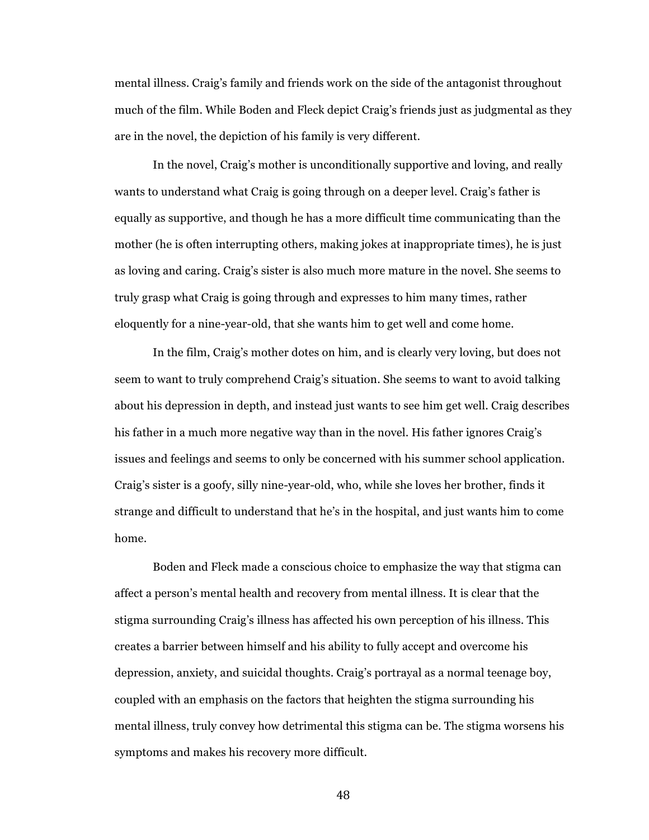mental illness. Craig's family and friends work on the side of the antagonist throughout much of the film. While Boden and Fleck depict Craig's friends just as judgmental as they are in the novel, the depiction of his family is very different.

In the novel, Craig's mother is unconditionally supportive and loving, and really wants to understand what Craig is going through on a deeper level. Craig's father is equally as supportive, and though he has a more difficult time communicating than the mother (he is often interrupting others, making jokes at inappropriate times), he is just as loving and caring. Craig's sister is also much more mature in the novel. She seems to truly grasp what Craig is going through and expresses to him many times, rather eloquently for a nine-year-old, that she wants him to get well and come home.

In the film, Craig's mother dotes on him, and is clearly very loving, but does not seem to want to truly comprehend Craig's situation. She seems to want to avoid talking about his depression in depth, and instead just wants to see him get well. Craig describes his father in a much more negative way than in the novel. His father ignores Craig's issues and feelings and seems to only be concerned with his summer school application. Craig's sister is a goofy, silly nine-year-old, who, while she loves her brother, finds it strange and difficult to understand that he's in the hospital, and just wants him to come home.

Boden and Fleck made a conscious choice to emphasize the way that stigma can affect a person's mental health and recovery from mental illness. It is clear that the stigma surrounding Craig's illness has affected his own perception of his illness. This creates a barrier between himself and his ability to fully accept and overcome his depression, anxiety, and suicidal thoughts. Craig's portrayal as a normal teenage boy, coupled with an emphasis on the factors that heighten the stigma surrounding his mental illness, truly convey how detrimental this stigma can be. The stigma worsens his symptoms and makes his recovery more difficult.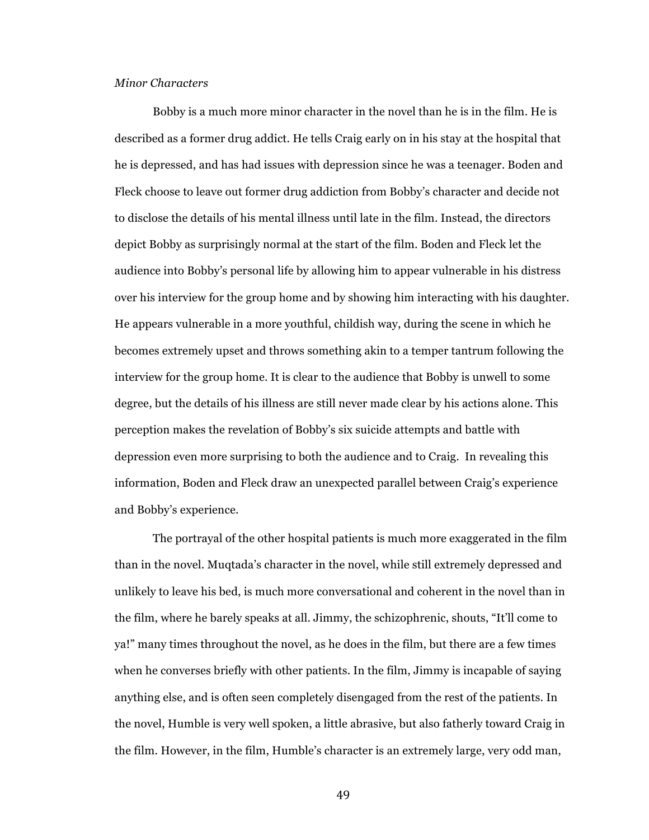# *Minor Characters*

Bobby is a much more minor character in the novel than he is in the film. He is described as a former drug addict. He tells Craig early on in his stay at the hospital that he is depressed, and has had issues with depression since he was a teenager. Boden and Fleck choose to leave out former drug addiction from Bobby's character and decide not to disclose the details of his mental illness until late in the film. Instead, the directors depict Bobby as surprisingly normal at the start of the film. Boden and Fleck let the audience into Bobby's personal life by allowing him to appear vulnerable in his distress over his interview for the group home and by showing him interacting with his daughter. He appears vulnerable in a more youthful, childish way, during the scene in which he becomes extremely upset and throws something akin to a temper tantrum following the interview for the group home. It is clear to the audience that Bobby is unwell to some degree, but the details of his illness are still never made clear by his actions alone. This perception makes the revelation of Bobby's six suicide attempts and battle with depression even more surprising to both the audience and to Craig. In revealing this information, Boden and Fleck draw an unexpected parallel between Craig's experience and Bobby's experience.

The portrayal of the other hospital patients is much more exaggerated in the film than in the novel. Muqtada's character in the novel, while still extremely depressed and unlikely to leave his bed, is much more conversational and coherent in the novel than in the film, where he barely speaks at all. Jimmy, the schizophrenic, shouts, "It'll come to ya!" many times throughout the novel, as he does in the film, but there are a few times when he converses briefly with other patients. In the film, Jimmy is incapable of saying anything else, and is often seen completely disengaged from the rest of the patients. In the novel, Humble is very well spoken, a little abrasive, but also fatherly toward Craig in the film. However, in the film, Humble's character is an extremely large, very odd man,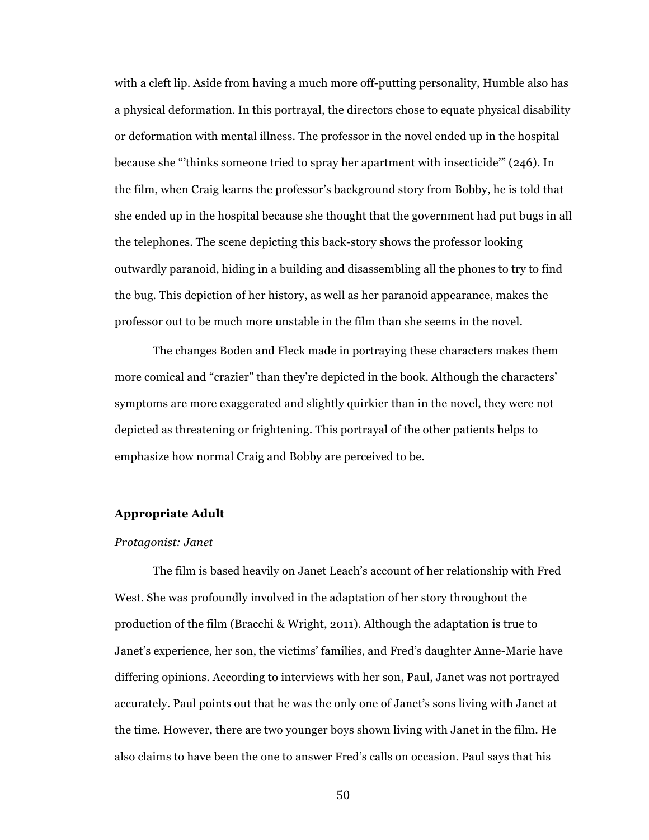with a cleft lip. Aside from having a much more off-putting personality, Humble also has a physical deformation. In this portrayal, the directors chose to equate physical disability or deformation with mental illness. The professor in the novel ended up in the hospital because she "'thinks someone tried to spray her apartment with insecticide'" (246). In the film, when Craig learns the professor's background story from Bobby, he is told that she ended up in the hospital because she thought that the government had put bugs in all the telephones. The scene depicting this back-story shows the professor looking outwardly paranoid, hiding in a building and disassembling all the phones to try to find the bug. This depiction of her history, as well as her paranoid appearance, makes the professor out to be much more unstable in the film than she seems in the novel.

The changes Boden and Fleck made in portraying these characters makes them more comical and "crazier" than they're depicted in the book. Although the characters' symptoms are more exaggerated and slightly quirkier than in the novel, they were not depicted as threatening or frightening. This portrayal of the other patients helps to emphasize how normal Craig and Bobby are perceived to be.

#### **Appropriate Adult**

#### *Protagonist: Janet*

The film is based heavily on Janet Leach's account of her relationship with Fred West. She was profoundly involved in the adaptation of her story throughout the production of the film (Bracchi & Wright, 2011). Although the adaptation is true to Janet's experience, her son, the victims' families, and Fred's daughter Anne-Marie have differing opinions. According to interviews with her son, Paul, Janet was not portrayed accurately. Paul points out that he was the only one of Janet's sons living with Janet at the time. However, there are two younger boys shown living with Janet in the film. He also claims to have been the one to answer Fred's calls on occasion. Paul says that his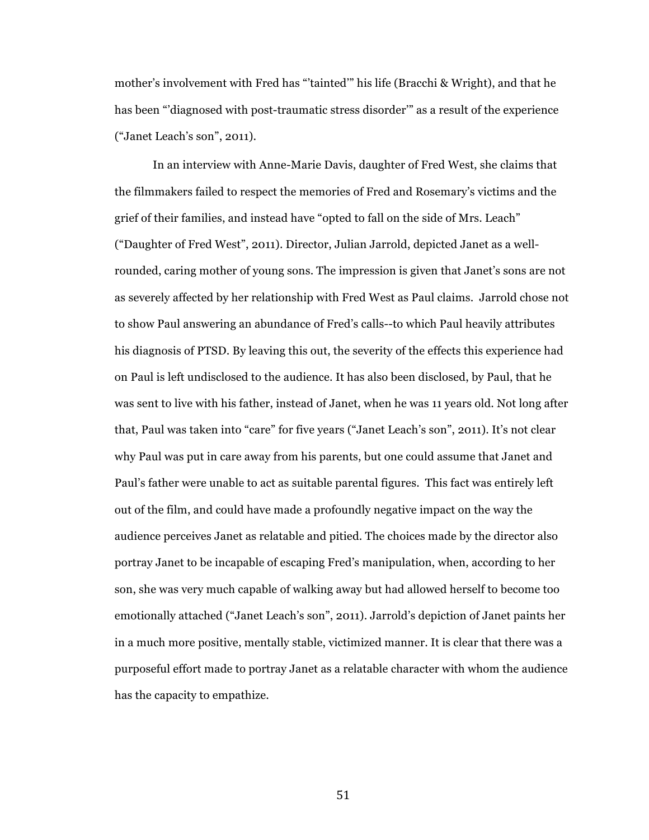mother's involvement with Fred has "'tainted'" his life (Bracchi & Wright), and that he has been "'diagnosed with post-traumatic stress disorder'" as a result of the experience ("Janet Leach's son", 2011).

In an interview with Anne-Marie Davis, daughter of Fred West, she claims that the filmmakers failed to respect the memories of Fred and Rosemary's victims and the grief of their families, and instead have "opted to fall on the side of Mrs. Leach" ("Daughter of Fred West", 2011). Director, Julian Jarrold, depicted Janet as a wellrounded, caring mother of young sons. The impression is given that Janet's sons are not as severely affected by her relationship with Fred West as Paul claims. Jarrold chose not to show Paul answering an abundance of Fred's calls--to which Paul heavily attributes his diagnosis of PTSD. By leaving this out, the severity of the effects this experience had on Paul is left undisclosed to the audience. It has also been disclosed, by Paul, that he was sent to live with his father, instead of Janet, when he was 11 years old. Not long after that, Paul was taken into "care" for five years ("Janet Leach's son", 2011). It's not clear why Paul was put in care away from his parents, but one could assume that Janet and Paul's father were unable to act as suitable parental figures. This fact was entirely left out of the film, and could have made a profoundly negative impact on the way the audience perceives Janet as relatable and pitied. The choices made by the director also portray Janet to be incapable of escaping Fred's manipulation, when, according to her son, she was very much capable of walking away but had allowed herself to become too emotionally attached ("Janet Leach's son", 2011). Jarrold's depiction of Janet paints her in a much more positive, mentally stable, victimized manner. It is clear that there was a purposeful effort made to portray Janet as a relatable character with whom the audience has the capacity to empathize.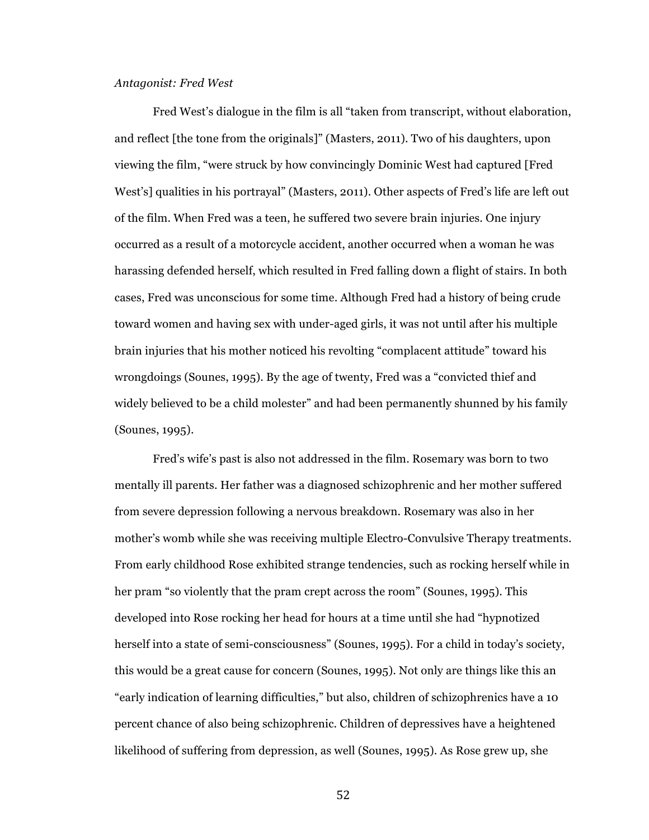### *Antagonist: Fred West*

Fred West's dialogue in the film is all "taken from transcript, without elaboration, and reflect [the tone from the originals]" (Masters, 2011). Two of his daughters, upon viewing the film, "were struck by how convincingly Dominic West had captured [Fred West's] qualities in his portrayal" (Masters, 2011). Other aspects of Fred's life are left out of the film. When Fred was a teen, he suffered two severe brain injuries. One injury occurred as a result of a motorcycle accident, another occurred when a woman he was harassing defended herself, which resulted in Fred falling down a flight of stairs. In both cases, Fred was unconscious for some time. Although Fred had a history of being crude toward women and having sex with under-aged girls, it was not until after his multiple brain injuries that his mother noticed his revolting "complacent attitude" toward his wrongdoings (Sounes, 1995). By the age of twenty, Fred was a "convicted thief and widely believed to be a child molester" and had been permanently shunned by his family (Sounes, 1995).

Fred's wife's past is also not addressed in the film. Rosemary was born to two mentally ill parents. Her father was a diagnosed schizophrenic and her mother suffered from severe depression following a nervous breakdown. Rosemary was also in her mother's womb while she was receiving multiple Electro-Convulsive Therapy treatments. From early childhood Rose exhibited strange tendencies, such as rocking herself while in her pram "so violently that the pram crept across the room" (Sounes, 1995). This developed into Rose rocking her head for hours at a time until she had "hypnotized herself into a state of semi-consciousness" (Sounes, 1995). For a child in today's society, this would be a great cause for concern (Sounes, 1995). Not only are things like this an "early indication of learning difficulties," but also, children of schizophrenics have a 10 percent chance of also being schizophrenic. Children of depressives have a heightened likelihood of suffering from depression, as well (Sounes, 1995). As Rose grew up, she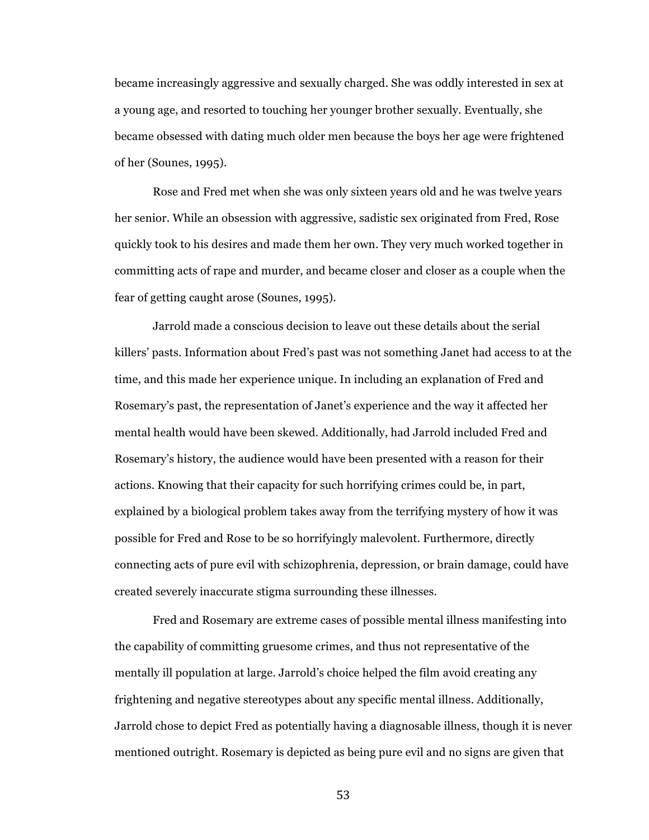became increasingly aggressive and sexually charged. She was oddly interested in sex at a young age, and resorted to touching her younger brother sexually. Eventually, she became obsessed with dating much older men because the boys her age were frightened of her (Sounes, 1995).

Rose and Fred met when she was only sixteen years old and he was twelve years her senior. While an obsession with aggressive, sadistic sex originated from Fred, Rose quickly took to his desires and made them her own. They very much worked together in committing acts of rape and murder, and became closer and closer as a couple when the fear of getting caught arose (Sounes, 1995).

Jarrold made a conscious decision to leave out these details about the serial killers' pasts. Information about Fred's past was not something Janet had access to at the time, and this made her experience unique. In including an explanation of Fred and Rosemary's past, the representation of Janet's experience and the way it affected her mental health would have been skewed. Additionally, had Jarrold included Fred and Rosemary's history, the audience would have been presented with a reason for their actions. Knowing that their capacity for such horrifying crimes could be, in part, explained by a biological problem takes away from the terrifying mystery of how it was possible for Fred and Rose to be so horrifyingly malevolent. Furthermore, directly connecting acts of pure evil with schizophrenia, depression, or brain damage, could have created severely inaccurate stigma surrounding these illnesses.

Fred and Rosemary are extreme cases of possible mental illness manifesting into the capability of committing gruesome crimes, and thus not representative of the mentally ill population at large. Jarrold's choice helped the film avoid creating any frightening and negative stereotypes about any specific mental illness. Additionally, Jarrold chose to depict Fred as potentially having a diagnosable illness, though it is never mentioned outright. Rosemary is depicted as being pure evil and no signs are given that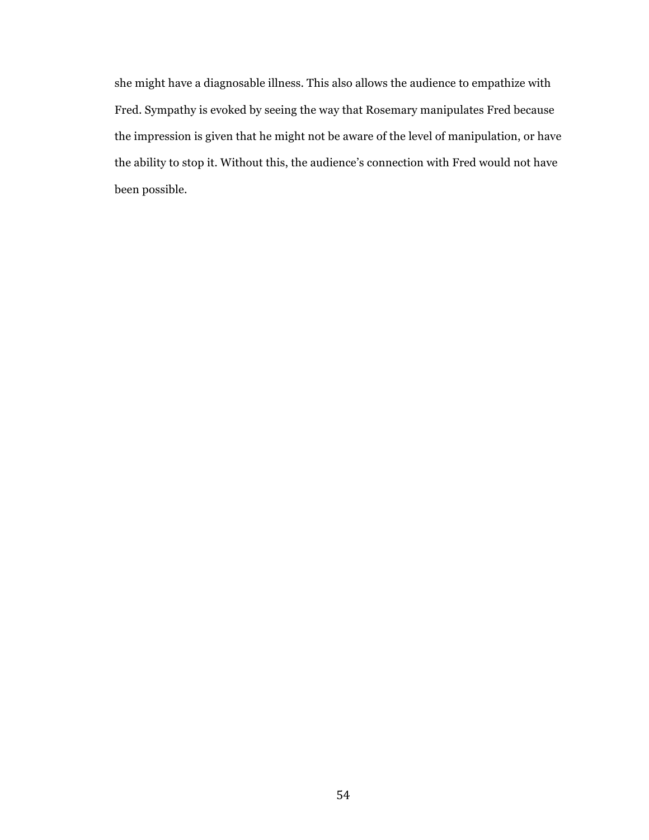she might have a diagnosable illness. This also allows the audience to empathize with Fred. Sympathy is evoked by seeing the way that Rosemary manipulates Fred because the impression is given that he might not be aware of the level of manipulation, or have the ability to stop it. Without this, the audience's connection with Fred would not have been possible.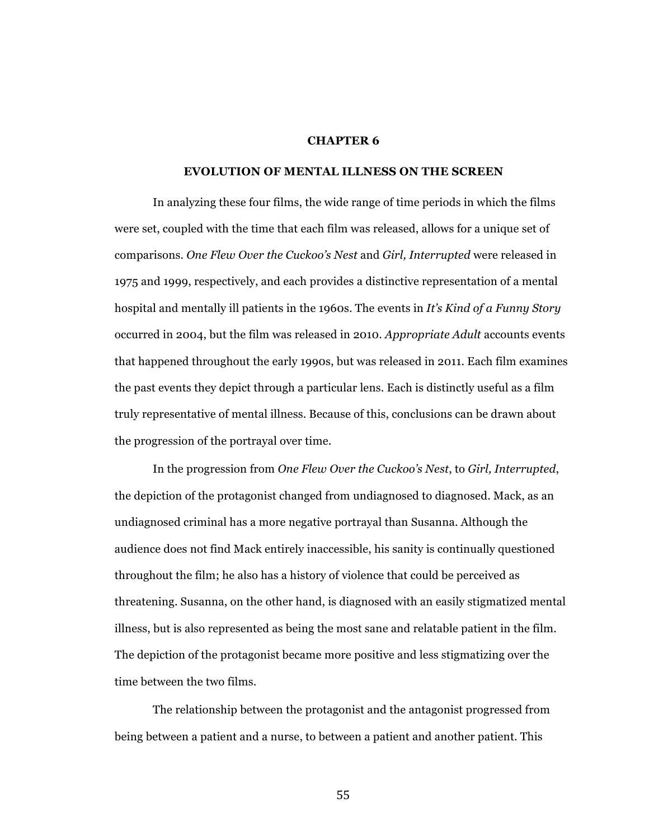# **CHAPTER 6**

### **EVOLUTION OF MENTAL ILLNESS ON THE SCREEN**

In analyzing these four films, the wide range of time periods in which the films were set, coupled with the time that each film was released, allows for a unique set of comparisons. *One Flew Over the Cuckoo's Nest* and *Girl, Interrupted* were released in 1975 and 1999, respectively, and each provides a distinctive representation of a mental hospital and mentally ill patients in the 1960s. The events in *It's Kind of a Funny Story* occurred in 2004, but the film was released in 2010. *Appropriate Adult* accounts events that happened throughout the early 1990s, but was released in 2011. Each film examines the past events they depict through a particular lens. Each is distinctly useful as a film truly representative of mental illness. Because of this, conclusions can be drawn about the progression of the portrayal over time.

In the progression from *One Flew Over the Cuckoo's Nest*, to *Girl, Interrupted*, the depiction of the protagonist changed from undiagnosed to diagnosed. Mack, as an undiagnosed criminal has a more negative portrayal than Susanna. Although the audience does not find Mack entirely inaccessible, his sanity is continually questioned throughout the film; he also has a history of violence that could be perceived as threatening. Susanna, on the other hand, is diagnosed with an easily stigmatized mental illness, but is also represented as being the most sane and relatable patient in the film. The depiction of the protagonist became more positive and less stigmatizing over the time between the two films.

The relationship between the protagonist and the antagonist progressed from being between a patient and a nurse, to between a patient and another patient. This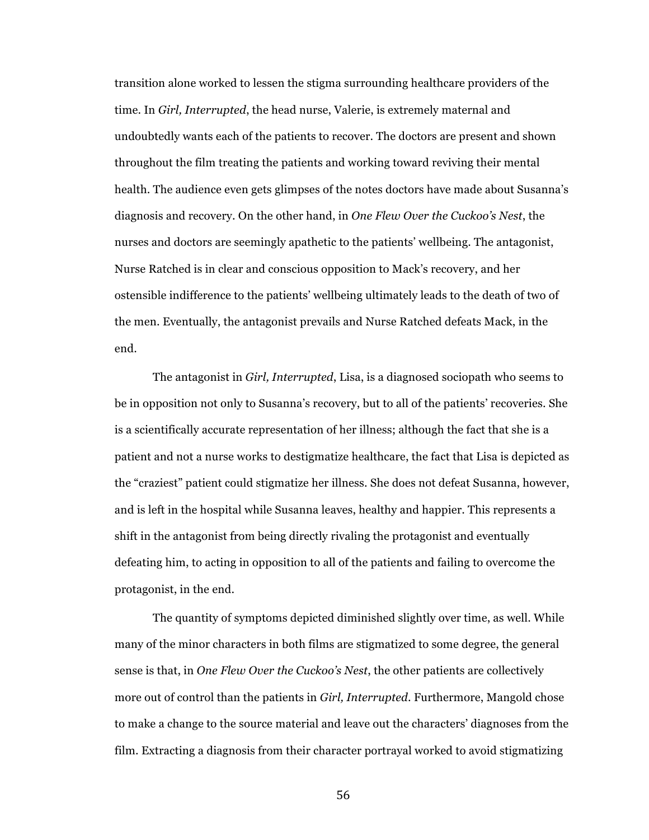transition alone worked to lessen the stigma surrounding healthcare providers of the time. In *Girl, Interrupted*, the head nurse, Valerie, is extremely maternal and undoubtedly wants each of the patients to recover. The doctors are present and shown throughout the film treating the patients and working toward reviving their mental health. The audience even gets glimpses of the notes doctors have made about Susanna's diagnosis and recovery. On the other hand, in *One Flew Over the Cuckoo's Nest*, the nurses and doctors are seemingly apathetic to the patients' wellbeing. The antagonist, Nurse Ratched is in clear and conscious opposition to Mack's recovery, and her ostensible indifference to the patients' wellbeing ultimately leads to the death of two of the men. Eventually, the antagonist prevails and Nurse Ratched defeats Mack, in the end.

The antagonist in *Girl, Interrupted*, Lisa, is a diagnosed sociopath who seems to be in opposition not only to Susanna's recovery, but to all of the patients' recoveries. She is a scientifically accurate representation of her illness; although the fact that she is a patient and not a nurse works to destigmatize healthcare, the fact that Lisa is depicted as the "craziest" patient could stigmatize her illness. She does not defeat Susanna, however, and is left in the hospital while Susanna leaves, healthy and happier. This represents a shift in the antagonist from being directly rivaling the protagonist and eventually defeating him, to acting in opposition to all of the patients and failing to overcome the protagonist, in the end.

The quantity of symptoms depicted diminished slightly over time, as well. While many of the minor characters in both films are stigmatized to some degree, the general sense is that, in *One Flew Over the Cuckoo's Nest*, the other patients are collectively more out of control than the patients in *Girl, Interrupted*. Furthermore, Mangold chose to make a change to the source material and leave out the characters' diagnoses from the film. Extracting a diagnosis from their character portrayal worked to avoid stigmatizing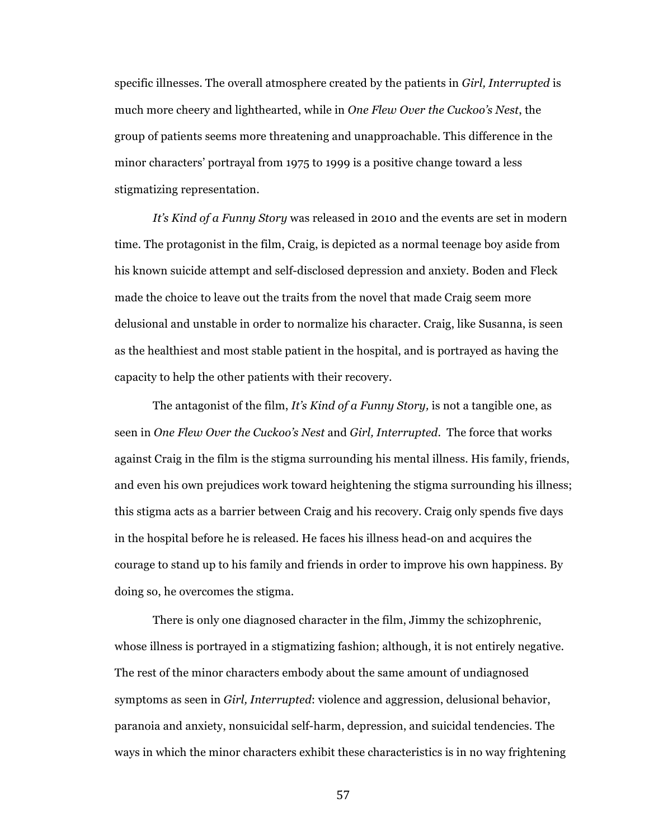specific illnesses. The overall atmosphere created by the patients in *Girl, Interrupted* is much more cheery and lighthearted, while in *One Flew Over the Cuckoo's Nest*, the group of patients seems more threatening and unapproachable. This difference in the minor characters' portrayal from 1975 to 1999 is a positive change toward a less stigmatizing representation.

*It's Kind of a Funny Story* was released in 2010 and the events are set in modern time. The protagonist in the film, Craig, is depicted as a normal teenage boy aside from his known suicide attempt and self-disclosed depression and anxiety. Boden and Fleck made the choice to leave out the traits from the novel that made Craig seem more delusional and unstable in order to normalize his character. Craig, like Susanna, is seen as the healthiest and most stable patient in the hospital, and is portrayed as having the capacity to help the other patients with their recovery.

The antagonist of the film, *It's Kind of a Funny Story,* is not a tangible one, as seen in *One Flew Over the Cuckoo's Nest* and *Girl, Interrupted*. The force that works against Craig in the film is the stigma surrounding his mental illness. His family, friends, and even his own prejudices work toward heightening the stigma surrounding his illness; this stigma acts as a barrier between Craig and his recovery. Craig only spends five days in the hospital before he is released. He faces his illness head-on and acquires the courage to stand up to his family and friends in order to improve his own happiness. By doing so, he overcomes the stigma.

There is only one diagnosed character in the film, Jimmy the schizophrenic, whose illness is portrayed in a stigmatizing fashion; although, it is not entirely negative. The rest of the minor characters embody about the same amount of undiagnosed symptoms as seen in *Girl, Interrupted*: violence and aggression, delusional behavior, paranoia and anxiety, nonsuicidal self-harm, depression, and suicidal tendencies. The ways in which the minor characters exhibit these characteristics is in no way frightening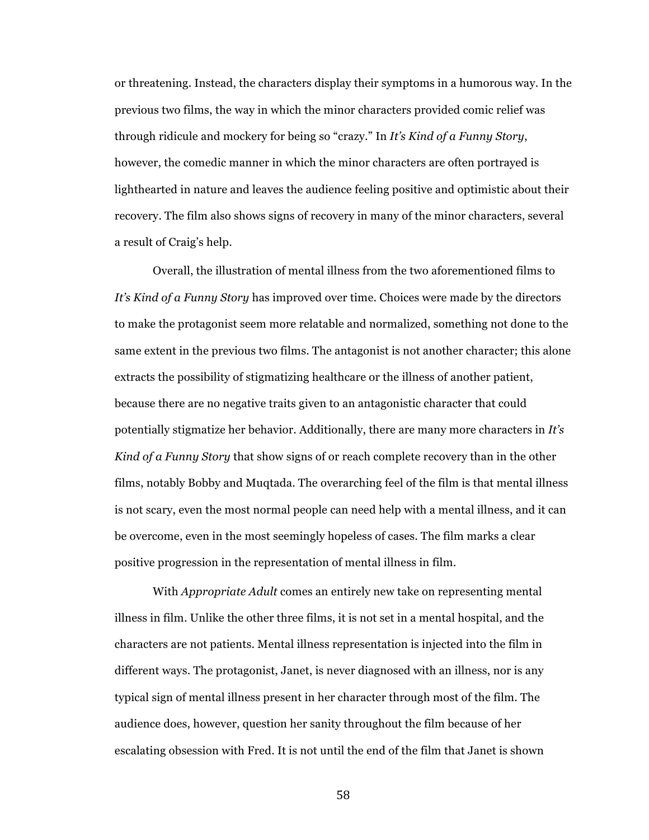or threatening. Instead, the characters display their symptoms in a humorous way. In the previous two films, the way in which the minor characters provided comic relief was through ridicule and mockery for being so "crazy." In *It's Kind of a Funny Story*, however, the comedic manner in which the minor characters are often portrayed is lighthearted in nature and leaves the audience feeling positive and optimistic about their recovery. The film also shows signs of recovery in many of the minor characters, several a result of Craig's help.

Overall, the illustration of mental illness from the two aforementioned films to *It's Kind of a Funny Story* has improved over time. Choices were made by the directors to make the protagonist seem more relatable and normalized, something not done to the same extent in the previous two films. The antagonist is not another character; this alone extracts the possibility of stigmatizing healthcare or the illness of another patient, because there are no negative traits given to an antagonistic character that could potentially stigmatize her behavior. Additionally, there are many more characters in *It's Kind of a Funny Story* that show signs of or reach complete recovery than in the other films, notably Bobby and Muqtada. The overarching feel of the film is that mental illness is not scary, even the most normal people can need help with a mental illness, and it can be overcome, even in the most seemingly hopeless of cases. The film marks a clear positive progression in the representation of mental illness in film.

With *Appropriate Adult* comes an entirely new take on representing mental illness in film. Unlike the other three films, it is not set in a mental hospital, and the characters are not patients. Mental illness representation is injected into the film in different ways. The protagonist, Janet, is never diagnosed with an illness, nor is any typical sign of mental illness present in her character through most of the film. The audience does, however, question her sanity throughout the film because of her escalating obsession with Fred. It is not until the end of the film that Janet is shown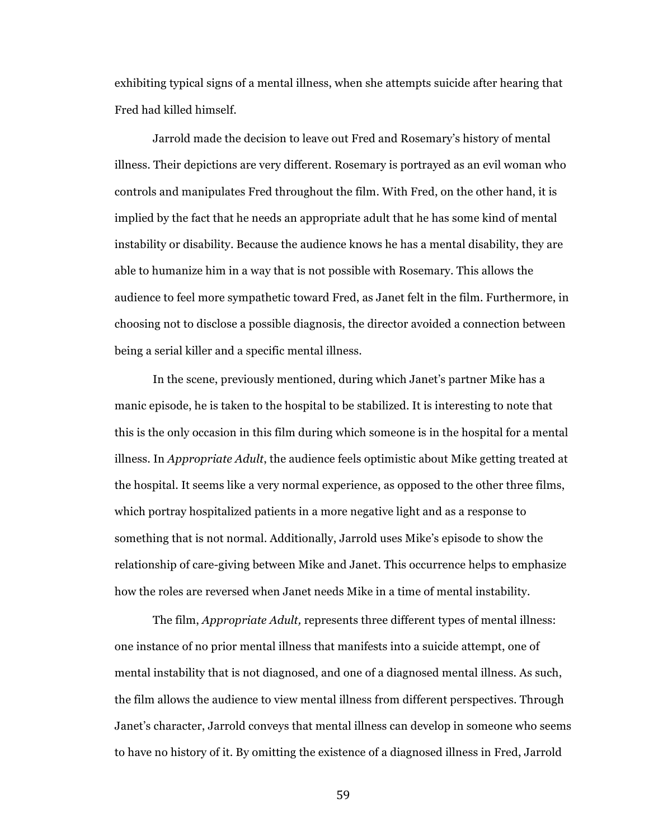exhibiting typical signs of a mental illness, when she attempts suicide after hearing that Fred had killed himself.

Jarrold made the decision to leave out Fred and Rosemary's history of mental illness. Their depictions are very different. Rosemary is portrayed as an evil woman who controls and manipulates Fred throughout the film. With Fred, on the other hand, it is implied by the fact that he needs an appropriate adult that he has some kind of mental instability or disability. Because the audience knows he has a mental disability, they are able to humanize him in a way that is not possible with Rosemary. This allows the audience to feel more sympathetic toward Fred, as Janet felt in the film. Furthermore, in choosing not to disclose a possible diagnosis, the director avoided a connection between being a serial killer and a specific mental illness.

In the scene, previously mentioned, during which Janet's partner Mike has a manic episode, he is taken to the hospital to be stabilized. It is interesting to note that this is the only occasion in this film during which someone is in the hospital for a mental illness. In *Appropriate Adult*, the audience feels optimistic about Mike getting treated at the hospital. It seems like a very normal experience, as opposed to the other three films, which portray hospitalized patients in a more negative light and as a response to something that is not normal. Additionally, Jarrold uses Mike's episode to show the relationship of care-giving between Mike and Janet. This occurrence helps to emphasize how the roles are reversed when Janet needs Mike in a time of mental instability.

The film, *Appropriate Adult,* represents three different types of mental illness: one instance of no prior mental illness that manifests into a suicide attempt, one of mental instability that is not diagnosed, and one of a diagnosed mental illness. As such, the film allows the audience to view mental illness from different perspectives. Through Janet's character, Jarrold conveys that mental illness can develop in someone who seems to have no history of it. By omitting the existence of a diagnosed illness in Fred, Jarrold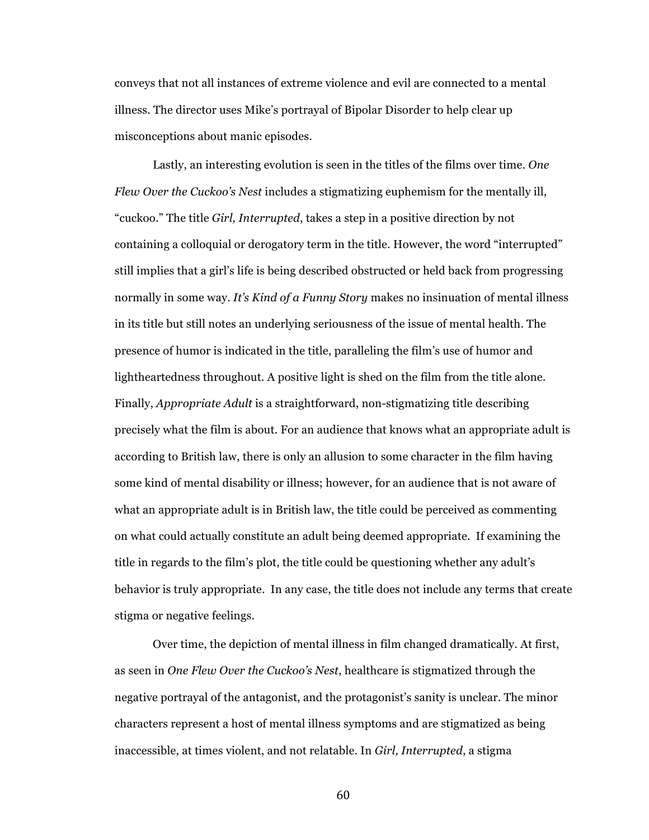conveys that not all instances of extreme violence and evil are connected to a mental illness. The director uses Mike's portrayal of Bipolar Disorder to help clear up misconceptions about manic episodes.

Lastly, an interesting evolution is seen in the titles of the films over time. *One Flew Over the Cuckoo's Nest* includes a stigmatizing euphemism for the mentally ill, "cuckoo." The title *Girl, Interrupted*, takes a step in a positive direction by not containing a colloquial or derogatory term in the title. However, the word "interrupted" still implies that a girl's life is being described obstructed or held back from progressing normally in some way. *It's Kind of a Funny Story* makes no insinuation of mental illness in its title but still notes an underlying seriousness of the issue of mental health. The presence of humor is indicated in the title, paralleling the film's use of humor and lightheartedness throughout. A positive light is shed on the film from the title alone. Finally, *Appropriate Adult* is a straightforward, non-stigmatizing title describing precisely what the film is about. For an audience that knows what an appropriate adult is according to British law, there is only an allusion to some character in the film having some kind of mental disability or illness; however, for an audience that is not aware of what an appropriate adult is in British law, the title could be perceived as commenting on what could actually constitute an adult being deemed appropriate. If examining the title in regards to the film's plot, the title could be questioning whether any adult's behavior is truly appropriate. In any case, the title does not include any terms that create stigma or negative feelings.

Over time, the depiction of mental illness in film changed dramatically. At first, as seen in *One Flew Over the Cuckoo's Nest*, healthcare is stigmatized through the negative portrayal of the antagonist, and the protagonist's sanity is unclear. The minor characters represent a host of mental illness symptoms and are stigmatized as being inaccessible, at times violent, and not relatable. In *Girl, Interrupted*, a stigma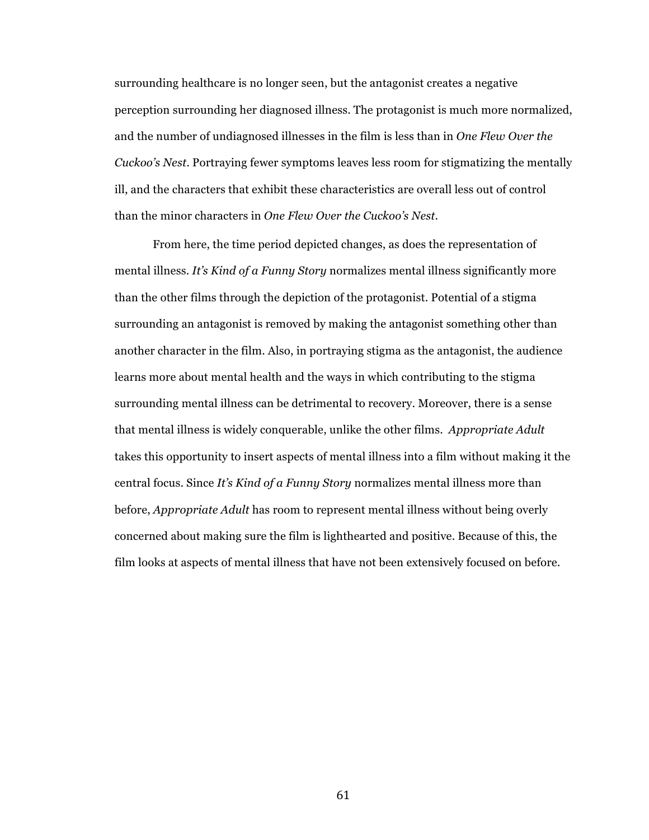surrounding healthcare is no longer seen, but the antagonist creates a negative perception surrounding her diagnosed illness. The protagonist is much more normalized, and the number of undiagnosed illnesses in the film is less than in *One Flew Over the Cuckoo's Nest*. Portraying fewer symptoms leaves less room for stigmatizing the mentally ill, and the characters that exhibit these characteristics are overall less out of control than the minor characters in *One Flew Over the Cuckoo's Nest*.

From here, the time period depicted changes, as does the representation of mental illness. *It's Kind of a Funny Story* normalizes mental illness significantly more than the other films through the depiction of the protagonist. Potential of a stigma surrounding an antagonist is removed by making the antagonist something other than another character in the film. Also, in portraying stigma as the antagonist, the audience learns more about mental health and the ways in which contributing to the stigma surrounding mental illness can be detrimental to recovery. Moreover, there is a sense that mental illness is widely conquerable, unlike the other films. *Appropriate Adult* takes this opportunity to insert aspects of mental illness into a film without making it the central focus. Since *It's Kind of a Funny Story* normalizes mental illness more than before, *Appropriate Adult* has room to represent mental illness without being overly concerned about making sure the film is lighthearted and positive. Because of this, the film looks at aspects of mental illness that have not been extensively focused on before.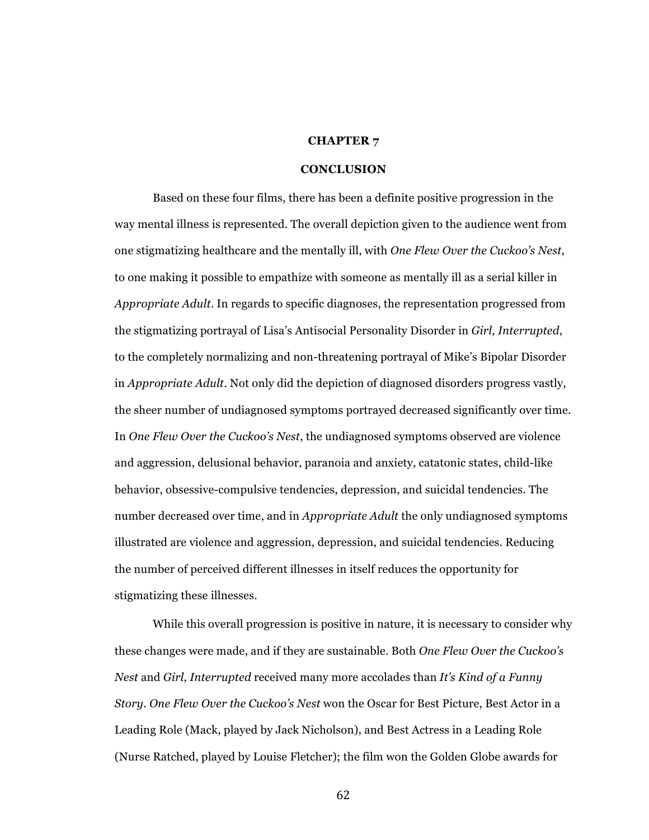#### **CHAPTER 7**

# **CONCLUSION**

Based on these four films, there has been a definite positive progression in the way mental illness is represented. The overall depiction given to the audience went from one stigmatizing healthcare and the mentally ill, with *One Flew Over the Cuckoo's Nest*, to one making it possible to empathize with someone as mentally ill as a serial killer in *Appropriate Adult*. In regards to specific diagnoses, the representation progressed from the stigmatizing portrayal of Lisa's Antisocial Personality Disorder in *Girl, Interrupted*, to the completely normalizing and non-threatening portrayal of Mike's Bipolar Disorder in *Appropriate Adult*. Not only did the depiction of diagnosed disorders progress vastly, the sheer number of undiagnosed symptoms portrayed decreased significantly over time. In *One Flew Over the Cuckoo's Nest*, the undiagnosed symptoms observed are violence and aggression, delusional behavior, paranoia and anxiety, catatonic states, child-like behavior, obsessive-compulsive tendencies, depression, and suicidal tendencies. The number decreased over time, and in *Appropriate Adult* the only undiagnosed symptoms illustrated are violence and aggression, depression, and suicidal tendencies. Reducing the number of perceived different illnesses in itself reduces the opportunity for stigmatizing these illnesses.

While this overall progression is positive in nature, it is necessary to consider why these changes were made, and if they are sustainable. Both *One Flew Over the Cuckoo's Nest* and *Girl, Interrupted* received many more accolades than *It's Kind of a Funny Story*. *One Flew Over the Cuckoo's Nest* won the Oscar for Best Picture, Best Actor in a Leading Role (Mack, played by Jack Nicholson), and Best Actress in a Leading Role (Nurse Ratched, played by Louise Fletcher); the film won the Golden Globe awards for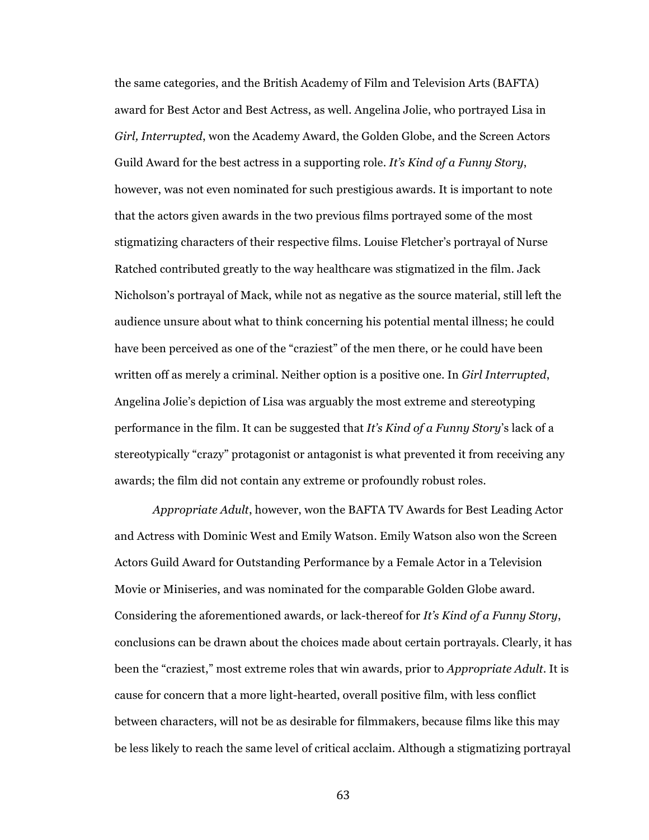the same categories, and the British Academy of Film and Television Arts (BAFTA) award for Best Actor and Best Actress, as well. Angelina Jolie, who portrayed Lisa in *Girl, Interrupted*, won the Academy Award, the Golden Globe, and the Screen Actors Guild Award for the best actress in a supporting role. *It's Kind of a Funny Story*, however, was not even nominated for such prestigious awards. It is important to note that the actors given awards in the two previous films portrayed some of the most stigmatizing characters of their respective films. Louise Fletcher's portrayal of Nurse Ratched contributed greatly to the way healthcare was stigmatized in the film. Jack Nicholson's portrayal of Mack, while not as negative as the source material, still left the audience unsure about what to think concerning his potential mental illness; he could have been perceived as one of the "craziest" of the men there, or he could have been written off as merely a criminal. Neither option is a positive one. In *Girl Interrupted*, Angelina Jolie's depiction of Lisa was arguably the most extreme and stereotyping performance in the film. It can be suggested that *It's Kind of a Funny Story*'s lack of a stereotypically "crazy" protagonist or antagonist is what prevented it from receiving any awards; the film did not contain any extreme or profoundly robust roles.

*Appropriate Adult*, however, won the BAFTA TV Awards for Best Leading Actor and Actress with Dominic West and Emily Watson. Emily Watson also won the Screen Actors Guild Award for Outstanding Performance by a Female Actor in a Television Movie or Miniseries, and was nominated for the comparable Golden Globe award. Considering the aforementioned awards, or lack-thereof for *It's Kind of a Funny Story*, conclusions can be drawn about the choices made about certain portrayals. Clearly, it has been the "craziest," most extreme roles that win awards, prior to *Appropriate Adult*. It is cause for concern that a more light-hearted, overall positive film, with less conflict between characters, will not be as desirable for filmmakers, because films like this may be less likely to reach the same level of critical acclaim. Although a stigmatizing portrayal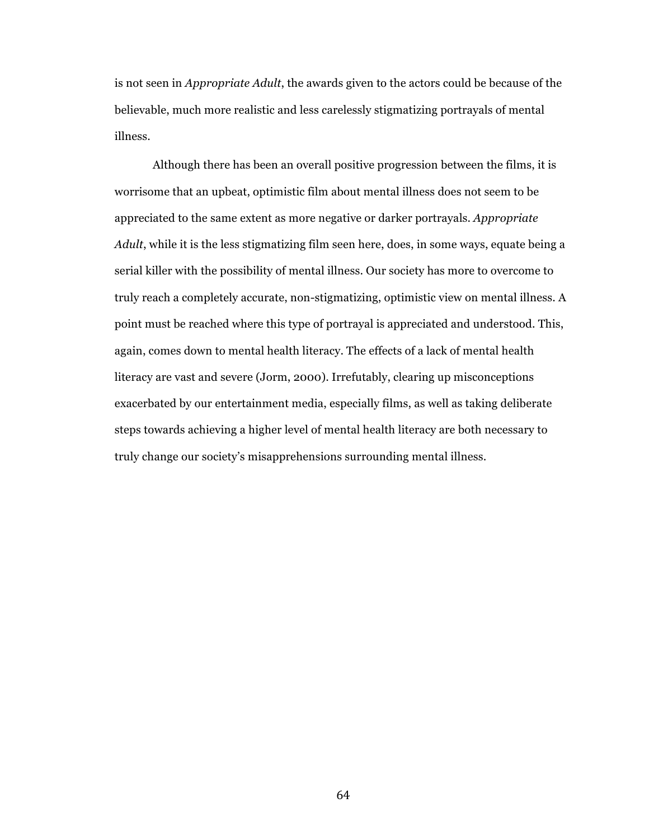is not seen in *Appropriate Adult*, the awards given to the actors could be because of the believable, much more realistic and less carelessly stigmatizing portrayals of mental illness.

Although there has been an overall positive progression between the films, it is worrisome that an upbeat, optimistic film about mental illness does not seem to be appreciated to the same extent as more negative or darker portrayals. *Appropriate Adult*, while it is the less stigmatizing film seen here, does, in some ways, equate being a serial killer with the possibility of mental illness. Our society has more to overcome to truly reach a completely accurate, non-stigmatizing, optimistic view on mental illness. A point must be reached where this type of portrayal is appreciated and understood. This, again, comes down to mental health literacy. The effects of a lack of mental health literacy are vast and severe (Jorm, 2000). Irrefutably, clearing up misconceptions exacerbated by our entertainment media, especially films, as well as taking deliberate steps towards achieving a higher level of mental health literacy are both necessary to truly change our society's misapprehensions surrounding mental illness.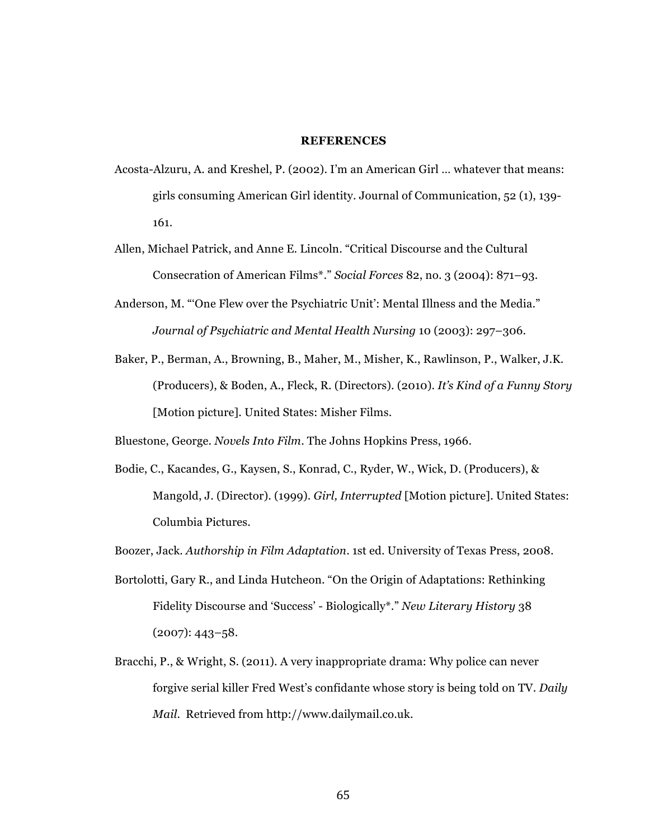# **REFERENCES**

- Acosta-Alzuru, A. and Kreshel, P. (2002). I'm an American Girl … whatever that means: girls consuming American Girl identity. Journal of Communication, 52 (1), 139- 161.
- Allen, Michael Patrick, and Anne E. Lincoln. "Critical Discourse and the Cultural Consecration of American Films\*." *Social Forces* 82, no. 3 (2004): 871–93.
- Anderson, M. "'One Flew over the Psychiatric Unit': Mental Illness and the Media." *Journal of Psychiatric and Mental Health Nursing* 10 (2003): 297–306.
- Baker, P., Berman, A., Browning, B., Maher, M., Misher, K., Rawlinson, P., Walker, J.K. (Producers), & Boden, A., Fleck, R. (Directors). (2010). *It's Kind of a Funny Story*  [Motion picture]. United States: Misher Films.

Bluestone, George. *Novels Into Film*. The Johns Hopkins Press, 1966.

Bodie, C., Kacandes, G., Kaysen, S., Konrad, C., Ryder, W., Wick, D. (Producers), & Mangold, J. (Director). (1999). *Girl, Interrupted* [Motion picture]. United States: Columbia Pictures.

Boozer, Jack. *Authorship in Film Adaptation*. 1st ed. University of Texas Press, 2008.

- Bortolotti, Gary R., and Linda Hutcheon. "On the Origin of Adaptations: Rethinking Fidelity Discourse and 'Success' - Biologically\*." *New Literary History* 38 (2007): 443–58.
- Bracchi, P., & Wright, S. (2011). A very inappropriate drama: Why police can never forgive serial killer Fred West's confidante whose story is being told on TV. *Daily Mail*. Retrieved from http://www.dailymail.co.uk.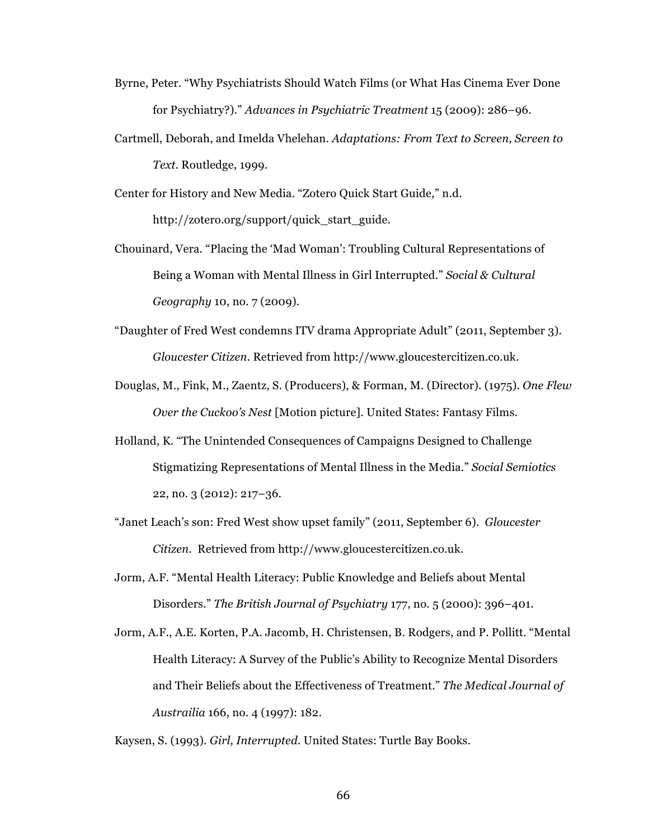- Byrne, Peter. "Why Psychiatrists Should Watch Films (or What Has Cinema Ever Done for Psychiatry?)." *Advances in Psychiatric Treatment* 15 (2009): 286–96.
- Cartmell, Deborah, and Imelda Vhelehan. *Adaptations: From Text to Screen, Screen to Text*. Routledge, 1999.

Center for History and New Media. "Zotero Quick Start Guide," n.d. http://zotero.org/support/quick\_start\_guide.

- Chouinard, Vera. "Placing the 'Mad Woman': Troubling Cultural Representations of Being a Woman with Mental Illness in Girl Interrupted." *Social & Cultural Geography* 10, no. 7 (2009).
- "Daughter of Fred West condemns ITV drama Appropriate Adult" (2011, September 3). *Gloucester Citizen*. Retrieved from http://www.gloucestercitizen.co.uk.
- Douglas, M., Fink, M., Zaentz, S. (Producers), & Forman, M. (Director). (1975). *One Flew Over the Cuckoo's Nest* [Motion picture]. United States: Fantasy Films.
- Holland, K. "The Unintended Consequences of Campaigns Designed to Challenge Stigmatizing Representations of Mental Illness in the Media." *Social Semiotics* 22, no. 3 (2012): 217–36.
- "Janet Leach's son: Fred West show upset family" (2011, September 6). *Gloucester Citizen.* Retrieved from http://www.gloucestercitizen.co.uk.
- Jorm, A.F. "Mental Health Literacy: Public Knowledge and Beliefs about Mental Disorders." *The British Journal of Psychiatry* 177, no. 5 (2000): 396–401.
- Jorm, A.F., A.E. Korten, P.A. Jacomb, H. Christensen, B. Rodgers, and P. Pollitt. "Mental Health Literacy: A Survey of the Public's Ability to Recognize Mental Disorders and Their Beliefs about the Effectiveness of Treatment." *The Medical Journal of Austrailia* 166, no. 4 (1997): 182.

Kaysen, S. (1993). *Girl, Interrupted.* United States: Turtle Bay Books.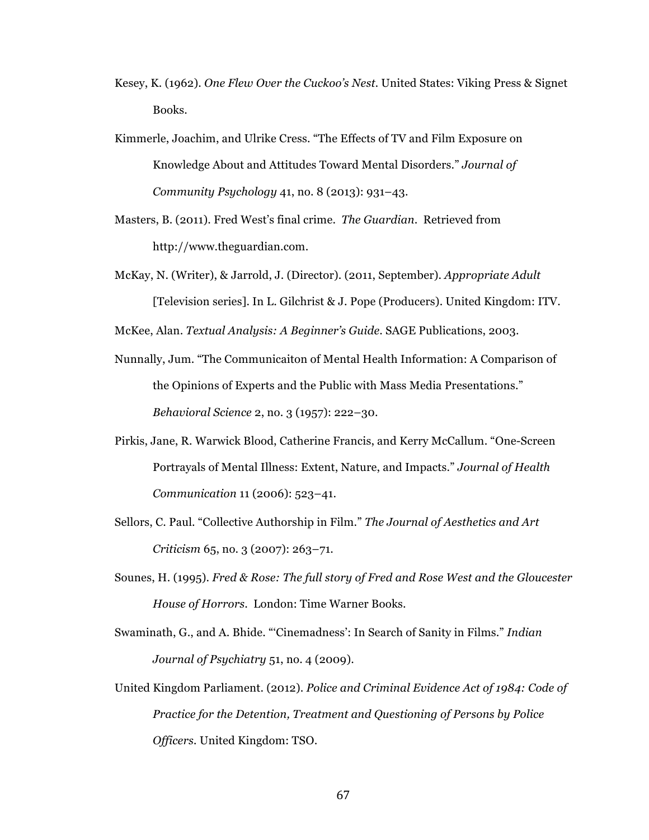- Kesey, K. (1962). *One Flew Over the Cuckoo's Nest.* United States: Viking Press & Signet Books.
- Kimmerle, Joachim, and Ulrike Cress. "The Effects of TV and Film Exposure on Knowledge About and Attitudes Toward Mental Disorders." *Journal of Community Psychology* 41, no. 8 (2013): 931–43.
- Masters, B. (2011). Fred West's final crime. *The Guardian*. Retrieved from http://www.theguardian.com.
- McKay, N. (Writer), & Jarrold, J. (Director). (2011, September). *Appropriate Adult* [Television series]. In L. Gilchrist & J. Pope (Producers). United Kingdom: ITV.

McKee, Alan. *Textual Analysis: A Beginner's Guide*. SAGE Publications, 2003.

- Nunnally, Jum. "The Communicaiton of Mental Health Information: A Comparison of the Opinions of Experts and the Public with Mass Media Presentations." *Behavioral Science* 2, no. 3 (1957): 222–30.
- Pirkis, Jane, R. Warwick Blood, Catherine Francis, and Kerry McCallum. "One-Screen Portrayals of Mental Illness: Extent, Nature, and Impacts." *Journal of Health Communication* 11 (2006): 523–41.
- Sellors, C. Paul. "Collective Authorship in Film." *The Journal of Aesthetics and Art Criticism* 65, no. 3 (2007): 263–71.
- Sounes, H. (1995). *Fred & Rose: The full story of Fred and Rose West and the Gloucester House of Horrors*. London: Time Warner Books.
- Swaminath, G., and A. Bhide. "'Cinemadness': In Search of Sanity in Films." *Indian Journal of Psychiatry* 51, no. 4 (2009).
- United Kingdom Parliament. (2012). *Police and Criminal Evidence Act of 1984: Code of Practice for the Detention, Treatment and Questioning of Persons by Police Officers.* United Kingdom: TSO.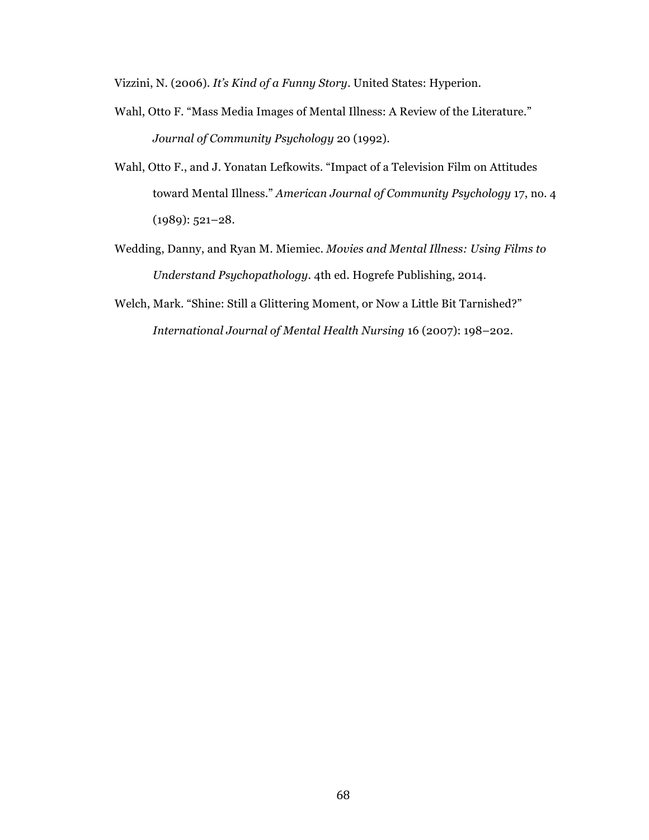Vizzini, N. (2006). *It's Kind of a Funny Story*. United States: Hyperion.

- Wahl, Otto F. "Mass Media Images of Mental Illness: A Review of the Literature." *Journal of Community Psychology* 20 (1992).
- Wahl, Otto F., and J. Yonatan Lefkowits. "Impact of a Television Film on Attitudes toward Mental Illness." *American Journal of Community Psychology* 17, no. 4 (1989): 521–28.
- Wedding, Danny, and Ryan M. Miemiec. *Movies and Mental Illness: Using Films to Understand Psychopathology*. 4th ed. Hogrefe Publishing, 2014.
- Welch, Mark. "Shine: Still a Glittering Moment, or Now a Little Bit Tarnished?" *International Journal of Mental Health Nursing* 16 (2007): 198–202.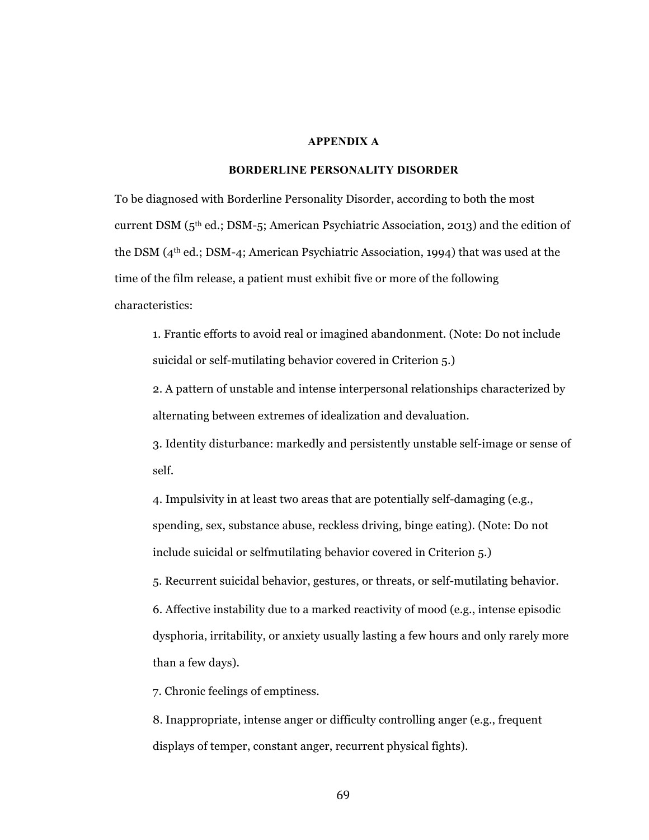#### **APPENDIX A**

#### **BORDERLINE PERSONALITY DISORDER**

To be diagnosed with Borderline Personality Disorder, according to both the most current DSM  $(5<sup>th</sup>$  ed.; DSM-5; American Psychiatric Association, 2013) and the edition of the DSM (4th ed.; DSM-4; American Psychiatric Association, 1994) that was used at the time of the film release, a patient must exhibit five or more of the following characteristics:

1. Frantic efforts to avoid real or imagined abandonment. (Note: Do not include suicidal or self-mutilating behavior covered in Criterion 5.)

2. A pattern of unstable and intense interpersonal relationships characterized by alternating between extremes of idealization and devaluation.

3. Identity disturbance: markedly and persistently unstable self-image or sense of self.

4. Impulsivity in at least two areas that are potentially self-damaging (e.g., spending, sex, substance abuse, reckless driving, binge eating). (Note: Do not include suicidal or selfmutilating behavior covered in Criterion 5.)

5. Recurrent suicidal behavior, gestures, or threats, or self-mutilating behavior.

6. Affective instability due to a marked reactivity of mood (e.g., intense episodic dysphoria, irritability, or anxiety usually lasting a few hours and only rarely more than a few days).

7. Chronic feelings of emptiness.

8. Inappropriate, intense anger or difficulty controlling anger (e.g., frequent displays of temper, constant anger, recurrent physical fights).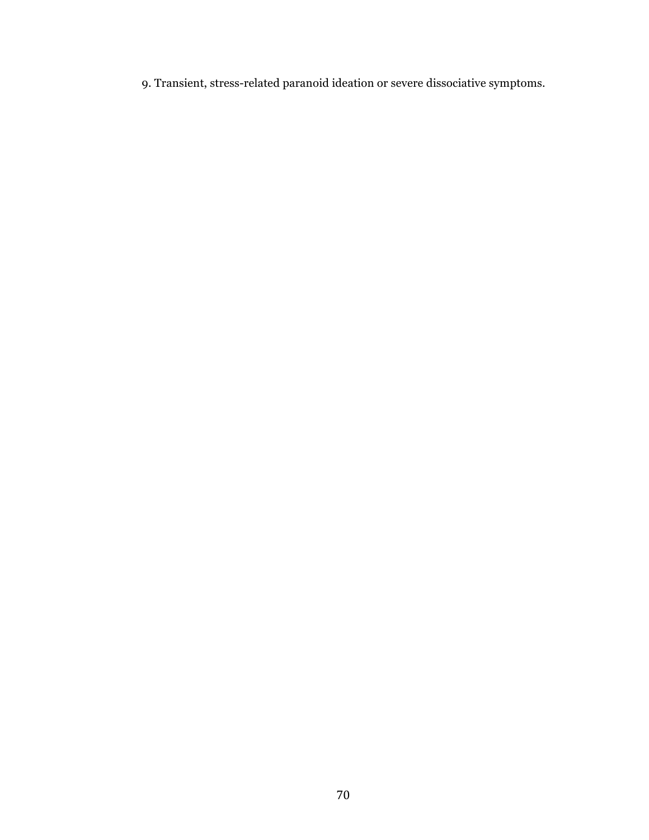9. Transient, stress-related paranoid ideation or severe dissociative symptoms.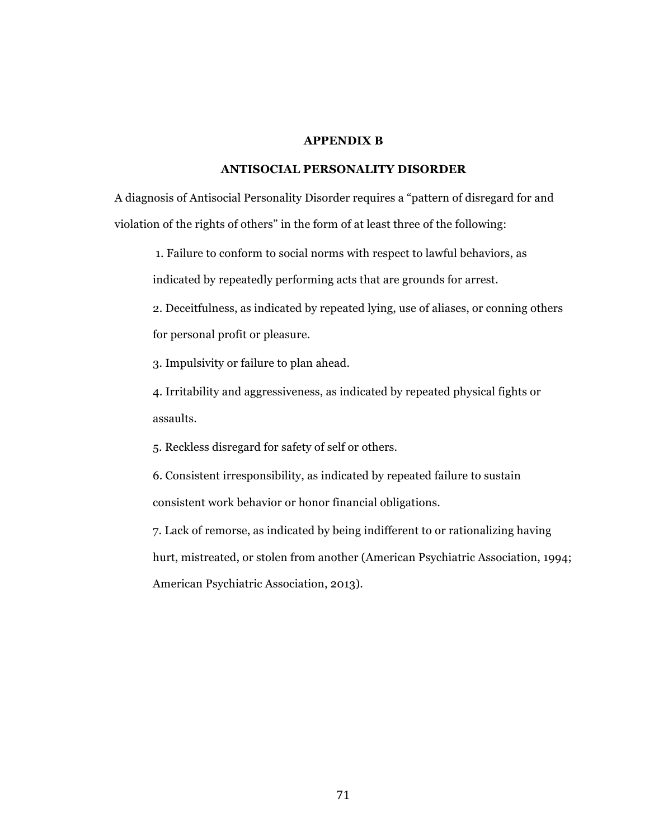### **APPENDIX B**

# **ANTISOCIAL PERSONALITY DISORDER**

A diagnosis of Antisocial Personality Disorder requires a "pattern of disregard for and violation of the rights of others" in the form of at least three of the following:

1. Failure to conform to social norms with respect to lawful behaviors, as

indicated by repeatedly performing acts that are grounds for arrest.

2. Deceitfulness, as indicated by repeated lying, use of aliases, or conning others for personal profit or pleasure.

3. Impulsivity or failure to plan ahead.

4. Irritability and aggressiveness, as indicated by repeated physical fights or assaults.

5. Reckless disregard for safety of self or others.

6. Consistent irresponsibility, as indicated by repeated failure to sustain consistent work behavior or honor financial obligations.

7. Lack of remorse, as indicated by being indifferent to or rationalizing having hurt, mistreated, or stolen from another (American Psychiatric Association, 1994; American Psychiatric Association, 2013).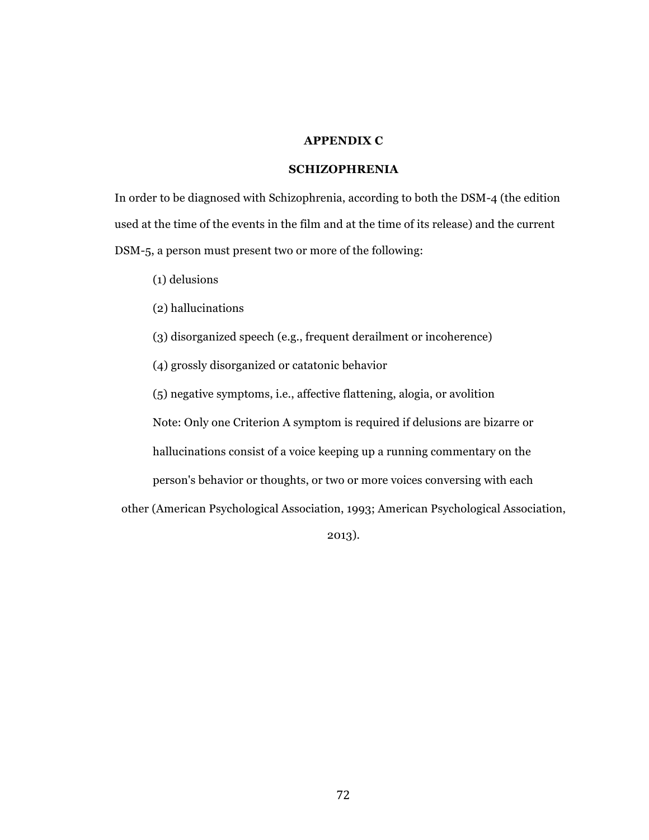## **APPENDIX C**

# **SCHIZOPHRENIA**

In order to be diagnosed with Schizophrenia, according to both the DSM-4 (the edition used at the time of the events in the film and at the time of its release) and the current DSM-5, a person must present two or more of the following:

(1) delusions

(2) hallucinations

(3) disorganized speech (e.g., frequent derailment or incoherence)

(4) grossly disorganized or catatonic behavior

(5) negative symptoms, i.e., affective flattening, alogia, or avolition

Note: Only one Criterion A symptom is required if delusions are bizarre or

hallucinations consist of a voice keeping up a running commentary on the

person's behavior or thoughts, or two or more voices conversing with each

other (American Psychological Association, 1993; American Psychological Association,

2013).